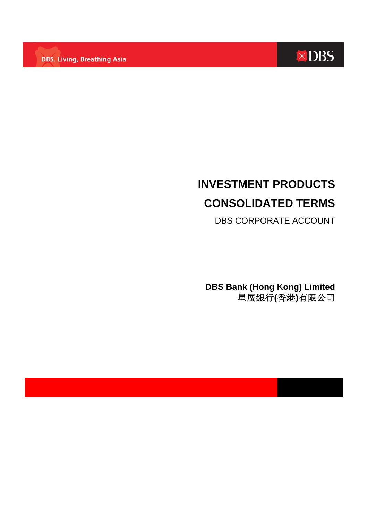**DBS. Living, Breathing Asia** 



# **INVESTMENT PRODUCTS CONSOLIDATED TERMS**

DBS CORPORATE ACCOUNT

**DBS Bank (Hong Kong) Limited**  星展銀行**(**香港**)**有限公司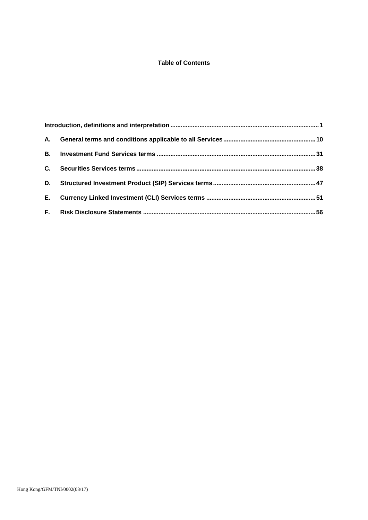# **Table of Contents**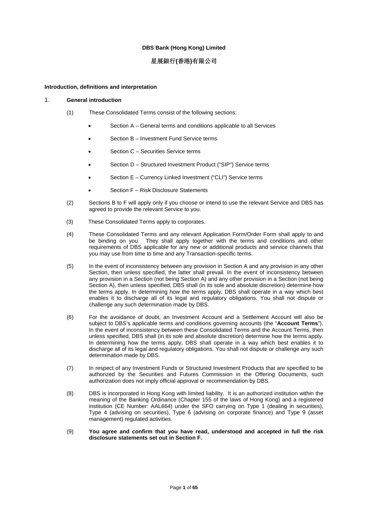## **DBS Bank (Hong Kong) Limited**

# 星展銀行**(**香港**)**有限公司

## **Introduction, definitions and interpretation**

## 1. **General introduction**

- (1) These Consolidated Terms consist of the following sections:
	- Section A General terms and conditions applicable to all Services
	- Section B Investment Fund Service terms
	- Section C Securities Service terms
	- Section D Structured Investment Product ("SIP") Service terms
	- Section E Currency Linked Investment ("CLI") Service terms
	- Section F Risk Disclosure Statements
- (2) Sections B to F will apply only if you choose or intend to use the relevant Service and DBS has agreed to provide the relevant Service to you.
- (3) These Consolidated Terms apply to corporates.
- (4) These Consolidated Terms and any relevant Application Form/Order Form shall apply to and be binding on you. They shall apply together with the terms and conditions and other requirements of DBS applicable for any new or additional products and service channels that you may use from time to time and any Transaction-specific terms.
- (5) In the event of inconsistency between any provision in Section A and any provision in any other Section, then unless specified, the latter shall prevail. In the event of inconsistency between any provision in a Section (not being Section A) and any other provision in a Section (not being Section A), then unless specified, DBS shall (in its sole and absolute discretion) determine how the terms apply. In determining how the terms apply, DBS shall operate in a way which best enables it to discharge all of its legal and regulatory obligations. You shall not dispute or challenge any such determination made by DBS.
- (6) For the avoidance of doubt, an Investment Account and a Settlement Account will also be subject to DBS's applicable terms and conditions governing accounts (the "**Account Terms**"). In the event of inconsistency between these Consolidated Terms and the Account Terms, then unless specified, DBS shall (in its sole and absolute discretion) determine how the terms apply. In determining how the terms apply, DBS shall operate in a way which best enables it to discharge all of its legal and regulatory obligations. You shall not dispute or challenge any such determination made by DBS.
- (7) In respect of any Investment Funds or Structured Investment Products that are specified to be authorized by the Securities and Futures Commission in the Offering Documents, such authorization does not imply official approval or recommendation by DBS.
- (8) DBS is incorporated in Hong Kong with limited liability. It is an authorized institution within the meaning of the Banking Ordinance (Chapter 155 of the laws of Hong Kong) and a registered institution (CE Number: AAL664) under the SFO carrying on Type 1 (dealing in securities), Type 4 (advising on securities), Type 6 (advising on corporate finance) and Type 9 (asset management) regulated activities.
- (9) **You agree and confirm that you have read, understood and accepted in full the risk disclosure statements set out in Section F.**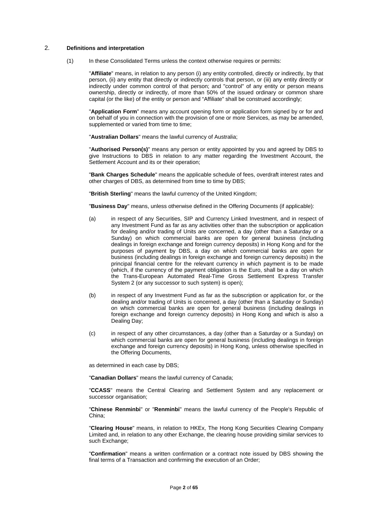## 2. **Definitions and interpretation**

(1) In these Consolidated Terms unless the context otherwise requires or permits:

"**Affiliate**" means, in relation to any person (i) any entity controlled, directly or indirectly, by that person, (ii) any entity that directly or indirectly controls that person, or (iii) any entity directly or indirectly under common control of that person; and "control" of any entity or person means ownership, directly or indirectly, of more than 50% of the issued ordinary or common share capital (or the like) of the entity or person and "Affiliate" shall be construed accordingly;

"**Application Form**" means any account opening form or application form signed by or for and on behalf of you in connection with the provision of one or more Services, as may be amended, supplemented or varied from time to time;

"**Australian Dollars**" means the lawful currency of Australia;

"**Authorised Person(s)**" means any person or entity appointed by you and agreed by DBS to give Instructions to DBS in relation to any matter regarding the Investment Account, the Settlement Account and its or their operation;

"**Bank Charges Schedule**" means the applicable schedule of fees, overdraft interest rates and other charges of DBS, as determined from time to time by DBS;

"**British Sterling**" means the lawful currency of the United Kingdom;

"**Business Day**" means, unless otherwise defined in the Offering Documents (if applicable):

- (a) in respect of any Securities, SIP and Currency Linked Investment, and in respect of any Investment Fund as far as any activities other than the subscription or application for dealing and/or trading of Units are concerned, a day (other than a Saturday or a Sunday) on which commercial banks are open for general business (including dealings in foreign exchange and foreign currency deposits) in Hong Kong and for the purposes of payment by DBS, a day on which commercial banks are open for business (including dealings in foreign exchange and foreign currency deposits) in the principal financial centre for the relevant currency in which payment is to be made (which, if the currency of the payment obligation is the Euro, shall be a day on which the Trans-European Automated Real-Time Gross Settlement Express Transfer System 2 (or any successor to such system) is open);
- (b) in respect of any Investment Fund as far as the subscription or application for, or the dealing and/or trading of Units is concerned, a day (other than a Saturday or Sunday) on which commercial banks are open for general business (including dealings in foreign exchange and foreign currency deposits) in Hong Kong and which is also a Dealing Day;
- (c) in respect of any other circumstances, a day (other than a Saturday or a Sunday) on which commercial banks are open for general business (including dealings in foreign exchange and foreign currency deposits) in Hong Kong, unless otherwise specified in the Offering Documents,

as determined in each case by DBS;

"**Canadian Dollars**" means the lawful currency of Canada;

"**CCASS**" means the Central Clearing and Settlement System and any replacement or successor organisation;

"**Chinese Renminbi**" or "**Renminbi**" means the lawful currency of the People's Republic of China;

"**Clearing House**" means, in relation to HKEx, The Hong Kong Securities Clearing Company Limited and, in relation to any other Exchange, the clearing house providing similar services to such Exchange;

"**Confirmation**" means a written confirmation or a contract note issued by DBS showing the final terms of a Transaction and confirming the execution of an Order;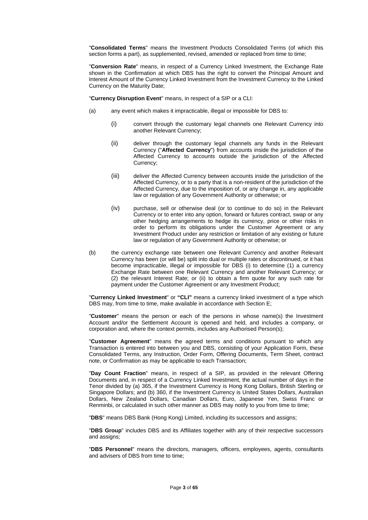"**Consolidated Terms**" means the Investment Products Consolidated Terms (of which this section forms a part), as supplemented, revised, amended or replaced from time to time;

"**Conversion Rate**" means, in respect of a Currency Linked Investment, the Exchange Rate shown in the Confirmation at which DBS has the right to convert the Principal Amount and Interest Amount of the Currency Linked Investment from the Investment Currency to the Linked Currency on the Maturity Date;

"**Currency Disruption Event**" means, in respect of a SIP or a CLI:

- (a) any event which makes it impracticable, illegal or impossible for DBS to:
	- (i) convert through the customary legal channels one Relevant Currency into another Relevant Currency;
	- (ii) deliver through the customary legal channels any funds in the Relevant Currency ("**Affected Currency**") from accounts inside the jurisdiction of the Affected Currency to accounts outside the jurisdiction of the Affected Currency;
	- (iii) deliver the Affected Currency between accounts inside the jurisdiction of the Affected Currency, or to a party that is a non-resident of the jurisdiction of the Affected Currency, due to the imposition of, or any change in, any applicable law or regulation of any Government Authority or otherwise; or
	- (iv) purchase, sell or otherwise deal (or to continue to do so) in the Relevant Currency or to enter into any option, forward or futures contract, swap or any other hedging arrangements to hedge its currency, price or other risks in order to perform its obligations under the Customer Agreement or any Investment Product under any restriction or limitation of any existing or future law or regulation of any Government Authority or otherwise; or
- (b) the currency exchange rate between one Relevant Currency and another Relevant Currency has been (or will be) split into dual or multiple rates or discontinued, or it has become impracticable, illegal or impossible for DBS (i) to determine (1) a currency Exchange Rate between one Relevant Currency and another Relevant Currency; or (2) the relevant Interest Rate; or (ii) to obtain a firm quote for any such rate for payment under the Customer Agreement or any Investment Product;

"**Currency Linked Investment**" or **"CLI"** means a currency linked investment of a type which DBS may, from time to time, make available in accordance with Section E;

"**Customer**" means the person or each of the persons in whose name(s) the Investment Account and/or the Settlement Account is opened and held, and includes a company, or corporation and, where the context permits, includes any Authorised Person(s);

"**Customer Agreement**" means the agreed terms and conditions pursuant to which any Transaction is entered into between you and DBS, consisting of your Application Form, these Consolidated Terms, any Instruction, Order Form, Offering Documents, Term Sheet, contract note, or Confirmation as may be applicable to each Transaction;

"**Day Count Fraction**" means, in respect of a SIP, as provided in the relevant Offering Documents and, in respect of a Currency Linked Investment, the actual number of days in the Tenor divided by (a) 365, if the Investment Currency is Hong Kong Dollars, British Sterling or Singapore Dollars; and (b) 360, if the Investment Currency is United States Dollars, Australian Dollars, New Zealand Dollars, Canadian Dollars, Euro, Japanese Yen, Swiss Franc or Renminbi, or calculated in such other manner as DBS may notify to you from time to time;

"**DBS**" means DBS Bank (Hong Kong) Limited, including its successors and assigns;

"**DBS Group**" includes DBS and its Affiliates together with any of their respective successors and assigns;

"**DBS Personnel**" means the directors, managers, officers, employees, agents, consultants and advisers of DBS from time to time;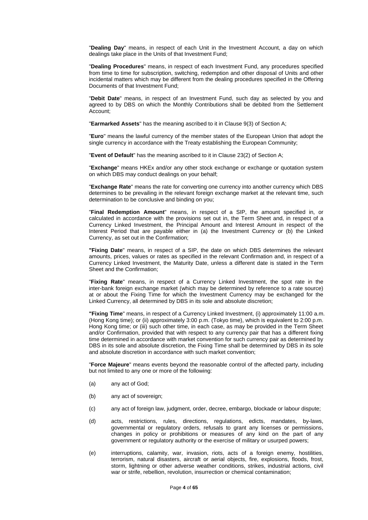"**Dealing Day**" means, in respect of each Unit in the Investment Account, a day on which dealings take place in the Units of that Investment Fund;

"**Dealing Procedures**" means, in respect of each Investment Fund, any procedures specified from time to time for subscription, switching, redemption and other disposal of Units and other incidental matters which may be different from the dealing procedures specified in the Offering Documents of that Investment Fund;

"**Debit Date**" means, in respect of an Investment Fund, such day as selected by you and agreed to by DBS on which the Monthly Contributions shall be debited from the Settlement Account;

"**Earmarked Assets**" has the meaning ascribed to it in Clause 9(3) of Section A;

"**Euro**" means the lawful currency of the member states of the European Union that adopt the single currency in accordance with the Treaty establishing the European Community;

"**Event of Default**" has the meaning ascribed to it in Clause 23(2) of Section A;

"**Exchange**" means HKEx and/or any other stock exchange or exchange or quotation system on which DBS may conduct dealings on your behalf;

"**Exchange Rate**" means the rate for converting one currency into another currency which DBS determines to be prevailing in the relevant foreign exchange market at the relevant time, such determination to be conclusive and binding on you;

"**Final Redemption Amount**" means, in respect of a SIP, the amount specified in, or calculated in accordance with the provisions set out in, the Term Sheet and, in respect of a Currency Linked Investment, the Principal Amount and Interest Amount in respect of the Interest Period that are payable either in (a) the Investment Currency or (b) the Linked Currency, as set out in the Confirmation;

**"Fixing Date**" means, in respect of a SIP, the date on which DBS determines the relevant amounts, prices, values or rates as specified in the relevant Confirmation and, in respect of a Currency Linked Investment, the Maturity Date, unless a different date is stated in the Term Sheet and the Confirmation;

"**Fixing Rate**" means, in respect of a Currency Linked Investment, the spot rate in the inter-bank foreign exchange market (which may be determined by reference to a rate source) at or about the Fixing Time for which the Investment Currency may be exchanged for the Linked Currency, all determined by DBS in its sole and absolute discretion;

**"Fixing Time**" means, in respect of a Currency Linked Investment, (i) approximately 11:00 a.m. (Hong Kong time); or (ii) approximately 3:00 p.m. (Tokyo time), which is equivalent to 2:00 p.m. Hong Kong time; or (iii) such other time, in each case, as may be provided in the Term Sheet and/or Confirmation, provided that with respect to any currency pair that has a different fixing time determined in accordance with market convention for such currency pair as determined by DBS in its sole and absolute discretion, the Fixing Time shall be determined by DBS in its sole and absolute discretion in accordance with such market convention;

"**Force Majeure**" means events beyond the reasonable control of the affected party, including but not limited to any one or more of the following:

- (a) any act of God;
- (b) any act of sovereign;
- (c) any act of foreign law, judgment, order, decree, embargo, blockade or labour dispute;
- (d) acts, restrictions, rules, directions, regulations, edicts, mandates, by-laws, governmental or regulatory orders, refusals to grant any licenses or permissions, changes in policy or prohibitions or measures of any kind on the part of any government or regulatory authority or the exercise of military or usurped powers;
- (e) interruptions, calamity, war, invasion, riots, acts of a foreign enemy, hostilities, terrorism, natural disasters, aircraft or aerial objects, fire, explosions, floods, frost, storm, lightning or other adverse weather conditions, strikes, industrial actions, civil war or strife, rebellion, revolution, insurrection or chemical contamination;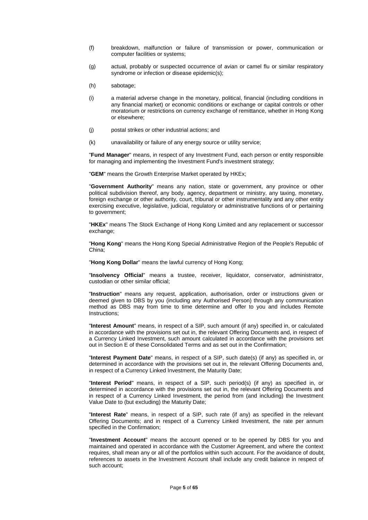- (f) breakdown, malfunction or failure of transmission or power, communication or computer facilities or systems;
- (g) actual, probably or suspected occurrence of avian or camel flu or similar respiratory syndrome or infection or disease epidemic(s);
- (h) sabotage;
- (i) a material adverse change in the monetary, political, financial (including conditions in any financial market) or economic conditions or exchange or capital controls or other moratorium or restrictions on currency exchange of remittance, whether in Hong Kong or elsewhere;
- (j) postal strikes or other industrial actions; and
- (k) unavailability or failure of any energy source or utility service;

"**Fund Manager**" means, in respect of any Investment Fund, each person or entity responsible for managing and implementing the Investment Fund's investment strategy;

"**GEM**" means the Growth Enterprise Market operated by HKEx;

"**Government Authority**" means any nation, state or government, any province or other political subdivision thereof, any body, agency, department or ministry, any taxing, monetary, foreign exchange or other authority, court, tribunal or other instrumentality and any other entity exercising executive, legislative, judicial, regulatory or administrative functions of or pertaining to government;

"**HKEx**" means The Stock Exchange of Hong Kong Limited and any replacement or successor exchange:

"**Hong Kong**" means the Hong Kong Special Administrative Region of the People's Republic of China;

"**Hong Kong Dollar**" means the lawful currency of Hong Kong;

"**Insolvency Official**" means a trustee, receiver, liquidator, conservator, administrator, custodian or other similar official;

"**Instruction**" means any request, application, authorisation, order or instructions given or deemed given to DBS by you (including any Authorised Person) through any communication method as DBS may from time to time determine and offer to you and includes Remote Instructions;

"**Interest Amount**" means, in respect of a SIP, such amount (if any) specified in, or calculated in accordance with the provisions set out in, the relevant Offering Documents and, in respect of a Currency Linked Investment, such amount calculated in accordance with the provisions set out in Section E of these Consolidated Terms and as set out in the Confirmation;

"**Interest Payment Date**" means, in respect of a SIP, such date(s) (if any) as specified in, or determined in accordance with the provisions set out in, the relevant Offering Documents and, in respect of a Currency Linked Investment, the Maturity Date;

"**Interest Period**" means, in respect of a SIP, such period(s) (if any) as specified in, or determined in accordance with the provisions set out in, the relevant Offering Documents and in respect of a Currency Linked Investment, the period from (and including) the Investment Value Date to (but excluding) the Maturity Date;

"**Interest Rate**" means, in respect of a SIP, such rate (if any) as specified in the relevant Offering Documents; and in respect of a Currency Linked Investment, the rate per annum specified in the Confirmation;

"**Investment Account**" means the account opened or to be opened by DBS for you and maintained and operated in accordance with the Customer Agreement, and where the context requires, shall mean any or all of the portfolios within such account. For the avoidance of doubt, references to assets in the Investment Account shall include any credit balance in respect of such account;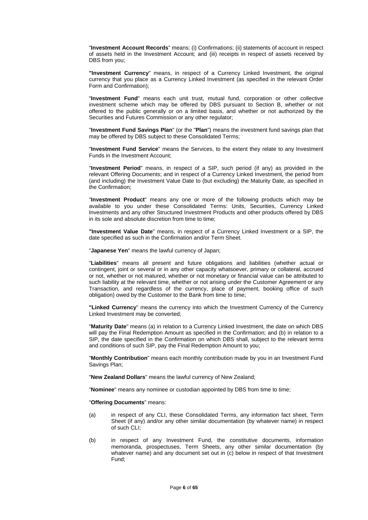"**Investment Account Records**" means: (i) Confirmations; (ii) statements of account in respect of assets held in the Investment Account; and (iii) receipts in respect of assets received by DBS from you;

**"Investment Currency**" means, in respect of a Currency Linked Investment, the original currency that you place as a Currency Linked Investment (as specified in the relevant Order Form and Confirmation);

"**Investment Fund**" means each unit trust, mutual fund, corporation or other collective investment scheme which may be offered by DBS pursuant to Section B, whether or not offered to the public generally or on a limited basis, and whether or not authorized by the Securities and Futures Commission or any other regulator;

"**Investment Fund Savings Plan**" (or the "**Plan**") means the investment fund savings plan that may be offered by DBS subject to these Consolidated Terms;

"**Investment Fund Service**" means the Services, to the extent they relate to any Investment Funds in the Investment Account;

"**Investment Period**" means, in respect of a SIP, such period (if any) as provided in the relevant Offering Documents; and in respect of a Currency Linked Investment, the period from (and including) the Investment Value Date to (but excluding) the Maturity Date, as specified in the Confirmation;

"**Investment Product**" means any one or more of the following products which may be available to you under these Consolidated Terms: Units, Securities, Currency Linked Investments and any other Structured Investment Products and other products offered by DBS in its sole and absolute discretion from time to time;

**"Investment Value Date**" means, in respect of a Currency Linked Investment or a SIP, the date specified as such in the Confirmation and/or Term Sheet.

"**Japanese Yen**" means the lawful currency of Japan;

"**Liabilities**" means all present and future obligations and liabilities (whether actual or contingent, joint or several or in any other capacity whatsoever, primary or collateral, accrued or not, whether or not matured, whether or not monetary or financial value can be attributed to such liability at the relevant time, whether or not arising under the Customer Agreement or any Transaction, and regardless of the currency, place of payment, booking office of such obligation) owed by the Customer to the Bank from time to time;

**"Linked Currency**" means the currency into which the Investment Currency of the Currency Linked Investment may be converted;

"**Maturity Date**" means (a) in relation to a Currency Linked Investment, the date on which DBS will pay the Final Redemption Amount as specified in the Confirmation; and (b) in relation to a SIP, the date specified in the Confirmation on which DBS shall, subject to the relevant terms and conditions of such SIP, pay the Final Redemption Amount to you;

"**Monthly Contribution**" means each monthly contribution made by you in an Investment Fund Savings Plan;

"**New Zealand Dollars**" means the lawful currency of New Zealand;

"**Nominee**" means any nominee or custodian appointed by DBS from time to time;

"**Offering Documents**" means:

- (a) in respect of any CLI, these Consolidated Terms, any information fact sheet, Term Sheet (if any) and/or any other similar documentation (by whatever name) in respect of such CLI;
- (b) in respect of any Investment Fund, the constitutive documents, information memoranda, prospectuses, Term Sheets, any other similar documentation (by whatever name) and any document set out in (c) below in respect of that Investment Fund;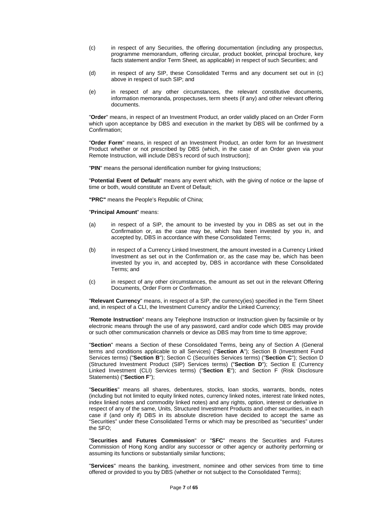- (c) in respect of any Securities, the offering documentation (including any prospectus, programme memorandum, offering circular, product booklet, principal brochure, key facts statement and/or Term Sheet, as applicable) in respect of such Securities; and
- (d) in respect of any SIP, these Consolidated Terms and any document set out in (c) above in respect of such SIP; and
- (e) in respect of any other circumstances, the relevant constitutive documents, information memoranda, prospectuses, term sheets (if any) and other relevant offering documents.

"**Order**" means, in respect of an Investment Product, an order validly placed on an Order Form which upon acceptance by DBS and execution in the market by DBS will be confirmed by a Confirmation;

"**Order Form**" means, in respect of an Investment Product, an order form for an Investment Product whether or not prescribed by DBS (which, in the case of an Order given via your Remote Instruction, will include DBS's record of such Instruction);

"**PIN**" means the personal identification number for giving Instructions;

"**Potential Event of Default**" means any event which, with the giving of notice or the lapse of time or both, would constitute an Event of Default;

**"PRC"** means the People's Republic of China;

"**Principal Amount**" means:

- (a) in respect of a SIP, the amount to be invested by you in DBS as set out in the Confirmation or, as the case may be, which has been invested by you in, and accepted by, DBS in accordance with these Consolidated Terms;
- (b) in respect of a Currency Linked Investment, the amount invested in a Currency Linked Investment as set out in the Confirmation or, as the case may be, which has been invested by you in, and accepted by, DBS in accordance with these Consolidated Terms; and
- (c) in respect of any other circumstances, the amount as set out in the relevant Offering Documents, Order Form or Confirmation.

"**Relevant Currency**" means, in respect of a SIP, the currency(ies) specified in the Term Sheet and, in respect of a CLI, the Investment Currency and/or the Linked Currency;

"**Remote Instruction**" means any Telephone Instruction or Instruction given by facsimile or by electronic means through the use of any password, card and/or code which DBS may provide or such other communication channels or device as DBS may from time to time approve;

"**Section**" means a Section of these Consolidated Terms, being any of Section A (General terms and conditions applicable to all Services) ("**Section A**"); Section B (Investment Fund Services terms) ("**Section B**"); Section C (Securities Services terms) ("**Section C**"); Section D (Structured Investment Product (SIP) Services terms) ("**Section D**"); Section E (Currency Linked Investment (CLI) Services terms) ("**Section E**"); and Section F (Risk Disclosure Statements) ("**Section F**");

"**Securities**" means all shares, debentures, stocks, loan stocks, warrants, bonds, notes (including but not limited to equity linked notes, currency linked notes, interest rate linked notes, index linked notes and commodity linked notes) and any rights, option, interest or derivative in respect of any of the same, Units, Structured Investment Products and other securities, in each case if (and only if) DBS in its absolute discretion have decided to accept the same as "Securities" under these Consolidated Terms or which may be prescribed as "securities" under the SFO;

"**Securities and Futures Commission**" or "**SFC**" means the Securities and Futures Commission of Hong Kong and/or any successor or other agency or authority performing or assuming its functions or substantially similar functions;

"**Services**" means the banking, investment, nominee and other services from time to time offered or provided to you by DBS (whether or not subject to the Consolidated Terms);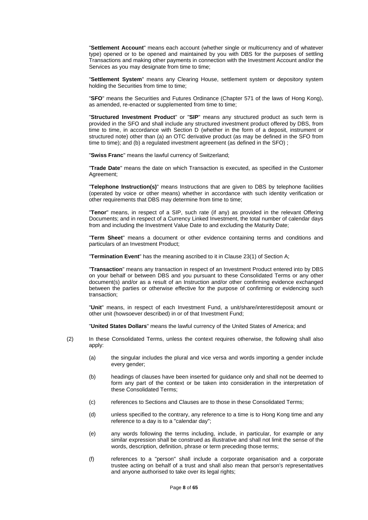"**Settlement Account**" means each account (whether single or multicurrency and of whatever type) opened or to be opened and maintained by you with DBS for the purposes of settling Transactions and making other payments in connection with the Investment Account and/or the Services as you may designate from time to time;

"**Settlement System**" means any Clearing House, settlement system or depository system holding the Securities from time to time;

"**SFO**" means the Securities and Futures Ordinance (Chapter 571 of the laws of Hong Kong), as amended, re-enacted or supplemented from time to time;

"**Structured Investment Product**" or "**SIP**" means any structured product as such term is provided in the SFO and shall include any structured investment product offered by DBS, from time to time, in accordance with Section D (whether in the form of a deposit, instrument or structured note) other than (a) an OTC derivative product (as may be defined in the SFO from time to time); and (b) a regulated investment agreement (as defined in the SFO) ;

"**Swiss Franc**" means the lawful currency of Switzerland;

"**Trade Date**" means the date on which Transaction is executed, as specified in the Customer Agreement;

"**Telephone Instruction(s)**" means Instructions that are given to DBS by telephone facilities (operated by voice or other means) whether in accordance with such identity verification or other requirements that DBS may determine from time to time;

"**Tenor**" means, in respect of a SIP, such rate (if any) as provided in the relevant Offering Documents; and in respect of a Currency Linked Investment, the total number of calendar days from and including the Investment Value Date to and excluding the Maturity Date;

"**Term Sheet**" means a document or other evidence containing terms and conditions and particulars of an Investment Product;

"**Termination Event**" has the meaning ascribed to it in Clause 23(1) of Section A;

"**Transaction**" means any transaction in respect of an Investment Product entered into by DBS on your behalf or between DBS and you pursuant to these Consolidated Terms or any other document(s) and/or as a result of an Instruction and/or other confirming evidence exchanged between the parties or otherwise effective for the purpose of confirming or evidencing such transaction;

"**Unit**" means, in respect of each Investment Fund, a unit/share/interest/deposit amount or other unit (howsoever described) in or of that Investment Fund;

"**United States Dollars**" means the lawful currency of the United States of America; and

- (2) In these Consolidated Terms, unless the context requires otherwise, the following shall also apply:
	- (a) the singular includes the plural and vice versa and words importing a gender include every gender;
	- (b) headings of clauses have been inserted for guidance only and shall not be deemed to form any part of the context or be taken into consideration in the interpretation of these Consolidated Terms;
	- (c) references to Sections and Clauses are to those in these Consolidated Terms;
	- (d) unless specified to the contrary, any reference to a time is to Hong Kong time and any reference to a day is to a "calendar day";
	- (e) any words following the terms including, include, in particular, for example or any similar expression shall be construed as illustrative and shall not limit the sense of the words, description, definition, phrase or term preceding those terms;
	- (f) references to a "person" shall include a corporate organisation and a corporate trustee acting on behalf of a trust and shall also mean that person's representatives and anyone authorised to take over its legal rights;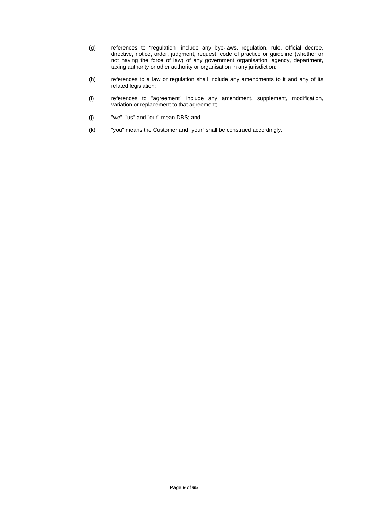- (g) references to "regulation" include any bye-laws, regulation, rule, official decree, directive, notice, order, judgment, request, code of practice or guideline (whether or not having the force of law) of any government organisation, agency, department, taxing authority or other authority or organisation in any jurisdiction;
- (h) references to a law or regulation shall include any amendments to it and any of its related legislation;
- (i) references to "agreement" include any amendment, supplement, modification, variation or replacement to that agreement;
- (j) "we", "us" and "our" mean DBS; and
- (k) "you" means the Customer and "your" shall be construed accordingly.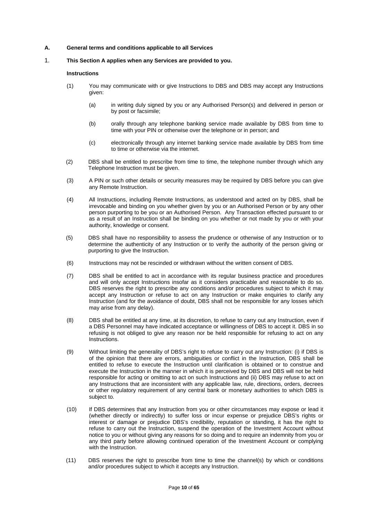#### **A. General terms and conditions applicable to all Services**

#### 1. **This Section A applies when any Services are provided to you.**

#### **Instructions**

- (1) You may communicate with or give Instructions to DBS and DBS may accept any Instructions given:
	- (a) in writing duly signed by you or any Authorised Person(s) and delivered in person or by post or facsimile;
	- (b) orally through any telephone banking service made available by DBS from time to time with your PIN or otherwise over the telephone or in person; and
	- (c) electronically through any internet banking service made available by DBS from time to time or otherwise via the internet.
- (2) DBS shall be entitled to prescribe from time to time, the telephone number through which any Telephone Instruction must be given.
- (3) A PIN or such other details or security measures may be required by DBS before you can give any Remote Instruction.
- (4) All Instructions, including Remote Instructions, as understood and acted on by DBS, shall be irrevocable and binding on you whether given by you or an Authorised Person or by any other person purporting to be you or an Authorised Person. Any Transaction effected pursuant to or as a result of an Instruction shall be binding on you whether or not made by you or with your authority, knowledge or consent.
- (5) DBS shall have no responsibility to assess the prudence or otherwise of any Instruction or to determine the authenticity of any Instruction or to verify the authority of the person giving or purporting to give the Instruction.
- (6) Instructions may not be rescinded or withdrawn without the written consent of DBS.
- (7) DBS shall be entitled to act in accordance with its regular business practice and procedures and will only accept Instructions insofar as it considers practicable and reasonable to do so. DBS reserves the right to prescribe any conditions and/or procedures subject to which it may accept any Instruction or refuse to act on any Instruction or make enquiries to clarify any Instruction (and for the avoidance of doubt, DBS shall not be responsible for any losses which may arise from any delay).
- (8) DBS shall be entitled at any time, at its discretion, to refuse to carry out any Instruction, even if a DBS Personnel may have indicated acceptance or willingness of DBS to accept it. DBS in so refusing is not obliged to give any reason nor be held responsible for refusing to act on any Instructions.
- (9) Without limiting the generality of DBS's right to refuse to carry out any Instruction: (i) if DBS is of the opinion that there are errors, ambiguities or conflict in the Instruction, DBS shall be entitled to refuse to execute the Instruction until clarification is obtained or to construe and execute the Instruction in the manner in which it is perceived by DBS and DBS will not be held responsible for acting or omitting to act on such Instructions and (ii) DBS may refuse to act on any Instructions that are inconsistent with any applicable law, rule, directions, orders, decrees or other regulatory requirement of any central bank or monetary authorities to which DBS is subject to.
- (10) If DBS determines that any Instruction from you or other circumstances may expose or lead it (whether directly or indirectly) to suffer loss or incur expense or prejudice DBS's rights or interest or damage or prejudice DBS's credibility, reputation or standing, it has the right to refuse to carry out the Instruction, suspend the operation of the Investment Account without notice to you or without giving any reasons for so doing and to require an indemnity from you or any third party before allowing continued operation of the Investment Account or complying with the Instruction.
- (11) DBS reserves the right to prescribe from time to time the channel(s) by which or conditions and/or procedures subject to which it accepts any Instruction.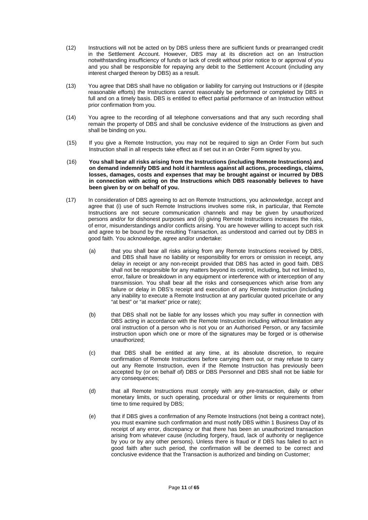- (12) Instructions will not be acted on by DBS unless there are sufficient funds or prearranged credit in the Settlement Account. However, DBS may at its discretion act on an Instruction notwithstanding insufficiency of funds or lack of credit without prior notice to or approval of you and you shall be responsible for repaying any debit to the Settlement Account (including any interest charged thereon by DBS) as a result.
- (13) You agree that DBS shall have no obligation or liability for carrying out Instructions or if (despite reasonable efforts) the Instructions cannot reasonably be performed or completed by DBS in full and on a timely basis. DBS is entitled to effect partial performance of an Instruction without prior confirmation from you.
- (14) You agree to the recording of all telephone conversations and that any such recording shall remain the property of DBS and shall be conclusive evidence of the Instructions as given and shall be binding on you.
- (15) If you give a Remote Instruction, you may not be required to sign an Order Form but such Instruction shall in all respects take effect as if set out in an Order Form signed by you.
- (16) **You shall bear all risks arising from the Instructions (including Remote Instructions) and on demand indemnify DBS and hold it harmless against all actions, proceedings, claims, losses, damages, costs and expenses that may be brought against or incurred by DBS in connection with acting on the Instructions which DBS reasonably believes to have been given by or on behalf of you.**
- (17) In consideration of DBS agreeing to act on Remote Instructions, you acknowledge, accept and agree that (i) use of such Remote Instructions involves some risk, in particular, that Remote Instructions are not secure communication channels and may be given by unauthorized persons and/or for dishonest purposes and (ii) giving Remote Instructions increases the risks, of error, misunderstandings and/or conflicts arising. You are however willing to accept such risk and agree to be bound by the resulting Transaction, as understood and carried out by DBS in good faith. You acknowledge, agree and/or undertake:
	- (a) that you shall bear all risks arising from any Remote Instructions received by DBS, and DBS shall have no liability or responsibility for errors or omission in receipt, any delay in receipt or any non-receipt provided that DBS has acted in good faith. DBS shall not be responsible for any matters beyond its control, including, but not limited to, error, failure or breakdown in any equipment or interference with or interception of any transmission. You shall bear all the risks and consequences which arise from any failure or delay in DBS's receipt and execution of any Remote Instruction (including any inability to execute a Remote Instruction at any particular quoted price/rate or any "at best" or "at market" price or rate);
	- (b) that DBS shall not be liable for any losses which you may suffer in connection with DBS acting in accordance with the Remote Instruction including without limitation any oral instruction of a person who is not you or an Authorised Person, or any facsimile instruction upon which one or more of the signatures may be forged or is otherwise unauthorized;
	- (c) that DBS shall be entitled at any time, at its absolute discretion, to require confirmation of Remote Instructions before carrying them out, or may refuse to carry out any Remote Instruction, even if the Remote Instruction has previously been accepted by (or on behalf of) DBS or DBS Personnel and DBS shall not be liable for any consequences;
	- (d) that all Remote Instructions must comply with any pre-transaction, daily or other monetary limits, or such operating, procedural or other limits or requirements from time to time required by DBS;
	- (e) that if DBS gives a confirmation of any Remote Instructions (not being a contract note), you must examine such confirmation and must notify DBS within 1 Business Day of its receipt of any error, discrepancy or that there has been an unauthorized transaction arising from whatever cause (including forgery, fraud, lack of authority or negligence by you or by any other persons). Unless there is fraud or if DBS has failed to act in good faith after such period, the confirmation will be deemed to be correct and conclusive evidence that the Transaction is authorized and binding on Customer;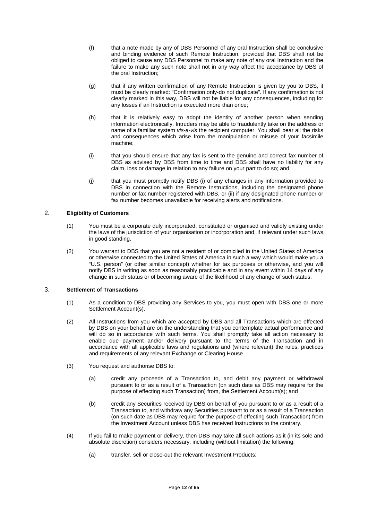- (f) that a note made by any of DBS Personnel of any oral Instruction shall be conclusive and binding evidence of such Remote Instruction, provided that DBS shall not be obliged to cause any DBS Personnel to make any note of any oral Instruction and the failure to make any such note shall not in any way affect the acceptance by DBS of the oral Instruction;
- (g) that if any written confirmation of any Remote Instruction is given by you to DBS, it must be clearly marked: "Confirmation only-do not duplicate". If any confirmation is not clearly marked in this way, DBS will not be liable for any consequences, including for any losses if an Instruction is executed more than once;
- (h) that it is relatively easy to adopt the identity of another person when sending information electronically. Intruders may be able to fraudulently take on the address or name of a familiar system *vis-a-vis* the recipient computer. You shall bear all the risks and consequences which arise from the manipulation or misuse of your facsimile machine;
- (i) that you should ensure that any fax is sent to the genuine and correct fax number of DBS as advised by DBS from time to time and DBS shall have no liability for any claim, loss or damage in relation to any failure on your part to do so; and
- (j) that you must promptly notify DBS (i) of any changes in any information provided to DBS in connection with the Remote Instructions, including the designated phone number or fax number registered with DBS, or (ii) if any designated phone number or fax number becomes unavailable for receiving alerts and notifications.

## 2. **Eligibility of Customers**

- (1) You must be a corporate duly incorporated, constituted or organised and validly existing under the laws of the jurisdiction of your organisation or incorporation and, if relevant under such laws, in good standing.
- (2) You warrant to DBS that you are not a resident of or domiciled in the United States of America or otherwise connected to the United States of America in such a way which would make you a "U.S. person" (or other similar concept) whether for tax purposes or otherwise, and you will notify DBS in writing as soon as reasonably practicable and in any event within 14 days of any change in such status or of becoming aware of the likelihood of any change of such status.

## 3. **Settlement of Transactions**

- (1) As a condition to DBS providing any Services to you, you must open with DBS one or more Settlement Account(s).
- (2) All Instructions from you which are accepted by DBS and all Transactions which are effected by DBS on your behalf are on the understanding that you contemplate actual performance and will do so in accordance with such terms. You shall promptly take all action necessary to enable due payment and/or delivery pursuant to the terms of the Transaction and in accordance with all applicable laws and regulations and (where relevant) the rules, practices and requirements of any relevant Exchange or Clearing House.
- (3) You request and authorise DBS to:
	- (a) credit any proceeds of a Transaction to, and debit any payment or withdrawal pursuant to or as a result of a Transaction (on such date as DBS may require for the purpose of effecting such Transaction) from, the Settlement Account(s); and
	- (b) credit any Securities received by DBS on behalf of you pursuant to or as a result of a Transaction to, and withdraw any Securities pursuant to or as a result of a Transaction (on such date as DBS may require for the purpose of effecting such Transaction) from, the Investment Account unless DBS has received Instructions to the contrary.
- (4) If you fail to make payment or delivery, then DBS may take all such actions as it (in its sole and absolute discretion) considers necessary, including (without limitation) the following:
	- (a) transfer, sell or close-out the relevant Investment Products;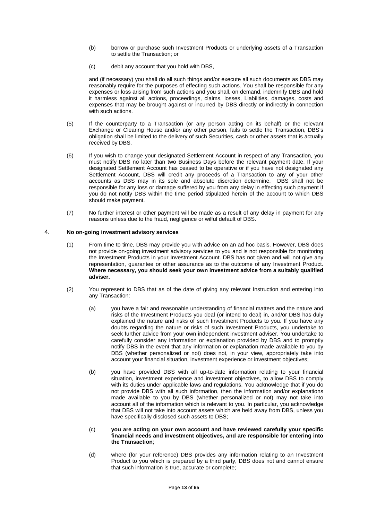- (b) borrow or purchase such Investment Products or underlying assets of a Transaction to settle the Transaction; or
- (c) debit any account that you hold with DBS,

and (if necessary) you shall do all such things and/or execute all such documents as DBS may reasonably require for the purposes of effecting such actions. You shall be responsible for any expenses or loss arising from such actions and you shall, on demand, indemnify DBS and hold it harmless against all actions, proceedings, claims, losses, Liabilities, damages, costs and expenses that may be brought against or incurred by DBS directly or indirectly in connection with such actions.

- (5) If the counterparty to a Transaction (or any person acting on its behalf) or the relevant Exchange or Clearing House and/or any other person, fails to settle the Transaction, DBS's obligation shall be limited to the delivery of such Securities, cash or other assets that is actually received by DBS.
- (6) If you wish to change your designated Settlement Account in respect of any Transaction, you must notify DBS no later than two Business Days before the relevant payment date. If your designated Settlement Account has ceased to be operative or if you have not designated any Settlement Account, DBS will credit any proceeds of a Transaction to any of your other accounts as DBS may in its sole and absolute discretion determine. DBS shall not be responsible for any loss or damage suffered by you from any delay in effecting such payment if you do not notify DBS within the time period stipulated herein of the account to which DBS should make payment.
- (7) No further interest or other payment will be made as a result of any delay in payment for any reasons unless due to the fraud, negligence or wilful default of DBS.

## 4. **No on-going investment advisory services**

- (1) From time to time, DBS may provide you with advice on an ad hoc basis. However, DBS does not provide on-going investment advisory services to you and is not responsible for monitoring the Investment Products in your Investment Account. DBS has not given and will not give any representation, guarantee or other assurance as to the outcome of any Investment Product. **Where necessary, you should seek your own investment advice from a suitably qualified adviser.**
- (2) You represent to DBS that as of the date of giving any relevant Instruction and entering into any Transaction:
	- (a) you have a fair and reasonable understanding of financial matters and the nature and risks of the Investment Products you deal (or intend to deal) in, and/or DBS has duly explained the nature and risks of such Investment Products to you. If you have any doubts regarding the nature or risks of such Investment Products, you undertake to seek further advice from your own independent investment adviser. You undertake to carefully consider any information or explanation provided by DBS and to promptly notify DBS in the event that any information or explanation made available to you by DBS (whether personalized or not) does not, in your view, appropriately take into account your financial situation, investment experience or investment objectives;
	- (b) you have provided DBS with all up-to-date information relating to your financial situation, investment experience and investment objectives, to allow DBS to comply with its duties under applicable laws and regulations. You acknowledge that if you do not provide DBS with all such information, then the information and/or explanations made available to you by DBS (whether personalized or not) may not take into account all of the information which is relevant to you. In particular, you acknowledge that DBS will not take into account assets which are held away from DBS, unless you have specifically disclosed such assets to DBS;

#### (c) **you are acting on your own account and have reviewed carefully your specific financial needs and investment objectives, and are responsible for entering into the Transaction**;

(d) where (for your reference) DBS provides any information relating to an Investment Product to you which is prepared by a third party, DBS does not and cannot ensure that such information is true, accurate or complete;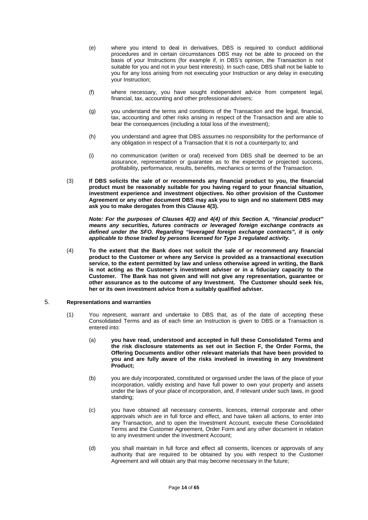- (e) where you intend to deal in derivatives, DBS is required to conduct additional procedures and in certain circumstances DBS may not be able to proceed on the basis of your Instructions (for example if, in DBS's opinion, the Transaction is not suitable for you and not in your best interests). In such case, DBS shall not be liable to you for any loss arising from not executing your Instruction or any delay in executing your Instruction;
- (f) where necessary, you have sought independent advice from competent legal, financial, tax, accounting and other professional advisers;
- (g) you understand the terms and conditions of the Transaction and the legal, financial, tax, accounting and other risks arising in respect of the Transaction and are able to bear the consequences (including a total loss of the investment);
- (h) you understand and agree that DBS assumes no responsibility for the performance of any obligation in respect of a Transaction that it is not a counterparty to; and
- (i) no communication (written or oral) received from DBS shall be deemed to be an assurance, representation or guarantee as to the expected or projected success, profitability, performance, results, benefits, mechanics or terms of the Transaction.
- (3) **If DBS solicits the sale of or recommends any financial product to you, the financial product must be reasonably suitable for you having regard to your financial situation, investment experience and investment objectives. No other provision of the Customer Agreement or any other document DBS may ask you to sign and no statement DBS may ask you to make derogates from this Clause 4(3).**

*Note: For the purposes of Clauses 4(3) and 4(4) of this Section A, "financial product" means any securities, futures contracts or leveraged foreign exchange contracts as defined under the SFO. Regarding "leveraged foreign exchange contracts", it is only applicable to those traded by persons licensed for Type 3 regulated activity.* 

(4) **To the extent that the Bank does not solicit the sale of or recommend any financial product to the Customer or where any Service is provided as a transactional execution service, to the extent permitted by law and unless otherwise agreed in writing, the Bank is not acting as the Customer's investment adviser or in a fiduciary capacity to the Customer. The Bank has not given and will not give any representation, guarantee or other assurance as to the outcome of any Investment. The Customer should seek his, her or its own investment advice from a suitably qualified adviser.** 

#### 5. **Representations and warranties**

- (1) You represent, warrant and undertake to DBS that, as of the date of accepting these Consolidated Terms and as of each time an Instruction is given to DBS or a Transaction is entered into:
	- (a) **you have read, understood and accepted in full these Consolidated Terms and the risk disclosure statements as set out in Section F, the Order Forms, the Offering Documents and/or other relevant materials that have been provided to you and are fully aware of the risks involved in investing in any Investment Product;**
	- (b) you are duly incorporated, constituted or organised under the laws of the place of your incorporation, validly existing and have full power to own your property and assets under the laws of your place of incorporation, and, if relevant under such laws, in good standing;
	- (c) you have obtained all necessary consents, licences, internal corporate and other approvals which are in full force and effect, and have taken all actions, to enter into any Transaction, and to open the Investment Account, execute these Consolidated Terms and the Customer Agreement, Order Form and any other document in relation to any investment under the Investment Account;
	- (d) you shall maintain in full force and effect all consents, licences or approvals of any authority that are required to be obtained by you with respect to the Customer Agreement and will obtain any that may become necessary in the future;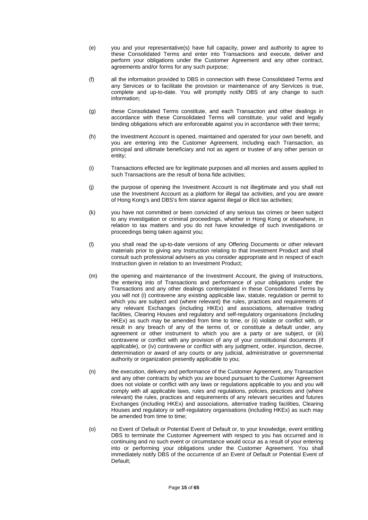- (e) you and your representative(s) have full capacity, power and authority to agree to these Consolidated Terms and enter into Transactions and execute, deliver and perform your obligations under the Customer Agreement and any other contract, agreements and/or forms for any such purpose;
- (f) all the information provided to DBS in connection with these Consolidated Terms and any Services or to facilitate the provision or maintenance of any Services is true, complete and up-to-date. You will promptly notify DBS of any change to such information;
- (g) these Consolidated Terms constitute, and each Transaction and other dealings in accordance with these Consolidated Terms will constitute, your valid and legally binding obligations which are enforceable against you in accordance with their terms;
- (h) the Investment Account is opened, maintained and operated for your own benefit, and you are entering into the Customer Agreement, including each Transaction, as principal and ultimate beneficiary and not as agent or trustee of any other person or entity;
- (i) Transactions effected are for legitimate purposes and all monies and assets applied to such Transactions are the result of bona fide activities;
- (j) the purpose of opening the Investment Account is not illegitimate and you shall not use the Investment Account as a platform for illegal tax activities, and you are aware of Hong Kong's and DBS's firm stance against illegal or illicit tax activities;
- (k) you have not committed or been convicted of any serious tax crimes or been subject to any investigation or criminal proceedings, whether in Hong Kong or elsewhere, in relation to tax matters and you do not have knowledge of such investigations or proceedings being taken against you;
- (l) you shall read the up-to-date versions of any Offering Documents or other relevant materials prior to giving any Instruction relating to that Investment Product and shall consult such professional advisers as you consider appropriate and in respect of each Instruction given in relation to an Investment Product;
- (m) the opening and maintenance of the Investment Account, the giving of Instructions, the entering into of Transactions and performance of your obligations under the Transactions and any other dealings contemplated in these Consolidated Terms by you will not (i) contravene any existing applicable law, statute, regulation or permit to which you are subject and (where relevant) the rules, practices and requirements of any relevant Exchanges (including HKEx) and associations, alternative trading facilities, Clearing Houses and regulatory and self-regulatory organisations (including HKEx) as such may be amended from time to time, or (ii) violate or conflict with, or result in any breach of any of the terms of, or constitute a default under, any agreement or other instrument to which you are a party or are subject, or (iii) contravene or conflict with any provision of any of your constitutional documents (if applicable), or (iv) contravene or conflict with any judgment, order, injunction, decree, determination or award of any courts or any judicial, administrative or governmental authority or organization presently applicable to you;
- (n) the execution, delivery and performance of the Customer Agreement, any Transaction and any other contracts by which you are bound pursuant to the Customer Agreement does not violate or conflict with any laws or regulations applicable to you and you will comply with all applicable laws, rules and regulations, policies, practices and (where relevant) the rules, practices and requirements of any relevant securities and futures Exchanges (including HKEx) and associations, alternative trading facilities, Clearing Houses and regulatory or self-regulatory organisations (including HKEx) as such may be amended from time to time;
- (o) no Event of Default or Potential Event of Default or, to your knowledge, event entitling DBS to terminate the Customer Agreement with respect to you has occurred and is continuing and no such event or circumstance would occur as a result of your entering into or performing your obligations under the Customer Agreement. You shall immediately notify DBS of the occurrence of an Event of Default or Potential Event of Default;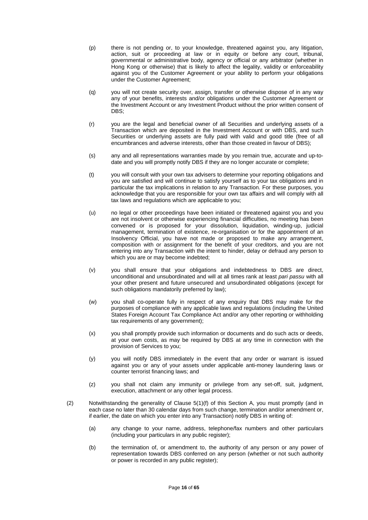- (p) there is not pending or, to your knowledge, threatened against you, any litigation, action, suit or proceeding at law or in equity or before any court, tribunal, governmental or administrative body, agency or official or any arbitrator (whether in Hong Kong or otherwise) that is likely to affect the legality, validity or enforceability against you of the Customer Agreement or your ability to perform your obligations under the Customer Agreement;
- (q) you will not create security over, assign, transfer or otherwise dispose of in any way any of your benefits, interests and/or obligations under the Customer Agreement or the Investment Account or any Investment Product without the prior written consent of DBS;
- (r) you are the legal and beneficial owner of all Securities and underlying assets of a Transaction which are deposited in the Investment Account or with DBS, and such Securities or underlying assets are fully paid with valid and good title (free of all encumbrances and adverse interests, other than those created in favour of DBS);
- (s) any and all representations warranties made by you remain true, accurate and up-todate and you will promptly notify DBS if they are no longer accurate or complete;
- (t) you will consult with your own tax advisers to determine your reporting obligations and you are satisfied and will continue to satisfy yourself as to your tax obligations and in particular the tax implications in relation to any Transaction. For these purposes, you acknowledge that you are responsible for your own tax affairs and will comply with all tax laws and regulations which are applicable to you;
- (u) no legal or other proceedings have been initiated or threatened against you and you are not insolvent or otherwise experiencing financial difficulties, no meeting has been convened or is proposed for your dissolution, liquidation, winding-up, judicial management, termination of existence, re-organisation or for the appointment of an Insolvency Official, you have not made or proposed to make any arrangement, composition with or assignment for the benefit of your creditors, and you are not entering into any Transaction with the intent to hinder, delay or defraud any person to which you are or may become indebted:
- (v) you shall ensure that your obligations and indebtedness to DBS are direct, unconditional and unsubordinated and will at all times rank at least *pari passu* with all your other present and future unsecured and unsubordinated obligations (except for such obligations mandatorily preferred by law);
- (w) you shall co-operate fully in respect of any enquiry that DBS may make for the purposes of compliance with any applicable laws and regulations (including the United States Foreign Account Tax Compliance Act and/or any other reporting or withholding tax requirements of any government);
- (x) you shall promptly provide such information or documents and do such acts or deeds, at your own costs, as may be required by DBS at any time in connection with the provision of Services to you;
- (y) you will notify DBS immediately in the event that any order or warrant is issued against you or any of your assets under applicable anti-money laundering laws or counter terrorist financing laws; and
- (z) you shall not claim any immunity or privilege from any set-off, suit, judgment, execution, attachment or any other legal process.
- (2) Notwithstanding the generality of Clause 5(1)(f) of this Section A, you must promptly (and in each case no later than 30 calendar days from such change, termination and/or amendment or, if earlier, the date on which you enter into any Transaction) notify DBS in writing of:
	- (a) any change to your name, address, telephone/fax numbers and other particulars (including your particulars in any public register);
	- (b) the termination of, or amendment to, the authority of any person or any power of representation towards DBS conferred on any person (whether or not such authority or power is recorded in any public register);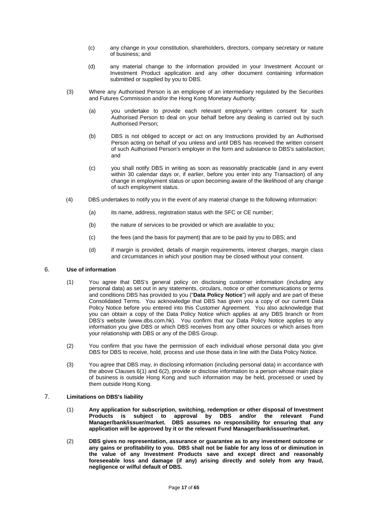- (c) any change in your constitution, shareholders, directors, company secretary or nature of business; and
- (d) any material change to the information provided in your Investment Account or Investment Product application and any other document containing information submitted or supplied by you to DBS.
- (3) Where any Authorised Person is an employee of an intermediary regulated by the Securities and Futures Commission and/or the Hong Kong Monetary Authority:
	- (a) you undertake to provide each relevant employer's written consent for such Authorised Person to deal on your behalf before any dealing is carried out by such Authorised Person;
	- (b) DBS is not obliged to accept or act on any Instructions provided by an Authorised Person acting on behalf of you unless and until DBS has received the written consent of such Authorised Person's employer in the form and substance to DBS's satisfaction; and
	- (c) you shall notify DBS in writing as soon as reasonably practicable (and in any event within 30 calendar days or, if earlier, before you enter into any Transaction) of any change in employment status or upon becoming aware of the likelihood of any change of such employment status.
- (4) DBS undertakes to notify you in the event of any material change to the following information:
	- (a) its name, address, registration status with the SFC or CE number;
	- (b) the nature of services to be provided or which are available to you;
	- (c) the fees (and the basis for payment) that are to be paid by you to DBS; and
	- (d) if margin is provided, details of margin requirements, interest charges, margin class and circumstances in which your position may be closed without your consent.

## 6. **Use of information**

- (1) You agree that DBS's general policy on disclosing customer information (including any personal data) as set out in any statements, circulars, notice or other communications or terms and conditions DBS has provided to you ("**Data Policy Notice**") will apply and are part of these Consolidated Terms. You acknowledge that DBS has given you a copy of our current Data Policy Notice before you entered into this Customer Agreement. You also acknowledge that you can obtain a copy of the Data Policy Notice which applies at any DBS branch or from DBS's website (www.dbs.com.hk). You confirm that our Data Policy Notice applies to any information you give DBS or which DBS receives from any other sources or which arises from your relationship with DBS or any of the DBS Group.
- (2) You confirm that you have the permission of each individual whose personal data you give DBS for DBS to receive, hold, process and use those data in line with the Data Policy Notice.
- (3) You agree that DBS may, in disclosing information (including personal data) in accordance with the above Clauses 6(1) and 6(2), provide or disclose information to a person whose main place of business is outside Hong Kong and such information may be held, processed or used by them outside Hong Kong.
- 7. **Limitations on DBS's liability** 
	- (1) **Any application for subscription, switching, redemption or other disposal of Investment**  is subject to approval by DBS **Manager/bank/issuer/market. DBS assumes no responsibility for ensuring that any application will be approved by it or the relevant Fund Manager/bank/issuer/market.**
	- (2) **DBS gives no representation, assurance or guarantee as to any investment outcome or any gains or profitability to you. DBS shall not be liable for any loss of or diminution in the value of any Investment Products save and except direct and reasonably foreseeable loss and damage (if any) arising directly and solely from any fraud, negligence or wilful default of DBS.**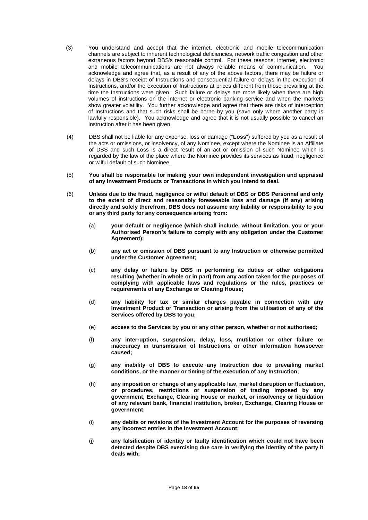- (3) You understand and accept that the internet, electronic and mobile telecommunication channels are subject to inherent technological deficiencies, network traffic congestion and other extraneous factors beyond DBS's reasonable control. For these reasons, internet, electronic and mobile telecommunications are not always reliable means of communication. You acknowledge and agree that, as a result of any of the above factors, there may be failure or delays in DBS's receipt of Instructions and consequential failure or delays in the execution of Instructions, and/or the execution of Instructions at prices different from those prevailing at the time the Instructions were given. Such failure or delays are more likely when there are high volumes of instructions on the internet or electronic banking service and when the markets show greater volatility. You further acknowledge and agree that there are risks of interception of Instructions and that such risks shall be borne by you (save only where another party is lawfully responsible). You acknowledge and agree that it is not usually possible to cancel an Instruction after it has been given.
- (4) DBS shall not be liable for any expense, loss or damage ("**Loss**") suffered by you as a result of the acts or omissions, or insolvency, of any Nominee, except where the Nominee is an Affiliate of DBS and such Loss is a direct result of an act or omission of such Nominee which is regarded by the law of the place where the Nominee provides its services as fraud, negligence or wilful default of such Nominee.
- (5) **You shall be responsible for making your own independent investigation and appraisal of any Investment Products or Transactions in which you intend to deal.**
- (6) **Unless due to the fraud, negligence or wilful default of DBS or DBS Personnel and only to the extent of direct and reasonably foreseeable loss and damage (if any) arising directly and solely therefrom, DBS does not assume any liability or responsibility to you or any third party for any consequence arising from:** 
	- (a) **your default or negligence (which shall include, without limitation, you or your Authorised Person's failure to comply with any obligation under the Customer Agreement);**
	- (b) **any act or omission of DBS pursuant to any Instruction or otherwise permitted under the Customer Agreement;**
	- (c) **any delay or failure by DBS in performing its duties or other obligations resulting (whether in whole or in part) from any action taken for the purposes of complying with applicable laws and regulations or the rules, practices or requirements of any Exchange or Clearing House;**
	- (d) **any liability for tax or similar charges payable in connection with any Investment Product or Transaction or arising from the utilisation of any of the Services offered by DBS to you;**
	- (e) **access to the Services by you or any other person, whether or not authorised;**
	- (f) **any interruption, suspension, delay, loss, mutilation or other failure or inaccuracy in transmission of Instructions or other information howsoever caused;**
	- (g) **any inability of DBS to execute any Instruction due to prevailing market conditions, or the manner or timing of the execution of any Instruction;**
	- (h) **any imposition or change of any applicable law, market disruption or fluctuation, or procedures, restrictions or suspension of trading imposed by any government, Exchange, Clearing House or market, or insolvency or liquidation of any relevant bank, financial institution, broker, Exchange, Clearing House or government;**
	- (i) **any debits or revisions of the Investment Account for the purposes of reversing any incorrect entries in the Investment Account;**
	- (j) **any falsification of identity or faulty identification which could not have been detected despite DBS exercising due care in verifying the identity of the party it deals with;**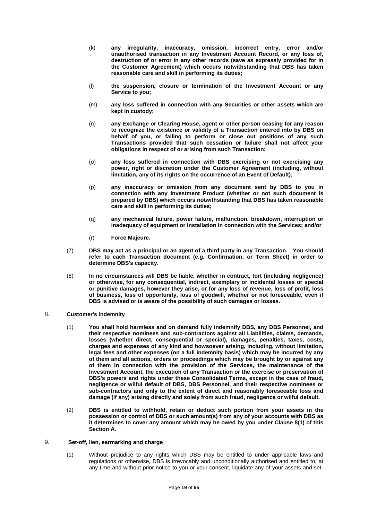- (k) **any irregularity, inaccuracy, omission, incorrect entry, error and/or unauthorised transaction in any Investment Account Record, or any loss of, destruction of or error in any other records (save as expressly provided for in the Customer Agreement) which occurs notwithstanding that DBS has taken reasonable care and skill in performing its duties;**
- (l) **the suspension, closure or termination of the Investment Account or any Service to you;**
- (m) **any loss suffered in connection with any Securities or other assets which are kept in custody;**
- (n) **any Exchange or Clearing House, agent or other person ceasing for any reason to recognize the existence or validity of a Transaction entered into by DBS on behalf of you, or failing to perform or close out positions of any such Transactions provided that such cessation or failure shall not affect your obligations in respect of or arising from such Transaction;**
- (o) **any loss suffered in connection with DBS exercising or not exercising any power, right or discretion under the Customer Agreement (including, without limitation, any of its rights on the occurrence of an Event of Default);**
- (p) **any inaccuracy or omission from any document sent by DBS to you in connection with any Investment Product (whether or not such document is prepared by DBS) which occurs notwithstanding that DBS has taken reasonable care and skill in performing its duties;**
- (q) **any mechanical failure, power failure, malfunction, breakdown, interruption or inadequacy of equipment or installation in connection with the Services; and/or**
- (r) **Force Majeure.**
- (7) **DBS may act as a principal or an agent of a third party in any Transaction. You should refer to each Transaction document (e.g. Confirmation, or Term Sheet) in order to determine DBS's capacity.**
- (8) **In no circumstances will DBS be liable, whether in contract, tort (including negligence) or otherwise, for any consequential, indirect, exemplary or incidental losses or special or punitive damages, however they arise, or for any loss of revenue, loss of profit, loss of business, loss of opportunity, loss of goodwill, whether or not foreseeable, even if DBS is advised or is aware of the possibility of such damages or losses.**
- 8. **Customer's indemnity** 
	- (1) **You shall hold harmless and on demand fully indemnify DBS, any DBS Personnel, and their respective nominees and sub-contractors against all Liabilities, claims, demands, losses (whether direct, consequential or special), damages, penalties, taxes, costs, charges and expenses of any kind and howsoever arising, including, without limitation, legal fees and other expenses (on a full indemnity basis) which may be incurred by any of them and all actions, orders or proceedings which may be brought by or against any of them in connection with the provision of the Services, the maintenance of the Investment Account, the execution of any Transaction or the exercise or preservation of DBS's powers and rights under these Consolidated Terms, except in the case of fraud, negligence or wilful default of DBS, DBS Personnel, and their respective nominees or sub-contractors and only to the extent of direct and reasonably foreseeable loss and damage (if any) arising directly and solely from such fraud, negligence or wilful default.**
	- (2) **DBS is entitled to withhold, retain or deduct such portion from your assets in the possession or control of DBS or such amount(s) from any of your accounts with DBS as it determines to cover any amount which may be owed by you under Clause 8(1) of this Section A.**

## 9. **Set-off, lien, earmarking and charge**

(1) Without prejudice to any rights which DBS may be entitled to under applicable laws and regulations or otherwise, DBS is irrevocably and unconditionally authorised and entitled to, at any time and without prior notice to you or your consent, liquidate any of your assets and set-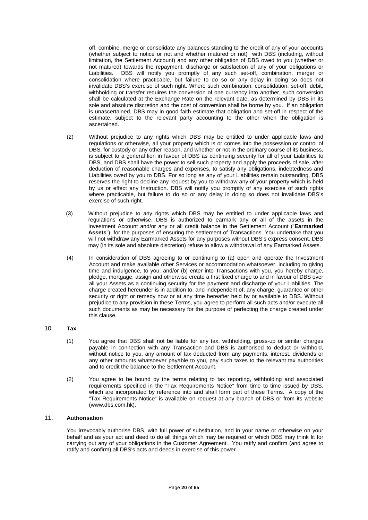off, combine, merge or consolidate any balances standing to the credit of any of your accounts (whether subject to notice or not and whether matured or not) with DBS (including, without limitation, the Settlement Account) and any other obligation of DBS owed to you (whether or not matured) towards the repayment, discharge or satisfaction of any of your obligations or Liabilities. DBS will notify you promptly of any such set-off, combination, merger or consolidation where practicable, but failure to do so or any delay in doing so does not invalidate DBS's exercise of such right. Where such combination, consolidation, set-off, debit, withholding or transfer requires the conversion of one currency into another, such conversion shall be calculated at the Exchange Rate on the relevant date, as determined by DBS in its sole and absolute discretion and the cost of conversion shall be borne by you. If an obligation is unascertained, DBS may in good faith estimate that obligation and set-off in respect of the estimate, subject to the relevant party accounting to the other when the obligation is ascertained.

- (2) Without prejudice to any rights which DBS may be entitled to under applicable laws and regulations or otherwise, all your property which is or comes into the possession or control of DBS, for custody or any other reason, and whether or not in the ordinary course of its business, is subject to a general lien in favour of DBS as continuing security for all of your Liabilities to DBS, and DBS shall have the power to sell such property and apply the proceeds of sale, after deduction of reasonable charges and expenses, to satisfy any obligations, indebtedness and Liabilities owed by you to DBS. For so long as any of your Liabilities remain outstanding, DBS reserves the right to decline any request by you to withdraw any of your property which is held by us or effect any Instruction. DBS will notify you promptly of any exercise of such rights where practicable, but failure to do so or any delay in doing so does not invalidate DBS's exercise of such right.
- (3) Without prejudice to any rights which DBS may be entitled to under applicable laws and regulations or otherwise, DBS is authorized to earmark any or all of the assets in the Investment Account and/or any or all credit balance in the Settlement Account ("**Earmarked Assets**"), for the purposes of ensuring the settlement of Transactions. You undertake that you will not withdraw any Earmarked Assets for any purposes without DBS's express consent. DBS may (in its sole and absolute discretion) refuse to allow a withdrawal of any Earmarked Assets.
- (4) In consideration of DBS agreeing to or continuing to (a) open and operate the Investment Account and make available other Services or accommodation whatsoever, including to giving time and indulgence, to you; and/or (b) enter into Transactions with you, you hereby charge, pledge, mortgage, assign and otherwise create a first fixed charge to and in favour of DBS over all your Assets as a continuing security for the payment and discharge of your Liabilities. The charge created hereunder is in addition to, and independent of, any charge, guarantee or other security or right or remedy now or at any time hereafter held by or available to DBS. Without prejudice to any provision in these Terms, you agree to perform all such acts and/or execute all such documents as may be necessary for the purpose of perfecting the charge created under this clause.

# 10. **Tax**

- (1) You agree that DBS shall not be liable for any tax, withholding, gross-up or similar charges payable in connection with any Transaction and DBS is authorised to deduct or withhold, without notice to you, any amount of tax deducted from any payments, interest, dividends or any other amounts whatsoever payable to you, pay such taxes to the relevant tax authorities and to credit the balance to the Settlement Account.
- (2) You agree to be bound by the terms relating to tax reporting, withholding and associated requirements specified in the "Tax Requirements Notice" from time to time issued by DBS, which are incorporated by reference into and shall form part of these Terms. A copy of the "Tax Requirements Notice" is available on request at any branch of DBS or from its website (www.dbs.com.hk).

## 11. **Authorisation**

You irrevocably authorise DBS, with full power of substitution, and in your name or otherwise on your behalf and as your act and deed to do all things which may be required or which DBS may think fit for carrying out any of your obligations in the Customer Agreement. You ratify and confirm (and agree to ratify and confirm) all DBS's acts and deeds in exercise of this power.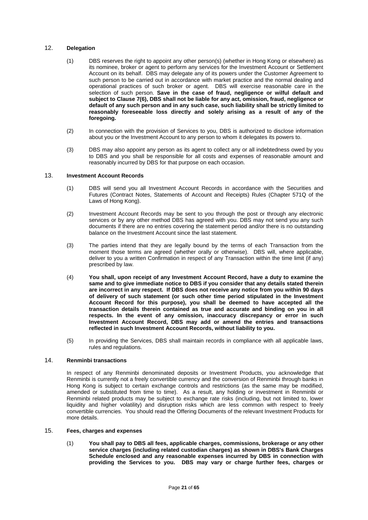## 12. **Delegation**

- (1) DBS reserves the right to appoint any other person(s) (whether in Hong Kong or elsewhere) as its nominee, broker or agent to perform any services for the Investment Account or Settlement Account on its behalf. DBS may delegate any of its powers under the Customer Agreement to such person to be carried out in accordance with market practice and the normal dealing and operational practices of such broker or agent. DBS will exercise reasonable care in the selection of such person. **Save in the case of fraud, negligence or wilful default and subject to Clause 7(6), DBS shall not be liable for any act, omission, fraud, negligence or default of any such person and in any such case, such liability shall be strictly limited to reasonably foreseeable loss directly and solely arising as a result of any of the foregoing.**
- (2) In connection with the provision of Services to you, DBS is authorized to disclose information about you or the Investment Account to any person to whom it delegates its powers to.
- (3) DBS may also appoint any person as its agent to collect any or all indebtedness owed by you to DBS and you shall be responsible for all costs and expenses of reasonable amount and reasonably incurred by DBS for that purpose on each occasion.

#### 13. **Investment Account Records**

- (1) DBS will send you all Investment Account Records in accordance with the Securities and Futures (Contract Notes, Statements of Account and Receipts) Rules (Chapter 571Q of the Laws of Hong Kong).
- (2) Investment Account Records may be sent to you through the post or through any electronic services or by any other method DBS has agreed with you. DBS may not send you any such documents if there are no entries covering the statement period and/or there is no outstanding balance on the Investment Account since the last statement.
- (3) The parties intend that they are legally bound by the terms of each Transaction from the moment those terms are agreed (whether orally or otherwise). DBS will, where applicable, deliver to you a written Confirmation in respect of any Transaction within the time limit (if any) prescribed by law.
- (4) **You shall, upon receipt of any Investment Account Record, have a duty to examine the same and to give immediate notice to DBS if you consider that any details stated therein are incorrect in any respect. If DBS does not receive any notice from you within 90 days of delivery of such statement (or such other time period stipulated in the Investment Account Record for this purpose), you shall be deemed to have accepted all the transaction details therein contained as true and accurate and binding on you in all respects. In the event of any omission, inaccuracy discrepancy or error in such Investment Account Record, DBS may add or amend the entries and transactions reflected in such Investment Account Records, without liability to you.**
- (5) In providing the Services, DBS shall maintain records in compliance with all applicable laws, rules and regulations.

## 14. **Renminbi transactions**

In respect of any Renminbi denominated deposits or Investment Products, you acknowledge that Renminbi is currently not a freely convertible currency and the conversion of Renminbi through banks in Hong Kong is subject to certain exchange controls and restrictions (as the same may be modified, amended or substituted from time to time). As a result, any holding or investment in Renminbi or Renminbi related products may be subject to exchange rate risks (including, but not limited to, lower liquidity and higher volatility) and disruption risks which are less common with respect to freely convertible currencies. You should read the Offering Documents of the relevant Investment Products for more details.

# 15. **Fees, charges and expenses**

(1) **You shall pay to DBS all fees, applicable charges, commissions, brokerage or any other service charges (including related custodian charges) as shown in DBS's Bank Charges Schedule enclosed and any reasonable expenses incurred by DBS in connection with providing the Services to you. DBS may vary or charge further fees, charges or**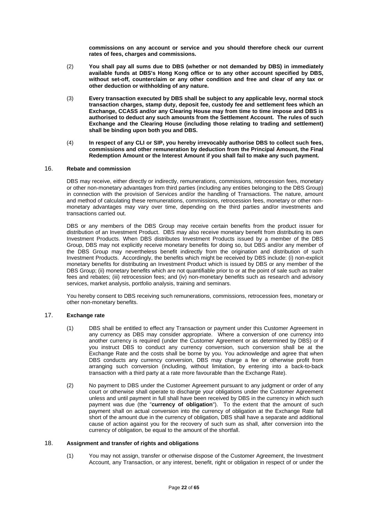**commissions on any account or service and you should therefore check our current rates of fees, charges and commissions.** 

- (2) **You shall pay all sums due to DBS (whether or not demanded by DBS) in immediately available funds at DBS's Hong Kong office or to any other account specified by DBS, without set-off, counterclaim or any other condition and free and clear of any tax or other deduction or withholding of any nature.**
- (3) **Every transaction executed by DBS shall be subject to any applicable levy, normal stock transaction charges, stamp duty, deposit fee, custody fee and settlement fees which an Exchange, CCASS and/or any Clearing House may from time to time impose and DBS is authorised to deduct any such amounts from the Settlement Account. The rules of such Exchange and the Clearing House (including those relating to trading and settlement) shall be binding upon both you and DBS.**
- (4) **In respect of any CLI or SIP, you hereby irrevocably authorise DBS to collect such fees, commissions and other remuneration by deduction from the Principal Amount, the Final Redemption Amount or the Interest Amount if you shall fail to make any such payment.**

## 16. **Rebate and commission**

DBS may receive, either directly or indirectly, remunerations, commissions, retrocession fees, monetary or other non-monetary advantages from third parties (including any entities belonging to the DBS Group) in connection with the provision of Services and/or the handling of Transactions. The nature, amount and method of calculating these remunerations, commissions, retrocession fees, monetary or other nonmonetary advantages may vary over time, depending on the third parties and/or investments and transactions carried out.

DBS or any members of the DBS Group may receive certain benefits from the product issuer for distribution of an Investment Product. DBS may also receive monetary benefit from distributing its own Investment Products. When DBS distributes Investment Products issued by a member of the DBS Group, DBS may not explicitly receive monetary benefits for doing so, but DBS and/or any member of the DBS Group may nevertheless benefit indirectly from the origination and distribution of such Investment Products. Accordingly, the benefits which might be received by DBS include: (i) non-explicit monetary benefits for distributing an Investment Product which is issued by DBS or any member of the DBS Group; (ii) monetary benefits which are not quantifiable prior to or at the point of sale such as trailer fees and rebates; (iii) retrocession fees; and (iv) non-monetary benefits such as research and advisory services, market analysis, portfolio analysis, training and seminars.

You hereby consent to DBS receiving such remunerations, commissions, retrocession fees, monetary or other non-monetary benefits.

# 17. **Exchange rate**

- (1) DBS shall be entitled to effect any Transaction or payment under this Customer Agreement in any currency as DBS may consider appropriate. Where a conversion of one currency into another currency is required (under the Customer Agreement or as determined by DBS) or if you instruct DBS to conduct any currency conversion, such conversion shall be at the Exchange Rate and the costs shall be borne by you. You acknowledge and agree that when DBS conducts any currency conversion, DBS may charge a fee or otherwise profit from arranging such conversion (including, without limitation, by entering into a back-to-back transaction with a third party at a rate more favourable than the Exchange Rate).
- (2) No payment to DBS under the Customer Agreement pursuant to any judgment or order of any court or otherwise shall operate to discharge your obligations under the Customer Agreement unless and until payment in full shall have been received by DBS in the currency in which such payment was due (the "**currency of obligation**"). To the extent that the amount of such payment shall on actual conversion into the currency of obligation at the Exchange Rate fall short of the amount due in the currency of obligation, DBS shall have a separate and additional cause of action against you for the recovery of such sum as shall, after conversion into the currency of obligation, be equal to the amount of the shortfall.

#### 18. **Assignment and transfer of rights and obligations**

(1) You may not assign, transfer or otherwise dispose of the Customer Agreement, the Investment Account, any Transaction, or any interest, benefit, right or obligation in respect of or under the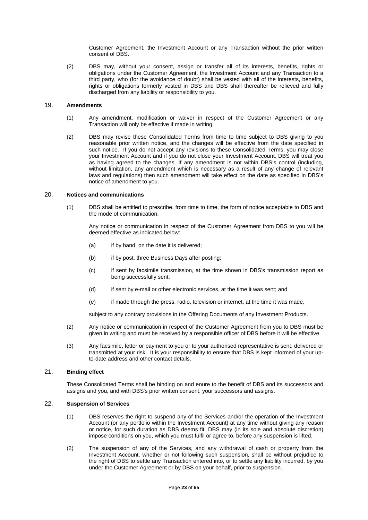Customer Agreement, the Investment Account or any Transaction without the prior written consent of DBS.

(2) DBS may, without your consent, assign or transfer all of its interests, benefits, rights or obligations under the Customer Agreement, the Investment Account and any Transaction to a third party, who (for the avoidance of doubt) shall be vested with all of the interests, benefits, rights or obligations formerly vested in DBS and DBS shall thereafter be relieved and fully discharged from any liability or responsibility to you.

## 19. **Amendments**

- (1) Any amendment, modification or waiver in respect of the Customer Agreement or any Transaction will only be effective if made in writing.
- (2) DBS may revise these Consolidated Terms from time to time subject to DBS giving to you reasonable prior written notice, and the changes will be effective from the date specified in such notice. If you do not accept any revisions to these Consolidated Terms, you may close your Investment Account and if you do not close your Investment Account, DBS will treat you as having agreed to the changes. If any amendment is not within DBS's control (including, without limitation, any amendment which is necessary as a result of any change of relevant laws and regulations) then such amendment will take effect on the date as specified in DBS's notice of amendment to you.

#### 20. **Notices and communications**

(1) DBS shall be entitled to prescribe, from time to time, the form of notice acceptable to DBS and the mode of communication.

Any notice or communication in respect of the Customer Agreement from DBS to you will be deemed effective as indicated below:

- (a) if by hand, on the date it is delivered;
- (b) if by post, three Business Days after posting;
- (c) if sent by facsimile transmission, at the time shown in DBS's transmission report as being successfully sent;
- (d) if sent by e-mail or other electronic services, at the time it was sent; and
- (e) if made through the press, radio, television or internet, at the time it was made,

subject to any contrary provisions in the Offering Documents of any Investment Products.

- (2) Any notice or communication in respect of the Customer Agreement from you to DBS must be given in writing and must be received by a responsible officer of DBS before it will be effective.
- (3) Any facsimile, letter or payment to you or to your authorised representative is sent, delivered or transmitted at your risk. It is your responsibility to ensure that DBS is kept informed of your upto-date address and other contact details.

## 21. **Binding effect**

These Consolidated Terms shall be binding on and enure to the benefit of DBS and its successors and assigns and you, and with DBS's prior written consent, your successors and assigns.

## 22. **Suspension of Services**

- (1) DBS reserves the right to suspend any of the Services and/or the operation of the Investment Account (or any portfolio within the Investment Account) at any time without giving any reason or notice, for such duration as DBS deems fit. DBS may (in its sole and absolute discretion) impose conditions on you, which you must fulfil or agree to, before any suspension is lifted.
- (2) The suspension of any of the Services, and any withdrawal of cash or property from the Investment Account, whether or not following such suspension, shall be without prejudice to the right of DBS to settle any Transaction entered into, or to settle any liability incurred, by you under the Customer Agreement or by DBS on your behalf, prior to suspension.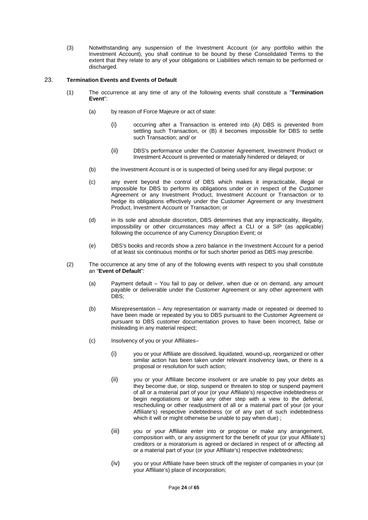(3) Notwithstanding any suspension of the Investment Account (or any portfolio within the Investment Account), you shall continue to be bound by these Consolidated Terms to the extent that they relate to any of your obligations or Liabilities which remain to be performed or discharged.

## 23. **Termination Events and Events of Default**

- (1) The occurrence at any time of any of the following events shall constitute a "**Termination Event**":
	- (a) by reason of Force Majeure or act of state:
		- (i) occurring after a Transaction is entered into (A) DBS is prevented from settling such Transaction, or (B) it becomes impossible for DBS to settle such Transaction; and/ or
		- (ii) DBS's performance under the Customer Agreement, Investment Product or Investment Account is prevented or materially hindered or delayed; or
	- (b) the Investment Account is or is suspected of being used for any illegal purpose; or
	- (c) any event beyond the control of DBS which makes it impracticable, illegal or impossible for DBS to perform its obligations under or in respect of the Customer Agreement or any Investment Product, Investment Account or Transaction or to hedge its obligations effectively under the Customer Agreement or any Investment Product, Investment Account or Transaction; or
	- (d) in its sole and absolute discretion, DBS determines that any impracticality, illegality, impossibility or other circumstances may affect a CLI or a SIP (as applicable) following the occurrence of any Currency Disruption Event; or
	- (e) DBS's books and records show a zero balance in the Investment Account for a period of at least six continuous months or for such shorter period as DBS may prescribe.
- (2) The occurrence at any time of any of the following events with respect to you shall constitute an "**Event of Default**":
	- (a) Payment default You fail to pay or deliver, when due or on demand, any amount payable or deliverable under the Customer Agreement or any other agreement with DBS:
	- (b) Misrepresentation Any representation or warranty made or repeated or deemed to have been made or repeated by you to DBS pursuant to the Customer Agreement or pursuant to DBS customer documentation proves to have been incorrect, false or misleading in any material respect;
	- (c) Insolvency of you or your Affiliates–
		- (i) you or your Affiliate are dissolved, liquidated, wound-up, reorganized or other similar action has been taken under relevant insolvency laws, or there is a proposal or resolution for such action;
		- (ii) you or your Affiliate become insolvent or are unable to pay your debts as they become due, or stop, suspend or threaten to stop or suspend payment of all or a material part of your (or your Affiliate's) respective indebtedness or begin negotiations or take any other step with a view to the deferral, rescheduling or other readjustment of all or a material part of your (or your Affiliate's) respective indebtedness (or of any part of such indebtedness which it will or might otherwise be unable to pay when due) ;
		- (iii) you or your Affiliate enter into or propose or make any arrangement, composition with, or any assignment for the benefit of your (or your Affiliate's) creditors or a moratorium is agreed or declared in respect of or affecting all or a material part of your (or your Affiliate's) respective indebtedness;
		- (iv) you or your Affiliate have been struck off the register of companies in your (or your Affiliate's) place of incorporation;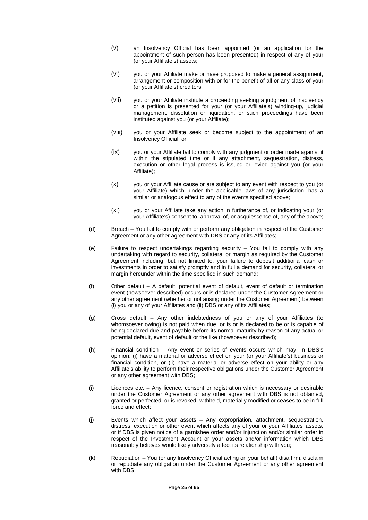- (v) an Insolvency Official has been appointed (or an application for the appointment of such person has been presented) in respect of any of your (or your Affiliate's) assets;
- (vi) you or your Affiliate make or have proposed to make a general assignment, arrangement or composition with or for the benefit of all or any class of your (or your Affiliate's) creditors;
- (vii) you or your Affiliate institute a proceeding seeking a judgment of insolvency or a petition is presented for your (or your Affiliate's) winding-up, judicial management, dissolution or liquidation, or such proceedings have been instituted against you (or your Affiliate);
- (viii) you or your Affiliate seek or become subject to the appointment of an Insolvency Official; or
- (ix) you or your Affiliate fail to comply with any judgment or order made against it within the stipulated time or if any attachment, sequestration, distress, execution or other legal process is issued or levied against you (or your Affiliate);
- (x) you or your Affiliate cause or are subject to any event with respect to you (or your Affiliate) which, under the applicable laws of any jurisdiction, has a similar or analogous effect to any of the events specified above;
- (xi) you or your Affiliate take any action in furtherance of, or indicating your (or your Affiliate's) consent to, approval of, or acquiescence of, any of the above;
- (d) Breach You fail to comply with or perform any obligation in respect of the Customer Agreement or any other agreement with DBS or any of its Affiliates;
- (e) Failure to respect undertakings regarding security You fail to comply with any undertaking with regard to security, collateral or margin as required by the Customer Agreement including, but not limited to, your failure to deposit additional cash or investments in order to satisfy promptly and in full a demand for security, collateral or margin hereunder within the time specified in such demand;
- (f) Other default A default, potential event of default, event of default or termination event (howsoever described) occurs or is declared under the Customer Agreement or any other agreement (whether or not arising under the Customer Agreement) between (i) you or any of your Affiliates and (ii) DBS or any of its Affiliates;
- (g) Cross default Any other indebtedness of you or any of your Affiliates (to whomsoever owing) is not paid when due, or is or is declared to be or is capable of being declared due and payable before its normal maturity by reason of any actual or potential default, event of default or the like (howsoever described);
- (h) Financial condition Any event or series of events occurs which may, in DBS's opinion: (i) have a material or adverse effect on your (or your Affiliate's) business or financial condition, or (ii) have a material or adverse effect on your ability or any Affiliate's ability to perform their respective obligations under the Customer Agreement or any other agreement with DBS;
- (i) Licences etc. Any licence, consent or registration which is necessary or desirable under the Customer Agreement or any other agreement with DBS is not obtained, granted or perfected, or is revoked, withheld, materially modified or ceases to be in full force and effect;
- (j) Events which affect your assets Any expropriation, attachment, sequestration, distress, execution or other event which affects any of your or your Affiliates' assets, or if DBS is given notice of a garnishee order and/or injunction and/or similar order in respect of the Investment Account or your assets and/or information which DBS reasonably believes would likely adversely affect its relationship with you;
- (k) Repudiation You (or any Insolvency Official acting on your behalf) disaffirm, disclaim or repudiate any obligation under the Customer Agreement or any other agreement with DBS: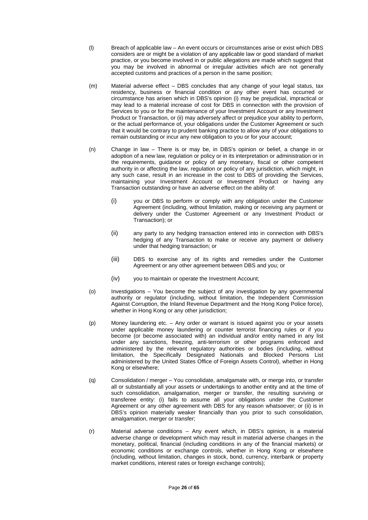- (l) Breach of applicable law An event occurs or circumstances arise or exist which DBS considers are or might be a violation of any applicable law or good standard of market practice, or you become involved in or public allegations are made which suggest that you may be involved in abnormal or irregular activities which are not generally accepted customs and practices of a person in the same position;
- (m) Material adverse effect DBS concludes that any change of your legal status, tax residency, business or financial condition or any other event has occurred or circumstance has arisen which in DBS's opinion (i) may be prejudicial, impractical or may lead to a material increase of cost for DBS in connection with the provision of Services to you or for the maintenance of your Investment Account or any Investment Product or Transaction, or (ii) may adversely affect or prejudice your ability to perform, or the actual performance of, your obligations under the Customer Agreement or such that it would be contrary to prudent banking practice to allow any of your obligations to remain outstanding or incur any new obligation to you or for your account;
- (n) Change in law There is or may be, in DBS's opinion or belief, a change in or adoption of a new law, regulation or policy or in its interpretation or administration or in the requirements, guidance or policy of any monetary, fiscal or other competent authority in or affecting the law, regulation or policy of any jurisdiction, which might, in any such case, result in an increase in the cost to DBS of providing the Services, maintaining your Investment Account or Investment Product or having any Transaction outstanding or have an adverse effect on the ability of:
	- (i) you or DBS to perform or comply with any obligation under the Customer Agreement (including, without limitation, making or receiving any payment or delivery under the Customer Agreement or any Investment Product or Transaction); or
	- (ii) any party to any hedging transaction entered into in connection with DBS's hedging of any Transaction to make or receive any payment or delivery under that hedging transaction; or
	- (iii) DBS to exercise any of its rights and remedies under the Customer Agreement or any other agreement between DBS and you; or
	- (iv) you to maintain or operate the Investment Account;
- (o) Investigations You become the subject of any investigation by any governmental authority or regulator (including, without limitation, the Independent Commission Against Corruption, the Inland Revenue Department and the Hong Kong Police force), whether in Hong Kong or any other jurisdiction;
- (p) Money laundering etc. Any order or warrant is issued against you or your assets under applicable money laundering or counter terrorist financing rules or if you become (or become associated with) an individual and/or entity named in any list under any sanctions, freezing, anti-terrorism or other programs enforced and administered by the relevant regulatory authorities or bodies (including, without limitation, the Specifically Designated Nationals and Blocked Persons List administered by the United States Office of Foreign Assets Control), whether in Hong Kong or elsewhere;
- (q) Consolidation / merger You consolidate, amalgamate with, or merge into, or transfer all or substantially all your assets or undertakings to another entity and at the time of such consolidation, amalgamation, merger or transfer, the resulting surviving or transferee entity: (i) fails to assume all your obligations under the Customer Agreement or any other agreement with DBS for any reason whatsoever; or (ii) is in DBS's opinion materially weaker financially than you prior to such consolidation, amalgamation, merger or transfer;
- (r) Material adverse conditions Any event which, in DBS's opinion, is a material adverse change or development which may result in material adverse changes in the monetary, political, financial (including conditions in any of the financial markets) or economic conditions or exchange controls, whether in Hong Kong or elsewhere (including, without limitation, changes in stock, bond, currency, interbank or property market conditions, interest rates or foreign exchange controls);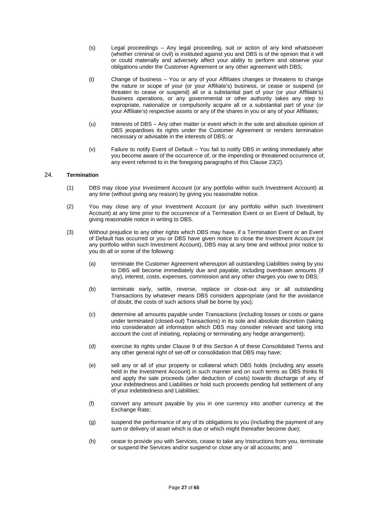- (s) Legal proceedings Any legal proceeding, suit or action of any kind whatsoever (whether criminal or civil) is instituted against you and DBS is of the opinion that it will or could materially and adversely affect your ability to perform and observe your obligations under the Customer Agreement or any other agreement with DBS;
- (t) Change of business You or any of your Affiliates changes or threatens to change the nature or scope of your (or your Affiliate's) business, or cease or suspend (or threaten to cease or suspend) all or a substantial part of your (or your Affiliate's) business operations, or any governmental or other authority takes any step to expropriate, nationalize or compulsorily acquire all or a substantial part of your (or your Affiliate's) respective assets or any of the shares in you or any of your Affiliates;
- (u) Interests of DBS Any other matter or event which in the sole and absolute opinion of DBS jeopardises its rights under the Customer Agreement or renders termination necessary or advisable in the interests of DBS; or
- (v) Failure to notify Event of Default You fail to notify DBS in writing immediately after you become aware of the occurrence of, or the impending or threatened occurrence of, any event referred to in the foregoing paragraphs of this Clause 23(2).

## 24. **Termination**

- (1) DBS may close your Investment Account (or any portfolio within such Investment Account) at any time (without giving any reason) by giving you reasonable notice.
- (2) You may close any of your Investment Account (or any portfolio within such Investment Account) at any time prior to the occurrence of a Termination Event or an Event of Default, by giving reasonable notice in writing to DBS.
- (3) Without prejudice to any other rights which DBS may have, if a Termination Event or an Event of Default has occurred or you or DBS have given notice to close the Investment Account (or any portfolio within such Investment Account), DBS may at any time and without prior notice to you do all or some of the following:
	- (a) terminate the Customer Agreement whereupon all outstanding Liabilities owing by you to DBS will become immediately due and payable, including overdrawn amounts (if any), interest, costs, expenses, commission and any other charges you owe to DBS;
	- (b) terminate early, settle, reverse, replace or close-out any or all outstanding Transactions by whatever means DBS considers appropriate (and for the avoidance of doubt, the costs of such actions shall be borne by you);
	- (c) determine all amounts payable under Transactions (including losses or costs or gains under terminated (closed-out) Transactions) in its sole and absolute discretion (taking into consideration all information which DBS may consider relevant and taking into account the cost of initiating, replacing or terminating any hedge arrangement);
	- (d) exercise its rights under Clause 9 of this Section A of these Consolidated Terms and any other general right of set-off or consolidation that DBS may have;
	- (e) sell any or all of your property or collateral which DBS holds (including any assets held in the Investment Account) in such manner and on such terms as DBS thinks fit and apply the sale proceeds (after deduction of costs) towards discharge of any of your indebtedness and Liabilities or hold such proceeds pending full settlement of any of your indebtedness and Liabilities;
	- (f) convert any amount payable by you in one currency into another currency at the Exchange Rate:
	- (g) suspend the performance of any of its obligations to you (including the payment of any sum or delivery of asset which is due or which might thereafter become due);
	- (h) cease to provide you with Services, cease to take any Instructions from you, terminate or suspend the Services and/or suspend or close any or all accounts; and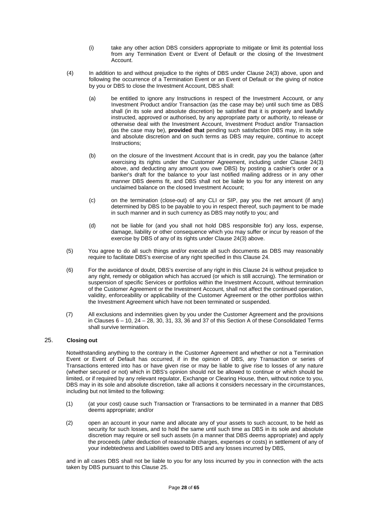- (i) take any other action DBS considers appropriate to mitigate or limit its potential loss from any Termination Event or Event of Default or the closing of the Investment Account.
- (4) In addition to and without prejudice to the rights of DBS under Clause 24(3) above, upon and following the occurrence of a Termination Event or an Event of Default or the giving of notice by you or DBS to close the Investment Account, DBS shall:
	- (a) be entitled to ignore any Instructions in respect of the Investment Account, or any Investment Product and/or Transaction (as the case may be) until such time as DBS shall (in its sole and absolute discretion) be satisfied that it is properly and lawfully instructed, approved or authorised, by any appropriate party or authority, to release or otherwise deal with the Investment Account, Investment Product and/or Transaction (as the case may be), **provided that** pending such satisfaction DBS may, in its sole and absolute discretion and on such terms as DBS may require, continue to accept Instructions;
	- (b) on the closure of the Investment Account that is in credit, pay you the balance (after exercising its rights under the Customer Agreement, including under Clause 24(3) above, and deducting any amount you owe DBS) by posting a cashier's order or a banker's draft for the balance to your last notified mailing address or in any other manner DBS deems fit, and DBS shall not be liable to you for any interest on any unclaimed balance on the closed Investment Account;
	- (c) on the termination (close-out) of any CLI or SIP, pay you the net amount (if any) determined by DBS to be payable to you in respect thereof, such payment to be made in such manner and in such currency as DBS may notify to you; and
	- (d) not be liable for (and you shall not hold DBS responsible for) any loss, expense, damage, liability or other consequence which you may suffer or incur by reason of the exercise by DBS of any of its rights under Clause 24(3) above.
- (5) You agree to do all such things and/or execute all such documents as DBS may reasonably require to facilitate DBS's exercise of any right specified in this Clause 24.
- (6) For the avoidance of doubt, DBS's exercise of any right in this Clause 24 is without prejudice to any right, remedy or obligation which has accrued (or which is still accruing). The termination or suspension of specific Services or portfolios within the Investment Account, without termination of the Customer Agreement or the Investment Account, shall not affect the continued operation, validity, enforceability or applicability of the Customer Agreement or the other portfolios within the Investment Agreement which have not been terminated or suspended.
- (7) All exclusions and indemnities given by you under the Customer Agreement and the provisions in Clauses  $6 - 10$ ,  $24 - 28$ ,  $30$ ,  $31$ ,  $33$ ,  $36$  and  $37$  of this Section A of these Consolidated Terms shall survive termination.

## 25. **Closing out**

Notwithstanding anything to the contrary in the Customer Agreement and whether or not a Termination Event or Event of Default has occurred, if in the opinion of DBS, any Transaction or series of Transactions entered into has or have given rise or may be liable to give rise to losses of any nature (whether secured or not) which in DBS's opinion should not be allowed to continue or which should be limited, or if required by any relevant regulator, Exchange or Clearing House, then, without notice to you, DBS may in its sole and absolute discretion, take all actions it considers necessary in the circumstances, including but not limited to the following:

- (1) (at your cost) cause such Transaction or Transactions to be terminated in a manner that DBS deems appropriate; and/or
- (2) open an account in your name and allocate any of your assets to such account, to be held as security for such losses, and to hold the same until such time as DBS in its sole and absolute discretion may require or sell such assets (in a manner that DBS deems appropriate) and apply the proceeds (after deduction of reasonable charges, expenses or costs) in settlement of any of your indebtedness and Liabilities owed to DBS and any losses incurred by DBS,

and in all cases DBS shall not be liable to you for any loss incurred by you in connection with the acts taken by DBS pursuant to this Clause 25.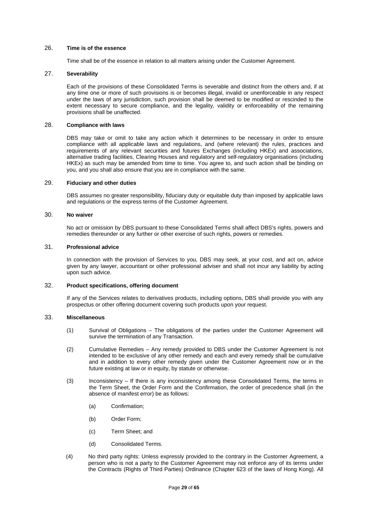## 26. **Time is of the essence**

Time shall be of the essence in relation to all matters arising under the Customer Agreement.

#### 27. **Severability**

Each of the provisions of these Consolidated Terms is severable and distinct from the others and, if at any time one or more of such provisions is or becomes illegal, invalid or unenforceable in any respect under the laws of any jurisdiction, such provision shall be deemed to be modified or rescinded to the extent necessary to secure compliance, and the legality, validity or enforceability of the remaining provisions shall be unaffected.

# 28. **Compliance with laws**

DBS may take or omit to take any action which it determines to be necessary in order to ensure compliance with all applicable laws and regulations, and (where relevant) the rules, practices and requirements of any relevant securities and futures Exchanges (including HKEx) and associations, alternative trading facilities, Clearing Houses and regulatory and self-regulatory organisations (including HKEx) as such may be amended from time to time. You agree to, and such action shall be binding on you, and you shall also ensure that you are in compliance with the same.

#### 29. **Fiduciary and other duties**

DBS assumes no greater responsibility, fiduciary duty or equitable duty than imposed by applicable laws and regulations or the express terms of the Customer Agreement.

#### 30. **No waiver**

No act or omission by DBS pursuant to these Consolidated Terms shall affect DBS's rights, powers and remedies thereunder or any further or other exercise of such rights, powers or remedies.

## 31. **Professional advice**

In connection with the provision of Services to you, DBS may seek, at your cost, and act on, advice given by any lawyer, accountant or other professional adviser and shall not incur any liability by acting upon such advice.

#### 32. **Product specifications, offering document**

If any of the Services relates to derivatives products, including options, DBS shall provide you with any prospectus or other offering document covering such products upon your request.

## 33. **Miscellaneous**

- (1) Survival of Obligations The obligations of the parties under the Customer Agreement will survive the termination of any Transaction.
- (2) Cumulative Remedies Any remedy provided to DBS under the Customer Agreement is not intended to be exclusive of any other remedy and each and every remedy shall be cumulative and in addition to every other remedy given under the Customer Agreement now or in the future existing at law or in equity, by statute or otherwise.
- (3) Inconsistency If there is any inconsistency among these Consolidated Terms, the terms in the Term Sheet, the Order Form and the Confirmation, the order of precedence shall (in the absence of manifest error) be as follows:
	- (a) Confirmation;
	- (b) Order Form;
	- (c) Term Sheet; and
	- (d) Consolidated Terms.
- (4) No third party rights: Unless expressly provided to the contrary in the Customer Agreement, a person who is not a party to the Customer Agreement may not enforce any of its terms under the Contracts (Rights of Third Parties) Ordinance (Chapter 623 of the laws of Hong Kong). All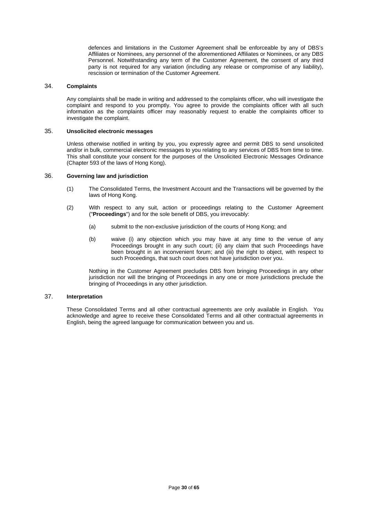defences and limitations in the Customer Agreement shall be enforceable by any of DBS's Affiliates or Nominees, any personnel of the aforementioned Affiliates or Nominees, or any DBS Personnel. Notwithstanding any term of the Customer Agreement, the consent of any third party is not required for any variation (including any release or compromise of any liability), rescission or termination of the Customer Agreement.

#### 34. **Complaints**

Any complaints shall be made in writing and addressed to the complaints officer, who will investigate the complaint and respond to you promptly. You agree to provide the complaints officer with all such information as the complaints officer may reasonably request to enable the complaints officer to investigate the complaint.

## 35. **Unsolicited electronic messages**

Unless otherwise notified in writing by you, you expressly agree and permit DBS to send unsolicited and/or in bulk, commercial electronic messages to you relating to any services of DBS from time to time. This shall constitute your consent for the purposes of the Unsolicited Electronic Messages Ordinance (Chapter 593 of the laws of Hong Kong).

## 36. **Governing law and jurisdiction**

- (1) The Consolidated Terms, the Investment Account and the Transactions will be governed by the laws of Hong Kong.
- (2) With respect to any suit, action or proceedings relating to the Customer Agreement ("**Proceedings**") and for the sole benefit of DBS, you irrevocably:
	- (a) submit to the non-exclusive jurisdiction of the courts of Hong Kong; and
	- (b) waive (i) any objection which you may have at any time to the venue of any Proceedings brought in any such court; (ii) any claim that such Proceedings have been brought in an inconvenient forum; and (iii) the right to object, with respect to such Proceedings, that such court does not have jurisdiction over you.

Nothing in the Customer Agreement precludes DBS from bringing Proceedings in any other jurisdiction nor will the bringing of Proceedings in any one or more jurisdictions preclude the bringing of Proceedings in any other jurisdiction.

#### 37. **Interpretation**

These Consolidated Terms and all other contractual agreements are only available in English. You acknowledge and agree to receive these Consolidated Terms and all other contractual agreements in English, being the agreed language for communication between you and us.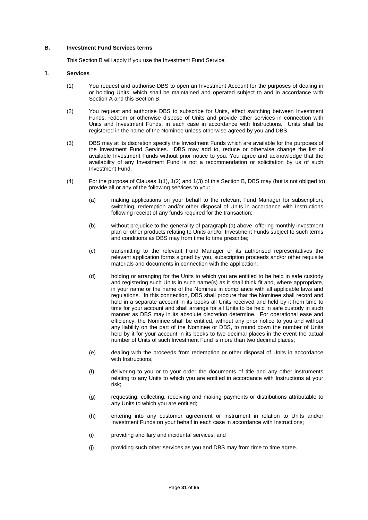#### **B. Investment Fund Services terms**

This Section B will apply if you use the Investment Fund Service.

#### 1. **Services**

- (1) You request and authorise DBS to open an Investment Account for the purposes of dealing in or holding Units, which shall be maintained and operated subject to and in accordance with Section A and this Section B.
- (2) You request and authorise DBS to subscribe for Units, effect switching between Investment Funds, redeem or otherwise dispose of Units and provide other services in connection with Units and Investment Funds, in each case in accordance with Instructions. Units shall be registered in the name of the Nominee unless otherwise agreed by you and DBS.
- (3) DBS may at its discretion specify the Investment Funds which are available for the purposes of the Investment Fund Services. DBS may add to, reduce or otherwise change the list of available Investment Funds without prior notice to you. You agree and acknowledge that the availability of any Investment Fund is not a recommendation or solicitation by us of such Investment Fund.
- (4) For the purpose of Clauses 1(1), 1(2) and 1(3) of this Section B, DBS may (but is not obliged to) provide all or any of the following services to you:
	- (a) making applications on your behalf to the relevant Fund Manager for subscription, switching, redemption and/or other disposal of Units in accordance with Instructions following receipt of any funds required for the transaction;
	- (b) without prejudice to the generality of paragraph (a) above, offering monthly investment plan or other products relating to Units and/or Investment Funds subject to such terms and conditions as DBS may from time to time prescribe;
	- (c) transmitting to the relevant Fund Manager or its authorised representatives the relevant application forms signed by you, subscription proceeds and/or other requisite materials and documents in connection with the application;
	- (d) holding or arranging for the Units to which you are entitled to be held in safe custody and registering such Units in such name(s) as it shall think fit and, where appropriate, in your name or the name of the Nominee in compliance with all applicable laws and regulations. In this connection, DBS shall procure that the Nominee shall record and hold in a separate account in its books all Units received and held by it from time to time for your account and shall arrange for all Units to be held in safe custody in such manner as DBS may in its absolute discretion determine. For operational ease and efficiency, the Nominee shall be entitled, without any prior notice to you and without any liability on the part of the Nominee or DBS, to round down the number of Units held by it for your account in its books to two decimal places in the event the actual number of Units of such Investment Fund is more than two decimal places;
	- (e) dealing with the proceeds from redemption or other disposal of Units in accordance with Instructions;
	- (f) delivering to you or to your order the documents of title and any other instruments relating to any Units to which you are entitled in accordance with Instructions at your risk;
	- (g) requesting, collecting, receiving and making payments or distributions attributable to any Units to which you are entitled;
	- (h) entering into any customer agreement or instrument in relation to Units and/or Investment Funds on your behalf in each case in accordance with Instructions;
	- (i) providing ancillary and incidental services; and
	- (j) providing such other services as you and DBS may from time to time agree.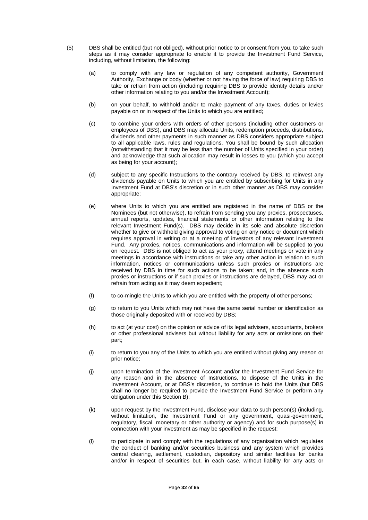- (5) DBS shall be entitled (but not obliged), without prior notice to or consent from you, to take such steps as it may consider appropriate to enable it to provide the Investment Fund Service, including, without limitation, the following:
	- (a) to comply with any law or regulation of any competent authority, Government Authority, Exchange or body (whether or not having the force of law) requiring DBS to take or refrain from action (including requiring DBS to provide identity details and/or other information relating to you and/or the Investment Account);
	- (b) on your behalf, to withhold and/or to make payment of any taxes, duties or levies payable on or in respect of the Units to which you are entitled;
	- (c) to combine your orders with orders of other persons (including other customers or employees of DBS), and DBS may allocate Units, redemption proceeds, distributions, dividends and other payments in such manner as DBS considers appropriate subject to all applicable laws, rules and regulations. You shall be bound by such allocation (notwithstanding that it may be less than the number of Units specified in your order) and acknowledge that such allocation may result in losses to you (which you accept as being for your account);
	- (d) subject to any specific Instructions to the contrary received by DBS, to reinvest any dividends payable on Units to which you are entitled by subscribing for Units in any Investment Fund at DBS's discretion or in such other manner as DBS may consider appropriate;
	- (e) where Units to which you are entitled are registered in the name of DBS or the Nominees (but not otherwise), to refrain from sending you any proxies, prospectuses, annual reports, updates, financial statements or other information relating to the relevant Investment Fund(s). DBS may decide in its sole and absolute discretion whether to give or withhold giving approval to voting on any notice or document which requires approval in writing or at a meeting of investors of any relevant Investment Fund. Any proxies, notices, communications and information will be supplied to you on request. DBS is not obliged to act as your proxy, attend meetings or vote in any meetings in accordance with instructions or take any other action in relation to such information, notices or communications unless such proxies or instructions are received by DBS in time for such actions to be taken; and, in the absence such proxies or instructions or if such proxies or instructions are delayed, DBS may act or refrain from acting as it may deem expedient;
	- (f) to co-mingle the Units to which you are entitled with the property of other persons;
	- (g) to return to you Units which may not have the same serial number or identification as those originally deposited with or received by DBS;
	- (h) to act (at your cost) on the opinion or advice of its legal advisers, accountants, brokers or other professional advisers but without liability for any acts or omissions on their part;
	- (i) to return to you any of the Units to which you are entitled without giving any reason or prior notice;
	- (j) upon termination of the Investment Account and/or the Investment Fund Service for any reason and in the absence of Instructions, to dispose of the Units in the Investment Account, or at DBS's discretion, to continue to hold the Units (but DBS shall no longer be required to provide the Investment Fund Service or perform any obligation under this Section B);
	- (k) upon request by the Investment Fund, disclose your data to such person(s) (including, without limitation, the Investment Fund or any government, quasi-government, regulatory, fiscal, monetary or other authority or agency) and for such purpose(s) in connection with your investment as may be specified in the request;
	- (l) to participate in and comply with the regulations of any organisation which regulates the conduct of banking and/or securities business and any system which provides central clearing, settlement, custodian, depository and similar facilities for banks and/or in respect of securities but, in each case, without liability for any acts or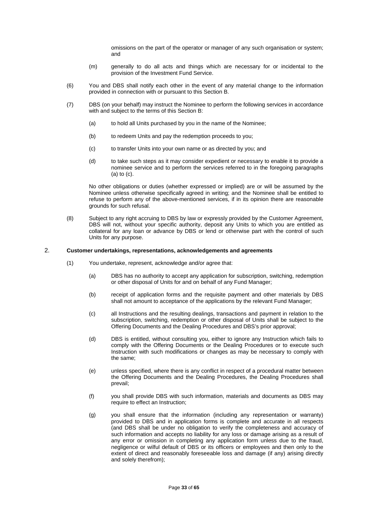omissions on the part of the operator or manager of any such organisation or system; and

- (m) generally to do all acts and things which are necessary for or incidental to the provision of the Investment Fund Service.
- (6) You and DBS shall notify each other in the event of any material change to the information provided in connection with or pursuant to this Section B.
- (7) DBS (on your behalf) may instruct the Nominee to perform the following services in accordance with and subject to the terms of this Section B:
	- (a) to hold all Units purchased by you in the name of the Nominee;
	- (b) to redeem Units and pay the redemption proceeds to you;
	- (c) to transfer Units into your own name or as directed by you; and
	- (d) to take such steps as it may consider expedient or necessary to enable it to provide a nominee service and to perform the services referred to in the foregoing paragraphs (a) to (c).

No other obligations or duties (whether expressed or implied) are or will be assumed by the Nominee unless otherwise specifically agreed in writing; and the Nominee shall be entitled to refuse to perform any of the above-mentioned services, if in its opinion there are reasonable grounds for such refusal.

(8) Subject to any right accruing to DBS by law or expressly provided by the Customer Agreement, DBS will not, without your specific authority, deposit any Units to which you are entitled as collateral for any loan or advance by DBS or lend or otherwise part with the control of such Units for any purpose.

#### 2. **Customer undertakings, representations, acknowledgements and agreements**

- (1) You undertake, represent, acknowledge and/or agree that:
	- (a) DBS has no authority to accept any application for subscription, switching, redemption or other disposal of Units for and on behalf of any Fund Manager;
	- (b) receipt of application forms and the requisite payment and other materials by DBS shall not amount to acceptance of the applications by the relevant Fund Manager;
	- (c) all Instructions and the resulting dealings, transactions and payment in relation to the subscription, switching, redemption or other disposal of Units shall be subject to the Offering Documents and the Dealing Procedures and DBS's prior approval;
	- (d) DBS is entitled, without consulting you, either to ignore any Instruction which fails to comply with the Offering Documents or the Dealing Procedures or to execute such Instruction with such modifications or changes as may be necessary to comply with the same;
	- (e) unless specified, where there is any conflict in respect of a procedural matter between the Offering Documents and the Dealing Procedures, the Dealing Procedures shall prevail;
	- (f) you shall provide DBS with such information, materials and documents as DBS may require to effect an Instruction;
	- (g) you shall ensure that the information (including any representation or warranty) provided to DBS and in application forms is complete and accurate in all respects (and DBS shall be under no obligation to verify the completeness and accuracy of such information and accepts no liability for any loss or damage arising as a result of any error or omission in completing any application form unless due to the fraud, negligence or wilful default of DBS or its officers or employees and then only to the extent of direct and reasonably foreseeable loss and damage (if any) arising directly and solely therefrom);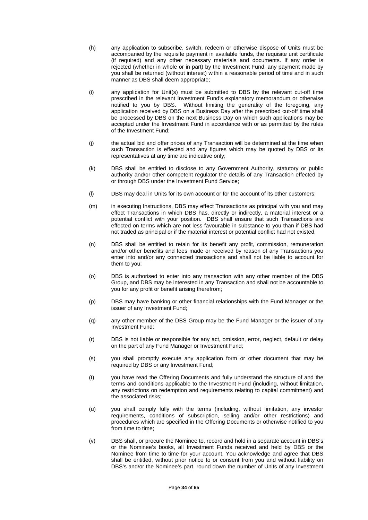- (h) any application to subscribe, switch, redeem or otherwise dispose of Units must be accompanied by the requisite payment in available funds, the requisite unit certificate (if required) and any other necessary materials and documents. If any order is rejected (whether in whole or in part) by the Investment Fund, any payment made by you shall be returned (without interest) within a reasonable period of time and in such manner as DBS shall deem appropriate;
- (i) any application for Unit(s) must be submitted to DBS by the relevant cut-off time prescribed in the relevant Investment Fund's explanatory memorandum or otherwise notified to you by DBS. Without limiting the generality of the foregoing, any application received by DBS on a Business Day after the prescribed cut-off time shall be processed by DBS on the next Business Day on which such applications may be accepted under the Investment Fund in accordance with or as permitted by the rules of the Investment Fund;
- (j) the actual bid and offer prices of any Transaction will be determined at the time when such Transaction is effected and any figures which may be quoted by DBS or its representatives at any time are indicative only;
- (k) DBS shall be entitled to disclose to any Government Authority, statutory or public authority and/or other competent regulator the details of any Transaction effected by or through DBS under the Investment Fund Service;
- (l) DBS may deal in Units for its own account or for the account of its other customers;
- (m) in executing Instructions, DBS may effect Transactions as principal with you and may effect Transactions in which DBS has, directly or indirectly, a material interest or a potential conflict with your position. DBS shall ensure that such Transactions are effected on terms which are not less favourable in substance to you than if DBS had not traded as principal or if the material interest or potential conflict had not existed.
- (n) DBS shall be entitled to retain for its benefit any profit, commission, remuneration and/or other benefits and fees made or received by reason of any Transactions you enter into and/or any connected transactions and shall not be liable to account for them to you;
- (o) DBS is authorised to enter into any transaction with any other member of the DBS Group, and DBS may be interested in any Transaction and shall not be accountable to you for any profit or benefit arising therefrom;
- (p) DBS may have banking or other financial relationships with the Fund Manager or the issuer of any Investment Fund;
- (q) any other member of the DBS Group may be the Fund Manager or the issuer of any Investment Fund;
- (r) DBS is not liable or responsible for any act, omission, error, neglect, default or delay on the part of any Fund Manager or Investment Fund;
- (s) you shall promptly execute any application form or other document that may be required by DBS or any Investment Fund;
- (t) you have read the Offering Documents and fully understand the structure of and the terms and conditions applicable to the Investment Fund (including, without limitation, any restrictions on redemption and requirements relating to capital commitment) and the associated risks;
- (u) you shall comply fully with the terms (including, without limitation, any investor requirements, conditions of subscription, selling and/or other restrictions) and procedures which are specified in the Offering Documents or otherwise notified to you from time to time;
- (v) DBS shall, or procure the Nominee to, record and hold in a separate account in DBS's or the Nominee's books, all Investment Funds received and held by DBS or the Nominee from time to time for your account. You acknowledge and agree that DBS shall be entitled, without prior notice to or consent from you and without liability on DBS's and/or the Nominee's part, round down the number of Units of any Investment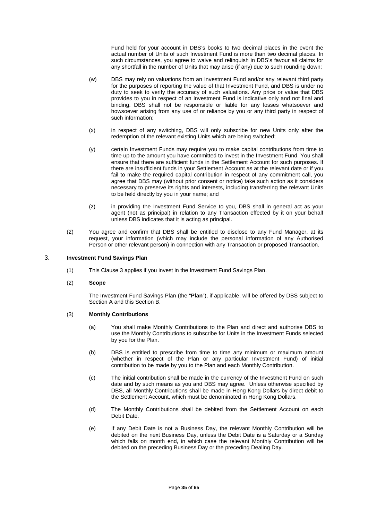Fund held for your account in DBS's books to two decimal places in the event the actual number of Units of such Investment Fund is more than two decimal places. In such circumstances, you agree to waive and relinquish in DBS's favour all claims for any shortfall in the number of Units that may arise (if any) due to such rounding down;

- (w) DBS may rely on valuations from an Investment Fund and/or any relevant third party for the purposes of reporting the value of that Investment Fund, and DBS is under no duty to seek to verify the accuracy of such valuations. Any price or value that DBS provides to you in respect of an Investment Fund is indicative only and not final and binding. DBS shall not be responsible or liable for any losses whatsoever and howsoever arising from any use of or reliance by you or any third party in respect of such information;
- (x) in respect of any switching, DBS will only subscribe for new Units only after the redemption of the relevant existing Units which are being switched;
- (y) certain Investment Funds may require you to make capital contributions from time to time up to the amount you have committed to invest in the Investment Fund. You shall ensure that there are sufficient funds in the Settlement Account for such purposes. If there are insufficient funds in your Settlement Account as at the relevant date or if you fail to make the required capital contribution in respect of any commitment call, you agree that DBS may (without prior consent or notice) take such action as it considers necessary to preserve its rights and interests, including transferring the relevant Units to be held directly by you in your name; and
- (z) in providing the Investment Fund Service to you, DBS shall in general act as your agent (not as principal) in relation to any Transaction effected by it on your behalf unless DBS indicates that it is acting as principal.
- (2) You agree and confirm that DBS shall be entitled to disclose to any Fund Manager, at its request, your information (which may include the personal information of any Authorised Person or other relevant person) in connection with any Transaction or proposed Transaction.

## 3. **Investment Fund Savings Plan**

(1) This Clause 3 applies if you invest in the Investment Fund Savings Plan.

#### (2) **Scope**

The Investment Fund Savings Plan (the "**Plan**"), if applicable, will be offered by DBS subject to Section A and this Section B.

## (3) **Monthly Contributions**

- (a) You shall make Monthly Contributions to the Plan and direct and authorise DBS to use the Monthly Contributions to subscribe for Units in the Investment Funds selected by you for the Plan.
- (b) DBS is entitled to prescribe from time to time any minimum or maximum amount (whether in respect of the Plan or any particular Investment Fund) of initial contribution to be made by you to the Plan and each Monthly Contribution.
- (c) The initial contribution shall be made in the currency of the Investment Fund on such date and by such means as you and DBS may agree. Unless otherwise specified by DBS, all Monthly Contributions shall be made in Hong Kong Dollars by direct debit to the Settlement Account, which must be denominated in Hong Kong Dollars.
- (d) The Monthly Contributions shall be debited from the Settlement Account on each Debit Date.
- (e) If any Debit Date is not a Business Day, the relevant Monthly Contribution will be debited on the next Business Day, unless the Debit Date is a Saturday or a Sunday which falls on month end, in which case the relevant Monthly Contribution will be debited on the preceding Business Day or the preceding Dealing Day.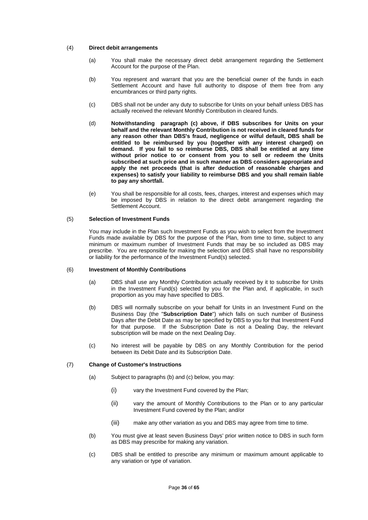#### (4) **Direct debit arrangements**

- (a) You shall make the necessary direct debit arrangement regarding the Settlement Account for the purpose of the Plan.
- (b) You represent and warrant that you are the beneficial owner of the funds in each Settlement Account and have full authority to dispose of them free from any encumbrances or third party rights.
- (c) DBS shall not be under any duty to subscribe for Units on your behalf unless DBS has actually received the relevant Monthly Contribution in cleared funds.
- (d) **Notwithstanding paragraph (c) above, if DBS subscribes for Units on your behalf and the relevant Monthly Contribution is not received in cleared funds for any reason other than DBS's fraud, negligence or wilful default, DBS shall be entitled to be reimbursed by you (together with any interest charged) on demand. If you fail to so reimburse DBS, DBS shall be entitled at any time without prior notice to or consent from you to sell or redeem the Units subscribed at such price and in such manner as DBS considers appropriate and apply the net proceeds (that is after deduction of reasonable charges and expenses) to satisfy your liability to reimburse DBS and you shall remain liable to pay any shortfall.**
- (e) You shall be responsible for all costs, fees, charges, interest and expenses which may be imposed by DBS in relation to the direct debit arrangement regarding the Settlement Account.

## (5) **Selection of Investment Funds**

You may include in the Plan such Investment Funds as you wish to select from the Investment Funds made available by DBS for the purpose of the Plan, from time to time, subject to any minimum or maximum number of Investment Funds that may be so included as DBS may prescribe. You are responsible for making the selection and DBS shall have no responsibility or liability for the performance of the Investment Fund(s) selected.

## (6) **Investment of Monthly Contributions**

- (a) DBS shall use any Monthly Contribution actually received by it to subscribe for Units in the Investment Fund(s) selected by you for the Plan and, if applicable, in such proportion as you may have specified to DBS.
- (b) DBS will normally subscribe on your behalf for Units in an Investment Fund on the Business Day (the "**Subscription Date**") which falls on such number of Business Days after the Debit Date as may be specified by DBS to you for that Investment Fund for that purpose. If the Subscription Date is not a Dealing Day, the relevant subscription will be made on the next Dealing Day.
- (c) No interest will be payable by DBS on any Monthly Contribution for the period between its Debit Date and its Subscription Date.

#### (7) **Change of Customer's Instructions**

- (a) Subject to paragraphs (b) and (c) below, you may:
	- (i) vary the Investment Fund covered by the Plan;
	- (ii) vary the amount of Monthly Contributions to the Plan or to any particular Investment Fund covered by the Plan; and/or
	- (iii) make any other variation as you and DBS may agree from time to time.
- (b) You must give at least seven Business Days' prior written notice to DBS in such form as DBS may prescribe for making any variation.
- (c) DBS shall be entitled to prescribe any minimum or maximum amount applicable to any variation or type of variation.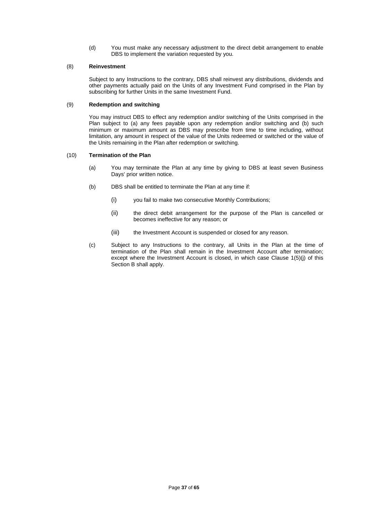(d) You must make any necessary adjustment to the direct debit arrangement to enable DBS to implement the variation requested by you.

## (8) **Reinvestment**

Subject to any Instructions to the contrary, DBS shall reinvest any distributions, dividends and other payments actually paid on the Units of any Investment Fund comprised in the Plan by subscribing for further Units in the same Investment Fund.

## (9) **Redemption and switching**

You may instruct DBS to effect any redemption and/or switching of the Units comprised in the Plan subject to (a) any fees payable upon any redemption and/or switching and (b) such minimum or maximum amount as DBS may prescribe from time to time including, without limitation, any amount in respect of the value of the Units redeemed or switched or the value of the Units remaining in the Plan after redemption or switching.

## (10) **Termination of the Plan**

- (a) You may terminate the Plan at any time by giving to DBS at least seven Business Days' prior written notice.
- (b) DBS shall be entitled to terminate the Plan at any time if:
	- (i) you fail to make two consecutive Monthly Contributions;
	- (ii) the direct debit arrangement for the purpose of the Plan is cancelled or becomes ineffective for any reason; or
	- (iii) the Investment Account is suspended or closed for any reason.
- (c) Subject to any Instructions to the contrary, all Units in the Plan at the time of termination of the Plan shall remain in the Investment Account after termination; except where the Investment Account is closed, in which case Clause 1(5)(j) of this Section B shall apply.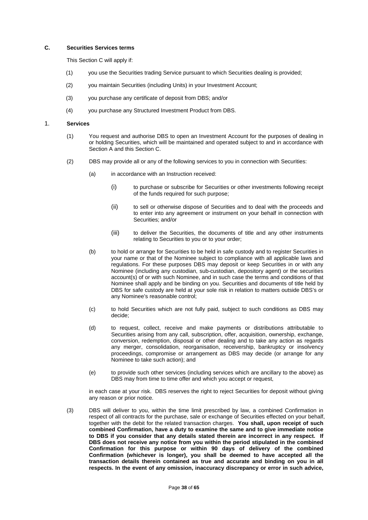#### **C. Securities Services terms**

This Section C will apply if:

- (1) you use the Securities trading Service pursuant to which Securities dealing is provided;
- (2) you maintain Securities (including Units) in your Investment Account;
- (3) you purchase any certificate of deposit from DBS; and/or
- (4) you purchase any Structured Investment Product from DBS.

#### 1. **Services**

- (1) You request and authorise DBS to open an Investment Account for the purposes of dealing in or holding Securities, which will be maintained and operated subject to and in accordance with Section A and this Section C.
- (2) DBS may provide all or any of the following services to you in connection with Securities:
	- (a) in accordance with an Instruction received:
		- (i) to purchase or subscribe for Securities or other investments following receipt of the funds required for such purpose;
		- (ii) to sell or otherwise dispose of Securities and to deal with the proceeds and to enter into any agreement or instrument on your behalf in connection with Securities; and/or
		- (iii) to deliver the Securities, the documents of title and any other instruments relating to Securities to you or to your order;
	- (b) to hold or arrange for Securities to be held in safe custody and to register Securities in your name or that of the Nominee subject to compliance with all applicable laws and regulations. For these purposes DBS may deposit or keep Securities in or with any Nominee (including any custodian, sub-custodian, depository agent) or the securities account(s) of or with such Nominee, and in such case the terms and conditions of that Nominee shall apply and be binding on you. Securities and documents of title held by DBS for safe custody are held at your sole risk in relation to matters outside DBS's or any Nominee's reasonable control;
	- (c) to hold Securities which are not fully paid, subject to such conditions as DBS may decide;
	- (d) to request, collect, receive and make payments or distributions attributable to Securities arising from any call, subscription, offer, acquisition, ownership, exchange, conversion, redemption, disposal or other dealing and to take any action as regards any merger, consolidation, reorganisation, receivership, bankruptcy or insolvency proceedings, compromise or arrangement as DBS may decide (or arrange for any Nominee to take such action); and
	- (e) to provide such other services (including services which are ancillary to the above) as DBS may from time to time offer and which you accept or request,

in each case at your risk. DBS reserves the right to reject Securities for deposit without giving any reason or prior notice.

(3) DBS will deliver to you, within the time limit prescribed by law, a combined Confirmation in respect of all contracts for the purchase, sale or exchange of Securities effected on your behalf, together with the debit for the related transaction charges. **You shall, upon receipt of such combined Confirmation, have a duty to examine the same and to give immediate notice to DBS if you consider that any details stated therein are incorrect in any respect. If DBS does not receive any notice from you within the period stipulated in the combined Confirmation for this purpose or within 90 days of delivery of the combined Confirmation (whichever is longer), you shall be deemed to have accepted all the transaction details therein contained as true and accurate and binding on you in all respects. In the event of any omission, inaccuracy discrepancy or error in such advice,**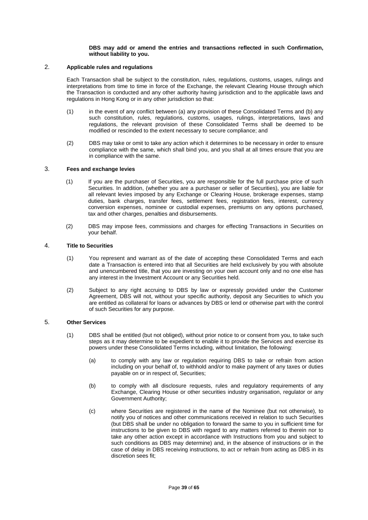#### **DBS may add or amend the entries and transactions reflected in such Confirmation, without liability to you.**

# 2. **Applicable rules and regulations**

Each Transaction shall be subject to the constitution, rules, regulations, customs, usages, rulings and interpretations from time to time in force of the Exchange, the relevant Clearing House through which the Transaction is conducted and any other authority having jurisdiction and to the applicable laws and regulations in Hong Kong or in any other jurisdiction so that:

- (1) in the event of any conflict between (a) any provision of these Consolidated Terms and (b) any such constitution, rules, regulations, customs, usages, rulings, interpretations, laws and regulations, the relevant provision of these Consolidated Terms shall be deemed to be modified or rescinded to the extent necessary to secure compliance; and
- (2) DBS may take or omit to take any action which it determines to be necessary in order to ensure compliance with the same, which shall bind you, and you shall at all times ensure that you are in compliance with the same.

## 3. **Fees and exchange levies**

- (1) If you are the purchaser of Securities, you are responsible for the full purchase price of such Securities. In addition, (whether you are a purchaser or seller of Securities), you are liable for all relevant levies imposed by any Exchange or Clearing House, brokerage expenses, stamp duties, bank charges, transfer fees, settlement fees, registration fees, interest, currency conversion expenses, nominee or custodial expenses, premiums on any options purchased, tax and other charges, penalties and disbursements.
- (2) DBS may impose fees, commissions and charges for effecting Transactions in Securities on your behalf.

#### 4. **Title to Securities**

- (1) You represent and warrant as of the date of accepting these Consolidated Terms and each date a Transaction is entered into that all Securities are held exclusively by you with absolute and unencumbered title, that you are investing on your own account only and no one else has any interest in the Investment Account or any Securities held.
- (2) Subject to any right accruing to DBS by law or expressly provided under the Customer Agreement, DBS will not, without your specific authority, deposit any Securities to which you are entitled as collateral for loans or advances by DBS or lend or otherwise part with the control of such Securities for any purpose.

# 5. **Other Services**

- (1) DBS shall be entitled (but not obliged), without prior notice to or consent from you, to take such steps as it may determine to be expedient to enable it to provide the Services and exercise its powers under these Consolidated Terms including, without limitation, the following:
	- (a) to comply with any law or regulation requiring DBS to take or refrain from action including on your behalf of, to withhold and/or to make payment of any taxes or duties payable on or in respect of, Securities;
	- (b) to comply with all disclosure requests, rules and regulatory requirements of any Exchange, Clearing House or other securities industry organisation, regulator or any Government Authority;
	- (c) where Securities are registered in the name of the Nominee (but not otherwise), to notify you of notices and other communications received in relation to such Securities (but DBS shall be under no obligation to forward the same to you in sufficient time for instructions to be given to DBS with regard to any matters referred to therein nor to take any other action except in accordance with Instructions from you and subject to such conditions as DBS may determine) and, in the absence of instructions or in the case of delay in DBS receiving instructions, to act or refrain from acting as DBS in its discretion sees fit;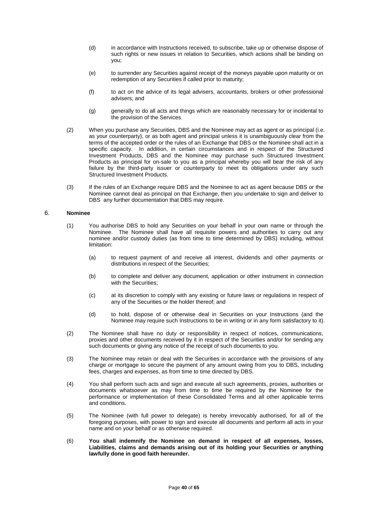- (d) in accordance with Instructions received, to subscribe, take up or otherwise dispose of such rights or new issues in relation to Securities, which actions shall be binding on you;
- (e) to surrender any Securities against receipt of the moneys payable upon maturity or on redemption of any Securities if called prior to maturity;
- (f) to act on the advice of its legal advisers, accountants, brokers or other professional advisers; and
- (g) generally to do all acts and things which are reasonably necessary for or incidental to the provision of the Services.
- (2) When you purchase any Securities, DBS and the Nominee may act as agent or as principal (i.e. as your counterparty), or as both agent and principal unless it is unambiguously clear from the terms of the accepted order or the rules of an Exchange that DBS or the Nominee shall act in a specific capacity. In addition, in certain circumstances and in respect of the Structured Investment Products, DBS and the Nominee may purchase such Structured Investment Products as principal for on-sale to you as a principal whereby you will bear the risk of any failure by the third-party issuer or counterparty to meet its obligations under any such Structured Investment Products.
- (3) If the rules of an Exchange require DBS and the Nominee to act as agent because DBS or the Nominee cannot deal as principal on that Exchange, then you undertake to sign and deliver to DBS any further documentation that DBS may require.

# 6. **Nominee**

- (1) You authorise DBS to hold any Securities on your behalf in your own name or through the Nominee. The Nominee shall have all requisite powers and authorities to carry out any nominee and/or custody duties (as from time to time determined by DBS) including, without limitation:
	- (a) to request payment of and receive all interest, dividends and other payments or distributions in respect of the Securities;
	- (b) to complete and deliver any document, application or other instrument in connection with the Securities;
	- (c) at its discretion to comply with any existing or future laws or regulations in respect of any of the Securities or the holder thereof; and
	- (d) to hold, dispose of or otherwise deal in Securities on your Instructions (and the Nominee may require such Instructions to be in writing or in any form satisfactory to it).
- (2) The Nominee shall have no duty or responsibility in respect of notices, communications, proxies and other documents received by it in respect of the Securities and/or for sending any such documents or giving any notice of the receipt of such documents to you.
- (3) The Nominee may retain or deal with the Securities in accordance with the provisions of any charge or mortgage to secure the payment of any amount owing from you to DBS, including fees, charges and expenses, as from time to time directed by DBS.
- (4) You shall perform such acts and sign and execute all such agreements, proxies, authorities or documents whatsoever as may from time to time be required by the Nominee for the performance or implementation of these Consolidated Terms and all other applicable terms and conditions.
- (5) The Nominee (with full power to delegate) is hereby irrevocably authorised, for all of the foregoing purposes, with power to sign and execute all documents and perform all acts in your name and on your behalf or as otherwise required.
- (6) **You shall indemnify the Nominee on demand in respect of all expenses, losses, Liabilities, claims and demands arising out of its holding your Securities or anything lawfully done in good faith hereunder.**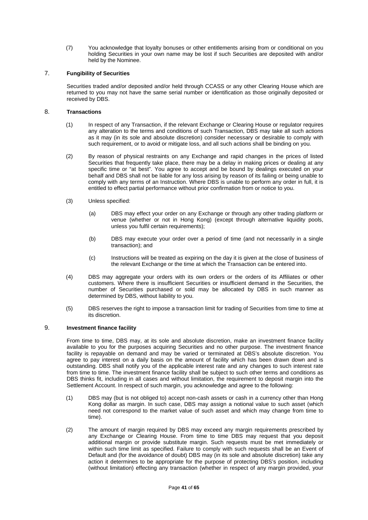(7) You acknowledge that loyalty bonuses or other entitlements arising from or conditional on you holding Securities in your own name may be lost if such Securities are deposited with and/or held by the Nominee.

# 7. **Fungibility of Securities**

Securities traded and/or deposited and/or held through CCASS or any other Clearing House which are returned to you may not have the same serial number or identification as those originally deposited or received by DBS.

## 8. **Transactions**

- (1) In respect of any Transaction, if the relevant Exchange or Clearing House or regulator requires any alteration to the terms and conditions of such Transaction, DBS may take all such actions as it may (in its sole and absolute discretion) consider necessary or desirable to comply with such requirement, or to avoid or mitigate loss, and all such actions shall be binding on you.
- (2) By reason of physical restraints on any Exchange and rapid changes in the prices of listed Securities that frequently take place, there may be a delay in making prices or dealing at any specific time or "at best". You agree to accept and be bound by dealings executed on your behalf and DBS shall not be liable for any loss arising by reason of its failing or being unable to comply with any terms of an Instruction. Where DBS is unable to perform any order in full, it is entitled to effect partial performance without prior confirmation from or notice to you.
- (3) Unless specified:
	- (a) DBS may effect your order on any Exchange or through any other trading platform or venue (whether or not in Hong Kong) (except through alternative liquidity pools, unless you fulfil certain requirements);
	- (b) DBS may execute your order over a period of time (and not necessarily in a single transaction); and
	- (c) Instructions will be treated as expiring on the day it is given at the close of business of the relevant Exchange or the time at which the Transaction can be entered into.
- (4) DBS may aggregate your orders with its own orders or the orders of its Affiliates or other customers. Where there is insufficient Securities or insufficient demand in the Securities, the number of Securities purchased or sold may be allocated by DBS in such manner as determined by DBS, without liability to you.
- (5) DBS reserves the right to impose a transaction limit for trading of Securities from time to time at its discretion.

## 9. **Investment finance facility**

From time to time, DBS may, at its sole and absolute discretion, make an investment finance facility available to you for the purposes acquiring Securities and no other purpose. The investment finance facility is repayable on demand and may be varied or terminated at DBS's absolute discretion. You agree to pay interest on a daily basis on the amount of facility which has been drawn down and is outstanding. DBS shall notify you of the applicable interest rate and any changes to such interest rate from time to time. The investment finance facility shall be subject to such other terms and conditions as DBS thinks fit, including in all cases and without limitation, the requirement to deposit margin into the Settlement Account. In respect of such margin, you acknowledge and agree to the following:

- (1) DBS may (but is not obliged to) accept non-cash assets or cash in a currency other than Hong Kong dollar as margin. In such case, DBS may assign a notional value to such asset (which need not correspond to the market value of such asset and which may change from time to time).
- (2) The amount of margin required by DBS may exceed any margin requirements prescribed by any Exchange or Clearing House. From time to time DBS may request that you deposit additional margin or provide substitute margin. Such requests must be met immediately or within such time limit as specified. Failure to comply with such requests shall be an Event of Default and (for the avoidance of doubt) DBS may (in its sole and absolute discretion) take any action it determines to be appropriate for the purpose of protecting DBS's position, including (without limitation) effecting any transaction (whether in respect of any margin provided, your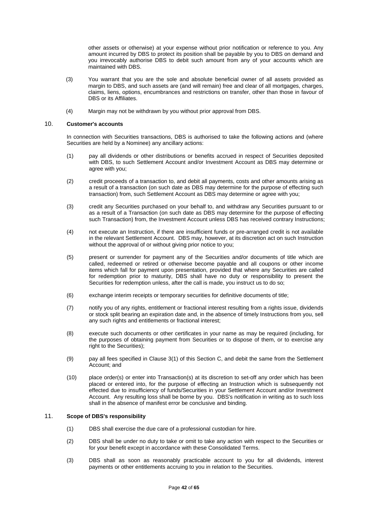other assets or otherwise) at your expense without prior notification or reference to you. Any amount incurred by DBS to protect its position shall be payable by you to DBS on demand and you irrevocably authorise DBS to debit such amount from any of your accounts which are maintained with DBS.

- (3) You warrant that you are the sole and absolute beneficial owner of all assets provided as margin to DBS, and such assets are (and will remain) free and clear of all mortgages, charges, claims, liens, options, encumbrances and restrictions on transfer, other than those in favour of DBS or its Affiliates.
- (4) Margin may not be withdrawn by you without prior approval from DBS.

#### 10. **Customer's accounts**

In connection with Securities transactions, DBS is authorised to take the following actions and (where Securities are held by a Nominee) any ancillary actions:

- (1) pay all dividends or other distributions or benefits accrued in respect of Securities deposited with DBS, to such Settlement Account and/or Investment Account as DBS may determine or agree with you;
- (2) credit proceeds of a transaction to, and debit all payments, costs and other amounts arising as a result of a transaction (on such date as DBS may determine for the purpose of effecting such transaction) from, such Settlement Account as DBS may determine or agree with you;
- (3) credit any Securities purchased on your behalf to, and withdraw any Securities pursuant to or as a result of a Transaction (on such date as DBS may determine for the purpose of effecting such Transaction) from, the Investment Account unless DBS has received contrary Instructions;
- (4) not execute an Instruction, if there are insufficient funds or pre-arranged credit is not available in the relevant Settlement Account. DBS may, however, at its discretion act on such Instruction without the approval of or without giving prior notice to you;
- (5) present or surrender for payment any of the Securities and/or documents of title which are called, redeemed or retired or otherwise become payable and all coupons or other income items which fall for payment upon presentation, provided that where any Securities are called for redemption prior to maturity, DBS shall have no duty or responsibility to present the Securities for redemption unless, after the call is made, you instruct us to do so;
- (6) exchange interim receipts or temporary securities for definitive documents of title;
- (7) notify you of any rights, entitlement or fractional interest resulting from a rights issue, dividends or stock split bearing an expiration date and, in the absence of timely Instructions from you, sell any such rights and entitlements or fractional interest;
- (8) execute such documents or other certificates in your name as may be required (including, for the purposes of obtaining payment from Securities or to dispose of them, or to exercise any right to the Securities);
- (9) pay all fees specified in Clause 3(1) of this Section C, and debit the same from the Settlement Account; and
- (10) place order(s) or enter into Transaction(s) at its discretion to set-off any order which has been placed or entered into, for the purpose of effecting an Instruction which is subsequently not effected due to insufficiency of funds/Securities in your Settlement Account and/or Investment Account. Any resulting loss shall be borne by you. DBS's notification in writing as to such loss shall in the absence of manifest error be conclusive and binding.

## 11. **Scope of DBS's responsibility**

- (1) DBS shall exercise the due care of a professional custodian for hire.
- (2) DBS shall be under no duty to take or omit to take any action with respect to the Securities or for your benefit except in accordance with these Consolidated Terms.
- (3) DBS shall as soon as reasonably practicable account to you for all dividends, interest payments or other entitlements accruing to you in relation to the Securities.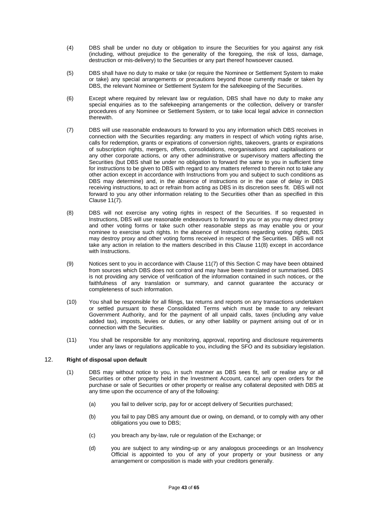- (4) DBS shall be under no duty or obligation to insure the Securities for you against any risk (including, without prejudice to the generality of the foregoing, the risk of loss, damage, destruction or mis-delivery) to the Securities or any part thereof howsoever caused.
- (5) DBS shall have no duty to make or take (or require the Nominee or Settlement System to make or take) any special arrangements or precautions beyond those currently made or taken by DBS, the relevant Nominee or Settlement System for the safekeeping of the Securities.
- (6) Except where required by relevant law or regulation, DBS shall have no duty to make any special enquiries as to the safekeeping arrangements or the collection, delivery or transfer procedures of any Nominee or Settlement System, or to take local legal advice in connection therewith.
- (7) DBS will use reasonable endeavours to forward to you any information which DBS receives in connection with the Securities regarding: any matters in respect of which voting rights arise, calls for redemption, grants or expirations of conversion rights, takeovers, grants or expirations of subscription rights, mergers, offers, consolidations, reorganisations and capitalisations or any other corporate actions, or any other administrative or supervisory matters affecting the Securities (but DBS shall be under no obligation to forward the same to you in sufficient time for instructions to be given to DBS with regard to any matters referred to therein not to take any other action except in accordance with Instructions from you and subject to such conditions as DBS may determine) and, in the absence of instructions or in the case of delay in DBS receiving instructions, to act or refrain from acting as DBS in its discretion sees fit. DBS will not forward to you any other information relating to the Securities other than as specified in this Clause 11(7).
- (8) DBS will not exercise any voting rights in respect of the Securities. If so requested in Instructions, DBS will use reasonable endeavours to forward to you or as you may direct proxy and other voting forms or take such other reasonable steps as may enable you or your nominee to exercise such rights. In the absence of Instructions regarding voting rights, DBS may destroy proxy and other voting forms received in respect of the Securities. DBS will not take any action in relation to the matters described in this Clause 11(8) except in accordance with Instructions.
- (9) Notices sent to you in accordance with Clause 11(7) of this Section C may have been obtained from sources which DBS does not control and may have been translated or summarised. DBS is not providing any service of verification of the information contained in such notices, or the faithfulness of any translation or summary, and cannot guarantee the accuracy or completeness of such information.
- (10) You shall be responsible for all filings, tax returns and reports on any transactions undertaken or settled pursuant to these Consolidated Terms which must be made to any relevant Government Authority, and for the payment of all unpaid calls, taxes (including any value added tax), imposts, levies or duties, or any other liability or payment arising out of or in connection with the Securities.
- (11) You shall be responsible for any monitoring, approval, reporting and disclosure requirements under any laws or regulations applicable to you, including the SFO and its subsidiary legislation.

## 12. **Right of disposal upon default**

- (1) DBS may without notice to you, in such manner as DBS sees fit, sell or realise any or all Securities or other property held in the Investment Account, cancel any open orders for the purchase or sale of Securities or other property or realise any collateral deposited with DBS at any time upon the occurrence of any of the following:
	- (a) you fail to deliver scrip, pay for or accept delivery of Securities purchased;
	- (b) you fail to pay DBS any amount due or owing, on demand, or to comply with any other obligations you owe to DBS;
	- (c) you breach any by-law, rule or regulation of the Exchange; or
	- (d) you are subject to any winding-up or any analogous proceedings or an Insolvency Official is appointed to you of any of your property or your business or any arrangement or composition is made with your creditors generally.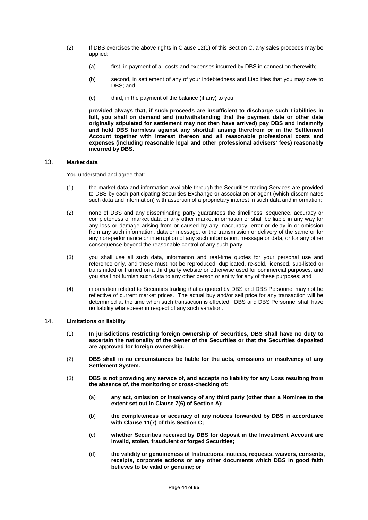- (2) If DBS exercises the above rights in Clause 12(1) of this Section C, any sales proceeds may be applied:
	- (a) first, in payment of all costs and expenses incurred by DBS in connection therewith;
	- (b) second, in settlement of any of your indebtedness and Liabilities that you may owe to DBS; and
	- (c) third, in the payment of the balance (if any) to you,

**provided always that, if such proceeds are insufficient to discharge such Liabilities in full, you shall on demand and (notwithstanding that the payment date or other date originally stipulated for settlement may not then have arrived) pay DBS and indemnify and hold DBS harmless against any shortfall arising therefrom or in the Settlement Account together with interest thereon and all reasonable professional costs and expenses (including reasonable legal and other professional advisers' fees) reasonably incurred by DBS.** 

#### 13. **Market data**

You understand and agree that:

- (1) the market data and information available through the Securities trading Services are provided to DBS by each participating Securities Exchange or association or agent (which disseminates such data and information) with assertion of a proprietary interest in such data and information;
- (2) none of DBS and any disseminating party guarantees the timeliness, sequence, accuracy or completeness of market data or any other market information or shall be liable in any way for any loss or damage arising from or caused by any inaccuracy, error or delay in or omission from any such information, data or message, or the transmission or delivery of the same or for any non-performance or interruption of any such information, message or data, or for any other consequence beyond the reasonable control of any such party;
- (3) you shall use all such data, information and real-time quotes for your personal use and reference only, and these must not be reproduced, duplicated, re-sold, licensed, sub-listed or transmitted or framed on a third party website or otherwise used for commercial purposes, and you shall not furnish such data to any other person or entity for any of these purposes; and
- (4) information related to Securities trading that is quoted by DBS and DBS Personnel may not be reflective of current market prices. The actual buy and/or sell price for any transaction will be determined at the time when such transaction is effected. DBS and DBS Personnel shall have no liability whatsoever in respect of any such variation.

# 14. **Limitations on liability**

- (1) **In jurisdictions restricting foreign ownership of Securities, DBS shall have no duty to ascertain the nationality of the owner of the Securities or that the Securities deposited are approved for foreign ownership.**
- (2) **DBS shall in no circumstances be liable for the acts, omissions or insolvency of any Settlement System.**
- (3) **DBS is not providing any service of, and accepts no liability for any Loss resulting from the absence of, the monitoring or cross-checking of:** 
	- (a) **any act, omission or insolvency of any third party (other than a Nominee to the extent set out in Clause 7(6) of Section A);**
	- (b) **the completeness or accuracy of any notices forwarded by DBS in accordance with Clause 11(7) of this Section C;**
	- (c) **whether Securities received by DBS for deposit in the Investment Account are invalid, stolen, fraudulent or forged Securities;**
	- (d) **the validity or genuineness of Instructions, notices, requests, waivers, consents, receipts, corporate actions or any other documents which DBS in good faith believes to be valid or genuine; or**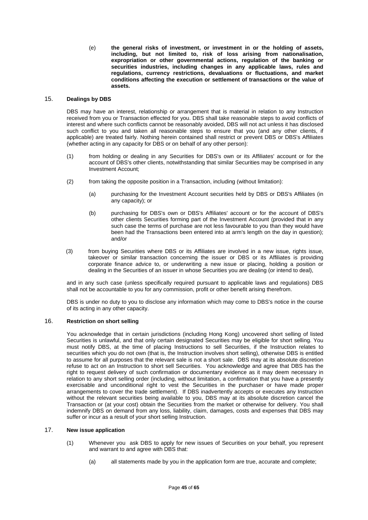(e) **the general risks of investment, or investment in or the holding of assets, including, but not limited to, risk of loss arising from nationalisation, expropriation or other governmental actions, regulation of the banking or securities industries, including changes in any applicable laws, rules and regulations, currency restrictions, devaluations or fluctuations, and market conditions affecting the execution or settlement of transactions or the value of assets.** 

## 15. **Dealings by DBS**

DBS may have an interest, relationship or arrangement that is material in relation to any Instruction received from you or Transaction effected for you. DBS shall take reasonable steps to avoid conflicts of interest and where such conflicts cannot be reasonably avoided, DBS will not act unless it has disclosed such conflict to you and taken all reasonable steps to ensure that you (and any other clients, if applicable) are treated fairly. Nothing herein contained shall restrict or prevent DBS or DBS's Affiliates (whether acting in any capacity for DBS or on behalf of any other person):

- (1) from holding or dealing in any Securities for DBS's own or its Affiliates' account or for the account of DBS's other clients, notwithstanding that similar Securities may be comprised in any Investment Account;
- (2) from taking the opposite position in a Transaction, including (without limitation):
	- (a) purchasing for the Investment Account securities held by DBS or DBS's Affiliates (in any capacity); or
	- (b) purchasing for DBS's own or DBS's Affiliates' account or for the account of DBS's other clients Securities forming part of the Investment Account (provided that in any such case the terms of purchase are not less favourable to you than they would have been had the Transactions been entered into at arm's length on the day in question); and/or
- (3) from buying Securities where DBS or its Affiliates are involved in a new issue, rights issue, takeover or similar transaction concerning the issuer or DBS or its Affiliates is providing corporate finance advice to, or underwriting a new issue or placing, holding a position or dealing in the Securities of an issuer in whose Securities you are dealing (or intend to deal),

and in any such case (unless specifically required pursuant to applicable laws and regulations) DBS shall not be accountable to you for any commission, profit or other benefit arising therefrom.

DBS is under no duty to you to disclose any information which may come to DBS's notice in the course of its acting in any other capacity.

## 16. **Restriction on short selling**

You acknowledge that in certain jurisdictions (including Hong Kong) uncovered short selling of listed Securities is unlawful, and that only certain designated Securities may be eligible for short selling. You must notify DBS, at the time of placing Instructions to sell Securities, if the Instruction relates to securities which you do not own (that is, the Instruction involves short selling), otherwise DBS is entitled to assume for all purposes that the relevant sale is not a short sale. DBS may at its absolute discretion refuse to act on an Instruction to short sell Securities. You acknowledge and agree that DBS has the right to request delivery of such confirmation or documentary evidence as it may deem necessary in relation to any short selling order (including, without limitation, a confirmation that you have a presently exercisable and unconditional right to vest the Securities in the purchaser or have made proper arrangements to cover the trade settlement). If DBS inadvertently accepts or executes any Instruction without the relevant securities being available to you, DBS may at its absolute discretion cancel the Transaction or (at your cost) obtain the Securities from the market or otherwise for delivery. You shall indemnify DBS on demand from any loss, liability, claim, damages, costs and expenses that DBS may suffer or incur as a result of your short selling Instruction.

## 17. **New issue application**

- (1) Whenever you ask DBS to apply for new issues of Securities on your behalf, you represent and warrant to and agree with DBS that:
	- (a) all statements made by you in the application form are true, accurate and complete;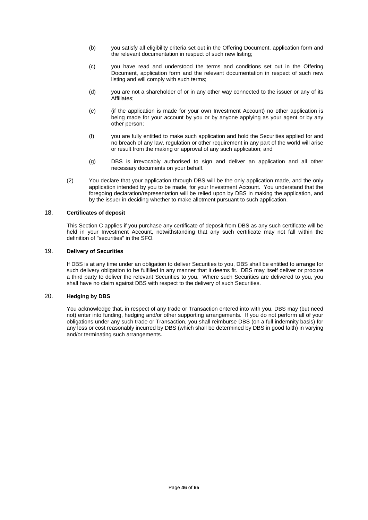- (b) you satisfy all eligibility criteria set out in the Offering Document, application form and the relevant documentation in respect of such new listing;
- (c) you have read and understood the terms and conditions set out in the Offering Document, application form and the relevant documentation in respect of such new listing and will comply with such terms;
- (d) you are not a shareholder of or in any other way connected to the issuer or any of its Affiliates;
- (e) (if the application is made for your own Investment Account) no other application is being made for your account by you or by anyone applying as your agent or by any other person;
- (f) you are fully entitled to make such application and hold the Securities applied for and no breach of any law, regulation or other requirement in any part of the world will arise or result from the making or approval of any such application; and
- (g) DBS is irrevocably authorised to sign and deliver an application and all other necessary documents on your behalf.
- (2) You declare that your application through DBS will be the only application made, and the only application intended by you to be made, for your Investment Account. You understand that the foregoing declaration/representation will be relied upon by DBS in making the application, and by the issuer in deciding whether to make allotment pursuant to such application.

# 18. **Certificates of deposit**

This Section C applies if you purchase any certificate of deposit from DBS as any such certificate will be held in your Investment Account, notwithstanding that any such certificate may not fall within the definition of "securities" in the SFO.

## 19. **Delivery of Securities**

If DBS is at any time under an obligation to deliver Securities to you, DBS shall be entitled to arrange for such delivery obligation to be fulfilled in any manner that it deems fit. DBS may itself deliver or procure a third party to deliver the relevant Securities to you. Where such Securities are delivered to you, you shall have no claim against DBS with respect to the delivery of such Securities.

# 20. **Hedging by DBS**

You acknowledge that, in respect of any trade or Transaction entered into with you, DBS may (but need not) enter into funding, hedging and/or other supporting arrangements. If you do not perform all of your obligations under any such trade or Transaction, you shall reimburse DBS (on a full indemnity basis) for any loss or cost reasonably incurred by DBS (which shall be determined by DBS in good faith) in varying and/or terminating such arrangements.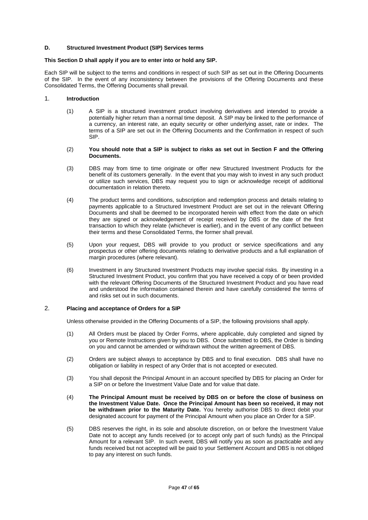#### **D. Structured Investment Product (SIP) Services terms**

#### **This Section D shall apply if you are to enter into or hold any SIP.**

Each SIP will be subject to the terms and conditions in respect of such SIP as set out in the Offering Documents of the SIP. In the event of any inconsistency between the provisions of the Offering Documents and these Consolidated Terms, the Offering Documents shall prevail.

### 1. **Introduction**

(1) A SIP is a structured investment product involving derivatives and intended to provide a potentially higher return than a normal time deposit. A SIP may be linked to the performance of a currency, an interest rate, an equity security or other underlying asset, rate or index. The terms of a SIP are set out in the Offering Documents and the Confirmation in respect of such SIP.

#### (2) **You should note that a SIP is subject to risks as set out in Section F and the Offering Documents.**

- (3) DBS may from time to time originate or offer new Structured Investment Products for the benefit of its customers generally. In the event that you may wish to invest in any such product or utilize such services, DBS may request you to sign or acknowledge receipt of additional documentation in relation thereto.
- (4) The product terms and conditions, subscription and redemption process and details relating to payments applicable to a Structured Investment Product are set out in the relevant Offering Documents and shall be deemed to be incorporated herein with effect from the date on which they are signed or acknowledgement of receipt received by DBS or the date of the first transaction to which they relate (whichever is earlier), and in the event of any conflict between their terms and these Consolidated Terms, the former shall prevail.
- (5) Upon your request, DBS will provide to you product or service specifications and any prospectus or other offering documents relating to derivative products and a full explanation of margin procedures (where relevant).
- (6) Investment in any Structured Investment Products may involve special risks. By investing in a Structured Investment Product, you confirm that you have received a copy of or been provided with the relevant Offering Documents of the Structured Investment Product and you have read and understood the information contained therein and have carefully considered the terms of and risks set out in such documents.

## 2. **Placing and acceptance of Orders for a SIP**

Unless otherwise provided in the Offering Documents of a SIP, the following provisions shall apply.

- (1) All Orders must be placed by Order Forms, where applicable, duly completed and signed by you or Remote Instructions given by you to DBS. Once submitted to DBS, the Order is binding on you and cannot be amended or withdrawn without the written agreement of DBS.
- (2) Orders are subject always to acceptance by DBS and to final execution. DBS shall have no obligation or liability in respect of any Order that is not accepted or executed.
- (3) You shall deposit the Principal Amount in an account specified by DBS for placing an Order for a SIP on or before the Investment Value Date and for value that date.
- (4) **The Principal Amount must be received by DBS on or before the close of business on the Investment Value Date. Once the Principal Amount has been so received, it may not be withdrawn prior to the Maturity Date.** You hereby authorise DBS to direct debit your designated account for payment of the Principal Amount when you place an Order for a SIP.
- (5) DBS reserves the right, in its sole and absolute discretion, on or before the Investment Value Date not to accept any funds received (or to accept only part of such funds) as the Principal Amount for a relevant SIP. In such event, DBS will notify you as soon as practicable and any funds received but not accepted will be paid to your Settlement Account and DBS is not obliged to pay any interest on such funds.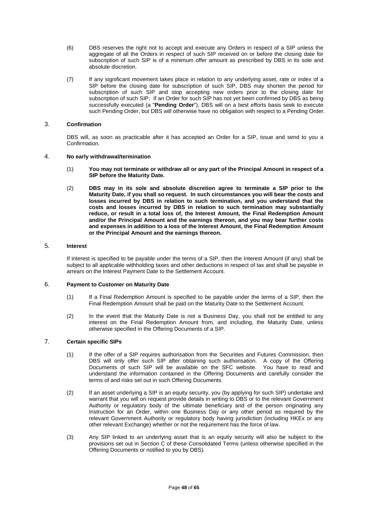- (6) DBS reserves the right not to accept and execute any Orders in respect of a SIP unless the aggregate of all the Orders in respect of such SIP received on or before the closing date for subscription of such SIP is of a minimum offer amount as prescribed by DBS in its sole and absolute discretion.
- (7) If any significant movement takes place in relation to any underlying asset, rate or index of a SIP before the closing date for subscription of such SIP, DBS may shorten the period for subscription of such SIP and stop accepting new orders prior to the closing date for subscription of such SIP. If an Order for such SIP has not yet been confirmed by DBS as being successfully executed (a "**Pending Order**"), DBS will on a best efforts basis seek to execute such Pending Order, but DBS will otherwise have no obligation with respect to a Pending Order.

# 3. **Confirmation**

DBS will, as soon as practicable after it has accepted an Order for a SIP, issue and send to you a Confirmation.

#### 4. **No early withdrawal/termination**

- (1) **You may not terminate or withdraw all or any part of the Principal Amount in respect of a SIP before the Maturity Date.**
- (2) **DBS may in its sole and absolute discretion agree to terminate a SIP prior to the Maturity Date, if you shall so request. In such circumstances you will bear the costs and losses incurred by DBS in relation to such termination, and you understand that the costs and losses incurred by DBS in relation to such termination may substantially reduce, or result in a total loss of, the Interest Amount, the Final Redemption Amount and/or the Principal Amount and the earnings thereon, and you may bear further costs and expenses in addition to a loss of the Interest Amount, the Final Redemption Amount or the Principal Amount and the earnings thereon.**

#### 5. **Interest**

If interest is specified to be payable under the terms of a SIP, then the Interest Amount (if any) shall be subject to all applicable withholding taxes and other deductions in respect of tax and shall be payable in arrears on the Interest Payment Date to the Settlement Account.

## 6. **Payment to Customer on Maturity Date**

- (1) If a Final Redemption Amount is specified to be payable under the terms of a SIP, then the Final Redemption Amount shall be paid on the Maturity Date to the Settlement Account.
- (2) In the event that the Maturity Date is not a Business Day, you shall not be entitled to any interest on the Final Redemption Amount from, and including, the Maturity Date, unless otherwise specified in the Offering Documents of a SIP.

# 7. **Certain specific SIPs**

- (1) If the offer of a SIP requires authorisation from the Securities and Futures Commission, then DBS will only offer such SIP after obtaining such authorisation. A copy of the Offering Documents of such SIP will be available on the SFC website. You have to read and understand the information contained in the Offering Documents and carefully consider the terms of and risks set out in such Offering Documents.
- (2) If an asset underlying a SIP is an equity security, you (by applying for such SIP) undertake and warrant that you will on request provide details in writing to DBS or to the relevant Government Authority or regulatory body of the ultimate beneficiary and of the person originating any Instruction for an Order, within one Business Day or any other period as required by the relevant Government Authority or regulatory body having jurisdiction (including HKEx or any other relevant Exchange) whether or not the requirement has the force of law.
- (3) Any SIP linked to an underlying asset that is an equity security will also be subject to the provisions set out in Section C of these Consolidated Terms (unless otherwise specified in the Offering Documents or notified to you by DBS).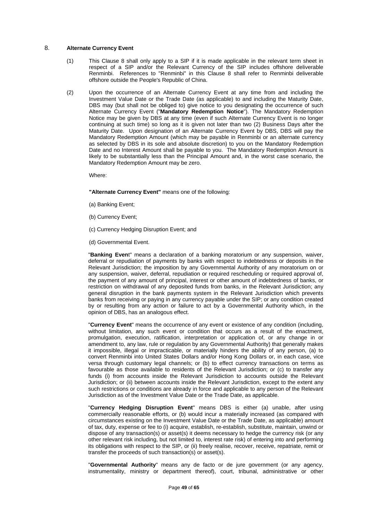#### 8. **Alternate Currency Event**

- (1) This Clause 8 shall only apply to a SIP if it is made applicable in the relevant term sheet in respect of a SIP and/or the Relevant Currency of the SIP includes offshore deliverable Renminbi. References to "Renminbi" in this Clause 8 shall refer to Renminbi deliverable offshore outside the People's Republic of China.
- (2) Upon the occurrence of an Alternate Currency Event at any time from and including the Investment Value Date or the Trade Date (as applicable) to and including the Maturity Date, DBS may (but shall not be obliged to) give notice to you designating the occurrence of such Alternate Currency Event ("**Mandatory Redemption Notice**"). The Mandatory Redemption Notice may be given by DBS at any time (even if such Alternate Currency Event is no longer continuing at such time) so long as it is given not later than two (2) Business Days after the Maturity Date. Upon designation of an Alternate Currency Event by DBS, DBS will pay the Mandatory Redemption Amount (which may be payable in Renminbi or an alternate currency as selected by DBS in its sole and absolute discretion) to you on the Mandatory Redemption Date and no Interest Amount shall be payable to you. The Mandatory Redemption Amount is likely to be substantially less than the Principal Amount and, in the worst case scenario, the Mandatory Redemption Amount may be zero.

Where:

**"Alternate Currency Event"** means one of the following:

- (a) Banking Event;
- (b) Currency Event;
- (c) Currency Hedging Disruption Event; and
- (d) Governmental Event.

"**Banking Even**t" means a declaration of a banking moratorium or any suspension, waiver, deferral or repudiation of payments by banks with respect to indebtedness or deposits in the Relevant Jurisdiction; the imposition by any Governmental Authority of any moratorium on or any suspension, waiver, deferral, repudiation or required rescheduling or required approval of, the payment of any amount of principal, interest or other amount of indebtedness of banks, or restriction on withdrawal of any deposited funds from banks, in the Relevant Jurisdiction; any general disruption in the bank payments system in the Relevant Jurisdiction which prevents banks from receiving or paying in any currency payable under the SIP; or any condition created by or resulting from any action or failure to act by a Governmental Authority which, in the opinion of DBS, has an analogous effect.

"**Currency Event**" means the occurrence of any event or existence of any condition (including, without limitation, any such event or condition that occurs as a result of the enactment, promulgation, execution, ratification, interpretation or application of, or any change in or amendment to, any law, rule or regulation by any Governmental Authority) that generally makes it impossible, illegal or impracticable, or materially hinders the ability of any person, (a) to convert Renminbi into United States Dollars and/or Hong Kong Dollars or, in each case, vice versa through customary legal channels; or (b) to effect currency transactions on terms as favourable as those available to residents of the Relevant Jurisdiction; or (c) to transfer any funds (i) from accounts inside the Relevant Jurisdiction to accounts outside the Relevant Jurisdiction; or (ii) between accounts inside the Relevant Jurisdiction, except to the extent any such restrictions or conditions are already in force and applicable to any person of the Relevant Jurisdiction as of the Investment Value Date or the Trade Date, as applicable.

"**Currency Hedging Disruption Event**" means DBS is either (a) unable, after using commercially reasonable efforts, or (b) would incur a materially increased (as compared with circumstances existing on the Investment Value Date or the Trade Date, as applicable) amount of tax, duty, expense or fee to (i) acquire, establish, re-establish, substitute, maintain, unwind or dispose of any transaction(s) or asset(s) it deems necessary to hedge the currency risk (or any other relevant risk including, but not limited to, interest rate risk) of entering into and performing its obligations with respect to the SIP, or (ii) freely realise, recover, receive, repatriate, remit or transfer the proceeds of such transaction(s) or asset(s).

"**Governmental Authority**" means any de facto or de jure government (or any agency, instrumentality, ministry or department thereof), court, tribunal, administrative or other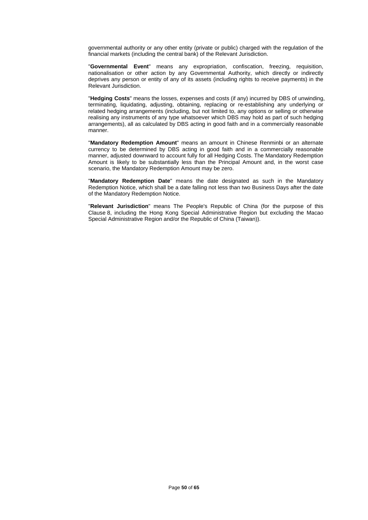governmental authority or any other entity (private or public) charged with the regulation of the financial markets (including the central bank) of the Relevant Jurisdiction.

"**Governmental Event**" means any expropriation, confiscation, freezing, requisition, nationalisation or other action by any Governmental Authority, which directly or indirectly deprives any person or entity of any of its assets (including rights to receive payments) in the Relevant Jurisdiction.

"**Hedging Costs**" means the losses, expenses and costs (if any) incurred by DBS of unwinding, terminating, liquidating, adjusting, obtaining, replacing or re-establishing any underlying or related hedging arrangements (including, but not limited to, any options or selling or otherwise realising any instruments of any type whatsoever which DBS may hold as part of such hedging arrangements), all as calculated by DBS acting in good faith and in a commercially reasonable manner.

"**Mandatory Redemption Amount**" means an amount in Chinese Renminbi or an alternate currency to be determined by DBS acting in good faith and in a commercially reasonable manner, adjusted downward to account fully for all Hedging Costs. The Mandatory Redemption Amount is likely to be substantially less than the Principal Amount and, in the worst case scenario, the Mandatory Redemption Amount may be zero.

"**Mandatory Redemption Date**" means the date designated as such in the Mandatory Redemption Notice, which shall be a date falling not less than two Business Days after the date of the Mandatory Redemption Notice.

"**Relevant Jurisdiction**" means The People's Republic of China (for the purpose of this Clause 8, including the Hong Kong Special Administrative Region but excluding the Macao Special Administrative Region and/or the Republic of China (Taiwan)).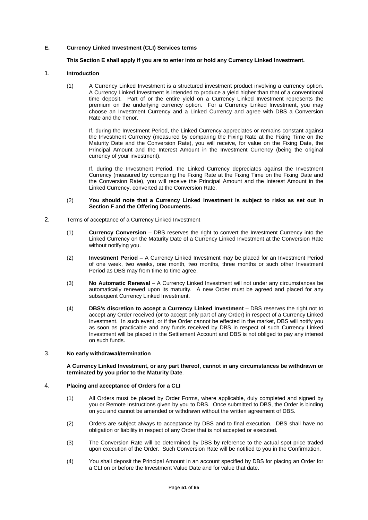## **E. Currency Linked Investment (CLI) Services terms**

## **This Section E shall apply if you are to enter into or hold any Currency Linked Investment.**

## 1. **Introduction**

(1) A Currency Linked Investment is a structured investment product involving a currency option. A Currency Linked Investment is intended to produce a yield higher than that of a conventional time deposit. Part of or the entire yield on a Currency Linked Investment represents the premium on the underlying currency option. For a Currency Linked Investment, you may choose an Investment Currency and a Linked Currency and agree with DBS a Conversion Rate and the Tenor.

If, during the Investment Period, the Linked Currency appreciates or remains constant against the Investment Currency (measured by comparing the Fixing Rate at the Fixing Time on the Maturity Date and the Conversion Rate), you will receive, for value on the Fixing Date, the Principal Amount and the Interest Amount in the Investment Currency (being the original currency of your investment).

If, during the Investment Period, the Linked Currency depreciates against the Investment Currency (measured by comparing the Fixing Rate at the Fixing Time on the Fixing Date and the Conversion Rate), you will receive the Principal Amount and the Interest Amount in the Linked Currency, converted at the Conversion Rate.

#### (2) **You should note that a Currency Linked Investment is subject to risks as set out in Section F and the Offering Documents.**

- 2. Terms of acceptance of a Currency Linked Investment
	- (1) **Currency Conversion** DBS reserves the right to convert the Investment Currency into the Linked Currency on the Maturity Date of a Currency Linked Investment at the Conversion Rate without notifying you.
	- (2) **Investment Period** A Currency Linked Investment may be placed for an Investment Period of one week, two weeks, one month, two months, three months or such other Investment Period as DBS may from time to time agree.
	- (3) **No Automatic Renewal** A Currency Linked Investment will not under any circumstances be automatically renewed upon its maturity. A new Order must be agreed and placed for any subsequent Currency Linked Investment.
	- (4) **DBS's discretion to accept a Currency Linked Investment** DBS reserves the right not to accept any Order received (or to accept only part of any Order) in respect of a Currency Linked Investment. In such event, or if the Order cannot be effected in the market, DBS will notify you as soon as practicable and any funds received by DBS in respect of such Currency Linked Investment will be placed in the Settlement Account and DBS is not obliged to pay any interest on such funds.

## 3. **No early withdrawal/termination**

#### **A Currency Linked Investment, or any part thereof, cannot in any circumstances be withdrawn or terminated by you prior to the Maturity Date**.

## 4. **Placing and acceptance of Orders for a CLI**

- (1) All Orders must be placed by Order Forms, where applicable, duly completed and signed by you or Remote Instructions given by you to DBS. Once submitted to DBS, the Order is binding on you and cannot be amended or withdrawn without the written agreement of DBS.
- (2) Orders are subject always to acceptance by DBS and to final execution. DBS shall have no obligation or liability in respect of any Order that is not accepted or executed.
- (3) The Conversion Rate will be determined by DBS by reference to the actual spot price traded upon execution of the Order. Such Conversion Rate will be notified to you in the Confirmation.
- (4) You shall deposit the Principal Amount in an account specified by DBS for placing an Order for a CLI on or before the Investment Value Date and for value that date.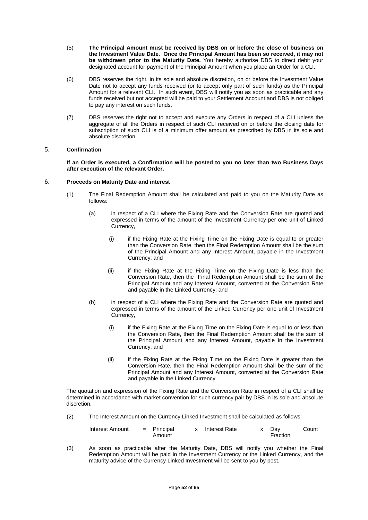- (5) **The Principal Amount must be received by DBS on or before the close of business on the Investment Value Date. Once the Principal Amount has been so received, it may not be withdrawn prior to the Maturity Date.** You hereby authorise DBS to direct debit your designated account for payment of the Principal Amount when you place an Order for a CLI.
- (6) DBS reserves the right, in its sole and absolute discretion, on or before the Investment Value Date not to accept any funds received (or to accept only part of such funds) as the Principal Amount for a relevant CLI. In such event, DBS will notify you as soon as practicable and any funds received but not accepted will be paid to your Settlement Account and DBS is not obliged to pay any interest on such funds.
- (7) DBS reserves the right not to accept and execute any Orders in respect of a CLI unless the aggregate of all the Orders in respect of such CLI received on or before the closing date for subscription of such CLI is of a minimum offer amount as prescribed by DBS in its sole and absolute discretion.

## 5. **Confirmation**

**If an Order is executed, a Confirmation will be posted to you no later than two Business Days after execution of the relevant Order.** 

#### 6. **Proceeds on Maturity Date and interest**

- (1) The Final Redemption Amount shall be calculated and paid to you on the Maturity Date as follows:
	- (a) in respect of a CLI where the Fixing Rate and the Conversion Rate are quoted and expressed in terms of the amount of the Investment Currency per one unit of Linked Currency,
		- (i) if the Fixing Rate at the Fixing Time on the Fixing Date is equal to or greater than the Conversion Rate, then the Final Redemption Amount shall be the sum of the Principal Amount and any Interest Amount, payable in the Investment Currency; and
		- (ii) if the Fixing Rate at the Fixing Time on the Fixing Date is less than the Conversion Rate, then the Final Redemption Amount shall be the sum of the Principal Amount and any Interest Amount, converted at the Conversion Rate and payable in the Linked Currency; and
	- (b) in respect of a CLI where the Fixing Rate and the Conversion Rate are quoted and expressed in terms of the amount of the Linked Currency per one unit of Investment Currency,
		- (i) if the Fixing Rate at the Fixing Time on the Fixing Date is equal to or less than the Conversion Rate, then the Final Redemption Amount shall be the sum of the Principal Amount and any Interest Amount, payable in the Investment Currency; and
		- (ii) if the Fixing Rate at the Fixing Time on the Fixing Date is greater than the Conversion Rate, then the Final Redemption Amount shall be the sum of the Principal Amount and any Interest Amount, converted at the Conversion Rate and payable in the Linked Currency.

The quotation and expression of the Fixing Rate and the Conversion Rate in respect of a CLI shall be determined in accordance with market convention for such currency pair by DBS in its sole and absolute discretion.

(2) The Interest Amount on the Currency Linked Investment shall be calculated as follows:

| Interest Amount<br>$=$ Principal<br>Interest Rate<br>Amount | Dav<br>Fraction | Count |
|-------------------------------------------------------------|-----------------|-------|
|-------------------------------------------------------------|-----------------|-------|

(3) As soon as practicable after the Maturity Date, DBS will notify you whether the Final Redemption Amount will be paid in the Investment Currency or the Linked Currency, and the maturity advice of the Currency Linked Investment will be sent to you by post.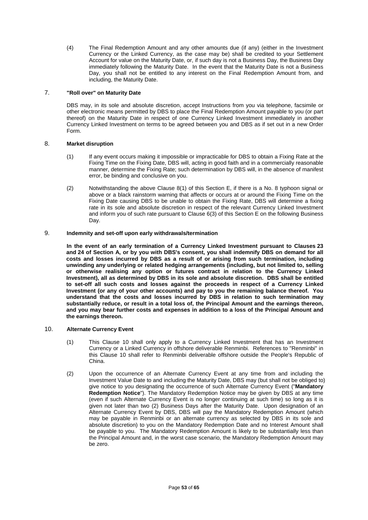(4) The Final Redemption Amount and any other amounts due (if any) (either in the Investment Currency or the Linked Currency, as the case may be) shall be credited to your Settlement Account for value on the Maturity Date, or, if such day is not a Business Day, the Business Day immediately following the Maturity Date. In the event that the Maturity Date is not a Business Day, you shall not be entitled to any interest on the Final Redemption Amount from, and including, the Maturity Date.

## 7. **"Roll over" on Maturity Date**

DBS may, in its sole and absolute discretion, accept Instructions from you via telephone, facsimile or other electronic means permitted by DBS to place the Final Redemption Amount payable to you (or part thereof) on the Maturity Date in respect of one Currency Linked Investment immediately in another Currency Linked Investment on terms to be agreed between you and DBS as if set out in a new Order Form.

## 8. **Market disruption**

- (1) If any event occurs making it impossible or impracticable for DBS to obtain a Fixing Rate at the Fixing Time on the Fixing Date, DBS will, acting in good faith and in a commercially reasonable manner, determine the Fixing Rate; such determination by DBS will, in the absence of manifest error, be binding and conclusive on you.
- (2) Notwithstanding the above Clause 8(1) of this Section E, if there is a No. 8 typhoon signal or above or a black rainstorm warning that affects or occurs at or around the Fixing Time on the Fixing Date causing DBS to be unable to obtain the Fixing Rate, DBS will determine a fixing rate in its sole and absolute discretion in respect of the relevant Currency Linked Investment and inform you of such rate pursuant to Clause 6(3) of this Section E on the following Business Day.

# 9. **Indemnity and set-off upon early withdrawals/termination**

**In the event of an early termination of a Currency Linked Investment pursuant to Clauses 23 and 24 of Section A, or by you with DBS's consent, you shall indemnify DBS on demand for all costs and losses incurred by DBS as a result of or arising from such termination, including unwinding any underlying or related hedging arrangements (including, but not limited to, selling or otherwise realising any option or futures contract in relation to the Currency Linked Investment), all as determined by DBS in its sole and absolute discretion. DBS shall be entitled to set-off all such costs and losses against the proceeds in respect of a Currency Linked Investment (or any of your other accounts) and pay to you the remaining balance thereof. You understand that the costs and losses incurred by DBS in relation to such termination may substantially reduce, or result in a total loss of, the Principal Amount and the earnings thereon, and you may bear further costs and expenses in addition to a loss of the Principal Amount and the earnings thereon.** 

## 10. **Alternate Currency Event**

- (1) This Clause 10 shall only apply to a Currency Linked Investment that has an Investment Currency or a Linked Currency in offshore deliverable Renminbi. References to "Renminbi" in this Clause 10 shall refer to Renminbi deliverable offshore outside the People's Republic of China.
- (2) Upon the occurrence of an Alternate Currency Event at any time from and including the Investment Value Date to and including the Maturity Date, DBS may (but shall not be obliged to) give notice to you designating the occurrence of such Alternate Currency Event ("**Mandatory Redemption Notice**"). The Mandatory Redemption Notice may be given by DBS at any time (even if such Alternate Currency Event is no longer continuing at such time) so long as it is given not later than two (2) Business Days after the Maturity Date. Upon designation of an Alternate Currency Event by DBS, DBS will pay the Mandatory Redemption Amount (which may be payable in Renminbi or an alternate currency as selected by DBS in its sole and absolute discretion) to you on the Mandatory Redemption Date and no Interest Amount shall be payable to you. The Mandatory Redemption Amount is likely to be substantially less than the Principal Amount and, in the worst case scenario, the Mandatory Redemption Amount may be zero.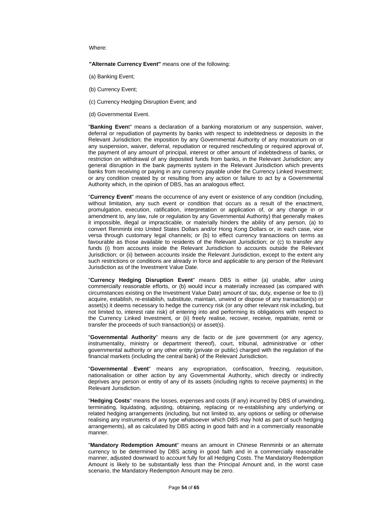#### Where:

**"Alternate Currency Event"** means one of the following:

- (a) Banking Event;
- (b) Currency Event;
- (c) Currency Hedging Disruption Event; and
- (d) Governmental Event.

"**Banking Even**t" means a declaration of a banking moratorium or any suspension, waiver, deferral or repudiation of payments by banks with respect to indebtedness or deposits in the Relevant Jurisdiction; the imposition by any Governmental Authority of any moratorium on or any suspension, waiver, deferral, repudiation or required rescheduling or required approval of, the payment of any amount of principal, interest or other amount of indebtedness of banks, or restriction on withdrawal of any deposited funds from banks, in the Relevant Jurisdiction; any general disruption in the bank payments system in the Relevant Jurisdiction which prevents banks from receiving or paying in any currency payable under the Currency Linked Investment; or any condition created by or resulting from any action or failure to act by a Governmental Authority which, in the opinion of DBS, has an analogous effect.

"**Currency Event**" means the occurrence of any event or existence of any condition (including, without limitation, any such event or condition that occurs as a result of the enactment, promulgation, execution, ratification, interpretation or application of, or any change in or amendment to, any law, rule or regulation by any Governmental Authority) that generally makes it impossible, illegal or impracticable, or materially hinders the ability of any person, (a) to convert Renminbi into United States Dollars and/or Hong Kong Dollars or, in each case, vice versa through customary legal channels; or (b) to effect currency transactions on terms as favourable as those available to residents of the Relevant Jurisdiction; or (c) to transfer any funds (i) from accounts inside the Relevant Jurisdiction to accounts outside the Relevant Jurisdiction; or (ii) between accounts inside the Relevant Jurisdiction, except to the extent any such restrictions or conditions are already in force and applicable to any person of the Relevant Jurisdiction as of the Investment Value Date.

"**Currency Hedging Disruption Event**" means DBS is either (a) unable, after using commercially reasonable efforts, or (b) would incur a materially increased (as compared with circumstances existing on the Investment Value Date) amount of tax, duty, expense or fee to (i) acquire, establish, re-establish, substitute, maintain, unwind or dispose of any transaction(s) or asset(s) it deems necessary to hedge the currency risk (or any other relevant risk including, but not limited to, interest rate risk) of entering into and performing its obligations with respect to the Currency Linked Investment, or (ii) freely realise, recover, receive, repatriate, remit or transfer the proceeds of such transaction(s) or asset(s).

"**Governmental Authority**" means any de facto or de jure government (or any agency, instrumentality, ministry or department thereof), court, tribunal, administrative or other governmental authority or any other entity (private or public) charged with the regulation of the financial markets (including the central bank) of the Relevant Jurisdiction.

"**Governmental Event**" means any expropriation, confiscation, freezing, requisition, nationalisation or other action by any Governmental Authority, which directly or indirectly deprives any person or entity of any of its assets (including rights to receive payments) in the Relevant Jurisdiction.

"**Hedging Costs**" means the losses, expenses and costs (if any) incurred by DBS of unwinding, terminating, liquidating, adjusting, obtaining, replacing or re-establishing any underlying or related hedging arrangements (including, but not limited to, any options or selling or otherwise realising any instruments of any type whatsoever which DBS may hold as part of such hedging arrangements), all as calculated by DBS acting in good faith and in a commercially reasonable manner.

"**Mandatory Redemption Amount**" means an amount in Chinese Renminbi or an alternate currency to be determined by DBS acting in good faith and in a commercially reasonable manner, adjusted downward to account fully for all Hedging Costs. The Mandatory Redemption Amount is likely to be substantially less than the Principal Amount and, in the worst case scenario, the Mandatory Redemption Amount may be zero.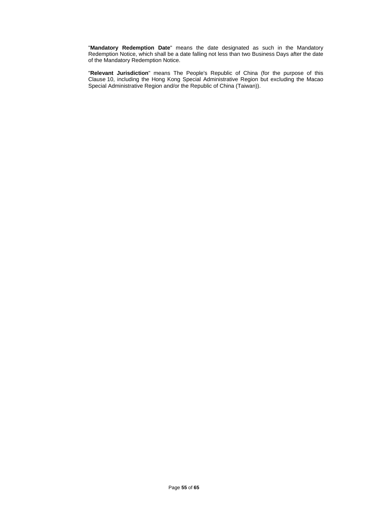"**Mandatory Redemption Date**" means the date designated as such in the Mandatory Redemption Notice, which shall be a date falling not less than two Business Days after the date of the Mandatory Redemption Notice.

"**Relevant Jurisdiction**" means The People's Republic of China (for the purpose of this Clause 10, including the Hong Kong Special Administrative Region but excluding the Macao Special Administrative Region and/or the Republic of China (Taiwan)).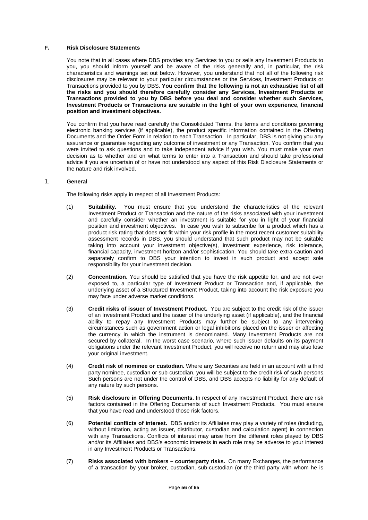#### **F. Risk Disclosure Statements**

You note that in all cases where DBS provides any Services to you or sells any Investment Products to you, you should inform yourself and be aware of the risks generally and, in particular, the risk characteristics and warnings set out below. However, you understand that not all of the following risk disclosures may be relevant to your particular circumstances or the Services, Investment Products or Transactions provided to you by DBS. **You confirm that the following is not an exhaustive list of all the risks and you should therefore carefully consider any Services, Investment Products or Transactions provided to you by DBS before you deal and consider whether such Services, Investment Products or Transactions are suitable in the light of your own experience, financial position and investment objectives.**

You confirm that you have read carefully the Consolidated Terms, the terms and conditions governing electronic banking services (if applicable), the product specific information contained in the Offering Documents and the Order Form in relation to each Transaction. In particular, DBS is not giving you any assurance or guarantee regarding any outcome of investment or any Transaction. You confirm that you were invited to ask questions and to take independent advice if you wish. You must make your own decision as to whether and on what terms to enter into a Transaction and should take professional advice if you are uncertain of or have not understood any aspect of this Risk Disclosure Statements or the nature and risk involved.

## 1. **General**

The following risks apply in respect of all Investment Products:

- (1) **Suitability.** You must ensure that you understand the characteristics of the relevant Investment Product or Transaction and the nature of the risks associated with your investment and carefully consider whether an investment is suitable for you in light of your financial position and investment objectives. In case you wish to subscribe for a product which has a product risk rating that does not fit within your risk profile in the most recent customer suitability assessment records in DBS, you should understand that such product may not be suitable taking into account your investment objective(s), investment experience, risk tolerance, financial capacity, investment horizon and/or sophistication. You should take extra caution and separately confirm to DBS your intention to invest in such product and accept sole responsibility for your investment decision.
- (2) **Concentration.** You should be satisfied that you have the risk appetite for, and are not over exposed to, a particular type of Investment Product or Transaction and, if applicable, the underlying asset of a Structured Investment Product, taking into account the risk exposure you may face under adverse market conditions.
- (3) **Credit risks of issuer of Investment Product.** You are subject to the credit risk of the issuer of an Investment Product and the issuer of the underlying asset (if applicable), and the financial ability to repay any Investment Products may further be subject to any intervening circumstances such as government action or legal inhibitions placed on the issuer or affecting the currency in which the instrument is denominated. Many Investment Products are not secured by collateral. In the worst case scenario, where such issuer defaults on its payment obligations under the relevant Investment Product, you will receive no return and may also lose your original investment.
- (4) **Credit risk of nominee or custodian.** Where any Securities are held in an account with a third party nominee, custodian or sub-custodian, you will be subject to the credit risk of such persons. Such persons are not under the control of DBS, and DBS accepts no liability for any default of any nature by such persons.
- (5) **Risk disclosure in Offering Documents.** In respect of any Investment Product, there are risk factors contained in the Offering Documents of such Investment Products. You must ensure that you have read and understood those risk factors.
- (6) **Potential conflicts of interest.** DBS and/or its Affiliates may play a variety of roles (including, without limitation, acting as issuer, distributor, custodian and calculation agent) in connection with any Transactions. Conflicts of interest may arise from the different roles played by DBS and/or its Affiliates and DBS's economic interests in each role may be adverse to your interest in any Investment Products or Transactions.
- (7) **Risks associated with brokers counterparty risks.** On many Exchanges, the performance of a transaction by your broker, custodian, sub-custodian (or the third party with whom he is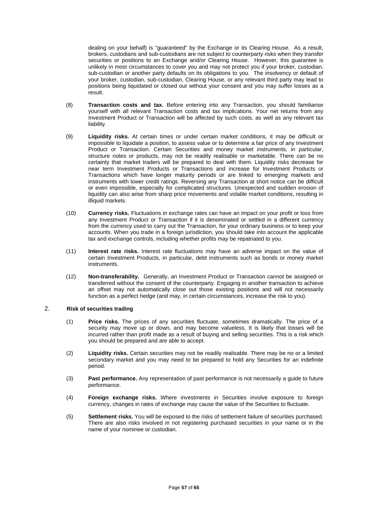dealing on your behalf) is "guaranteed" by the Exchange or its Clearing House. As a result, brokers, custodians and sub-custodians are not subject to counterparty risks when they transfer securities or positions to an Exchange and/or Clearing House. However, this guarantee is unlikely in most circumstances to cover you and may not protect you if your broker, custodian, sub-custodian or another party defaults on its obligations to you. The insolvency or default of your broker, custodian, sub-custodian, Clearing House, or any relevant third party may lead to positions being liquidated or closed out without your consent and you may suffer losses as a result.

- (8) **Transaction costs and tax.** Before entering into any Transaction, you should familiarise yourself with all relevant Transaction costs and tax implications. Your net returns from any Investment Product or Transaction will be affected by such costs, as well as any relevant tax liability.
- (9) **Liquidity risks.** At certain times or under certain market conditions, it may be difficult or impossible to liquidate a position, to assess value or to determine a fair price of any Investment Product or Transaction. Certain Securities and money market instruments, in particular, structure notes or products, may not be readily realisable or marketable. There can be no certainty that market traders will be prepared to deal with them. Liquidity risks decrease for near term Investment Products or Transactions and increase for Investment Products or Transactions which have longer maturity periods or are linked to emerging markets and instruments with lower credit ratings. Reversing any Transaction at short notice can be difficult or even impossible, especially for complicated structures. Unexpected and sudden erosion of liquidity can also arise from sharp price movements and volatile market conditions, resulting in illiquid markets.
- (10) **Currency risks.** Fluctuations in exchange rates can have an impact on your profit or loss from any Investment Product or Transaction if it is denominated or settled in a different currency from the currency used to carry out the Transaction, for your ordinary business or to keep your accounts. When you trade in a foreign jurisdiction, you should take into account the applicable tax and exchange controls, including whether profits may be repatriated to you.
- (11) **Interest rate risks.** Interest rate fluctuations may have an adverse impact on the value of certain Investment Products, in particular, debt instruments such as bonds or money market instruments.
- (12) **Non-transferability.** Generally, an Investment Product or Transaction cannot be assigned or transferred without the consent of the counterparty. Engaging in another transaction to achieve an offset may not automatically close out those existing positions and will not necessarily function as a perfect hedge (and may, in certain circumstances, increase the risk to you).

# 2. **Risk of securities trading**

- (1) **Price risks.** The prices of any securities fluctuate, sometimes dramatically. The price of a security may move up or down, and may become valueless. It is likely that losses will be incurred rather than profit made as a result of buying and selling securities. This is a risk which you should be prepared and are able to accept.
- (2) **Liquidity risks.** Certain securities may not be readily realisable. There may be no or a limited secondary market and you may need to be prepared to hold any Securities for an indefinite period.
- (3) **Past performance.** Any representation of past performance is not necessarily a guide to future performance.
- (4) **Foreign exchange risks.** Where investments in Securities involve exposure to foreign currency, changes in rates of exchange may cause the value of the Securities to fluctuate.
- (5) **Settlement risks.** You will be exposed to the risks of settlement failure of securities purchased. There are also risks involved in not registering purchased securities in your name or in the name of your nominee or custodian.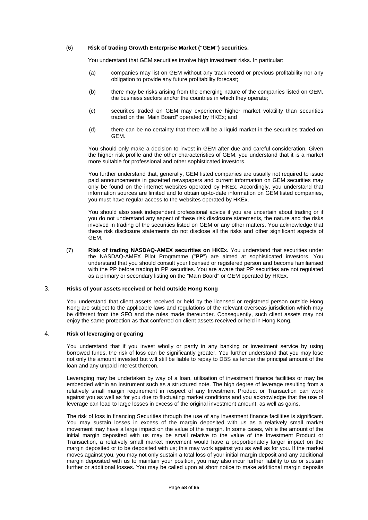#### (6) **Risk of trading Growth Enterprise Market ("GEM") securities.**

You understand that GEM securities involve high investment risks. In particular:

- (a) companies may list on GEM without any track record or previous profitability nor any obligation to provide any future profitability forecast;
- (b) there may be risks arising from the emerging nature of the companies listed on GEM, the business sectors and/or the countries in which they operate;
- (c) securities traded on GEM may experience higher market volatility than securities traded on the "Main Board" operated by HKEx; and
- (d) there can be no certainty that there will be a liquid market in the securities traded on GEM.

You should only make a decision to invest in GEM after due and careful consideration. Given the higher risk profile and the other characteristics of GEM, you understand that it is a market more suitable for professional and other sophisticated investors.

You further understand that, generally, GEM listed companies are usually not required to issue paid announcements in gazetted newspapers and current information on GEM securities may only be found on the internet websites operated by HKEx. Accordingly, you understand that information sources are limited and to obtain up-to-date information on GEM listed companies, you must have regular access to the websites operated by HKEx.

You should also seek independent professional advice if you are uncertain about trading or if you do not understand any aspect of these risk disclosure statements, the nature and the risks involved in trading of the securities listed on GEM or any other matters. You acknowledge that these risk disclosure statements do not disclose all the risks and other significant aspects of GEM.

(7) **Risk of trading NASDAQ-AMEX securities on HKEx.** You understand that securities under the NASDAQ-AMEX Pilot Programme ("**PP**") are aimed at sophisticated investors. You understand that you should consult your licensed or registered person and become familiarised with the PP before trading in PP securities. You are aware that PP securities are not regulated as a primary or secondary listing on the "Main Board" or GEM operated by HKEx.

# 3. **Risks of your assets received or held outside Hong Kong**

You understand that client assets received or held by the licensed or registered person outside Hong Kong are subject to the applicable laws and regulations of the relevant overseas jurisdiction which may be different from the SFO and the rules made thereunder. Consequently, such client assets may not enjoy the same protection as that conferred on client assets received or held in Hong Kong.

## 4. **Risk of leveraging or gearing**

You understand that if you invest wholly or partly in any banking or investment service by using borrowed funds, the risk of loss can be significantly greater. You further understand that you may lose not only the amount invested but will still be liable to repay to DBS as lender the principal amount of the loan and any unpaid interest thereon.

Leveraging may be undertaken by way of a loan, utilisation of investment finance facilities or may be embedded within an instrument such as a structured note. The high degree of leverage resulting from a relatively small margin requirement in respect of any Investment Product or Transaction can work against you as well as for you due to fluctuating market conditions and you acknowledge that the use of leverage can lead to large losses in excess of the original investment amount, as well as gains.

The risk of loss in financing Securities through the use of any investment finance facilities is significant. You may sustain losses in excess of the margin deposited with us as a relatively small market movement may have a large impact on the value of the margin. In some cases, while the amount of the initial margin deposited with us may be small relative to the value of the Investment Product or Transaction, a relatively small market movement would have a proportionately larger impact on the margin deposited or to be deposited with us; this may work against you as well as for you. If the market moves against you, you may not only sustain a total loss of your initial margin deposit and any additional margin deposited with us to maintain your position, you may also incur further liability to us or sustain further or additional losses. You may be called upon at short notice to make additional margin deposits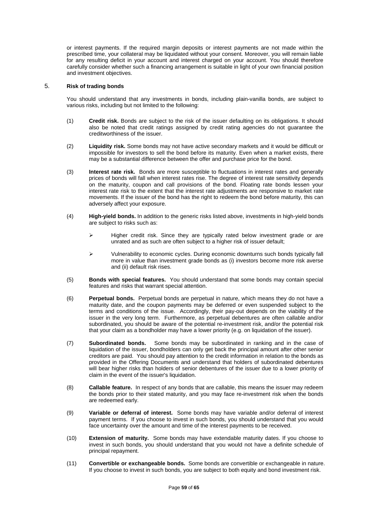or interest payments. If the required margin deposits or interest payments are not made within the prescribed time, your collateral may be liquidated without your consent. Moreover, you will remain liable for any resulting deficit in your account and interest charged on your account. You should therefore carefully consider whether such a financing arrangement is suitable in light of your own financial position and investment objectives.

## 5. **Risk of trading bonds**

You should understand that any investments in bonds, including plain-vanilla bonds, are subject to various risks, including but not limited to the following:

- (1) **Credit risk.** Bonds are subject to the risk of the issuer defaulting on its obligations. It should also be noted that credit ratings assigned by credit rating agencies do not guarantee the creditworthiness of the issuer.
- (2) **Liquidity risk.** Some bonds may not have active secondary markets and it would be difficult or impossible for investors to sell the bond before its maturity. Even when a market exists, there may be a substantial difference between the offer and purchase price for the bond.
- (3) **Interest rate risk.** Bonds are more susceptible to fluctuations in interest rates and generally prices of bonds will fall when interest rates rise. The degree of interest rate sensitivity depends on the maturity, coupon and call provisions of the bond. Floating rate bonds lessen your interest rate risk to the extent that the interest rate adjustments are responsive to market rate movements. If the issuer of the bond has the right to redeem the bond before maturity, this can adversely affect your exposure.
- (4) **High-yield bonds.** In addition to the generic risks listed above, investments in high-yield bonds are subject to risks such as:
	- $\triangleright$  Higher credit risk. Since they are typically rated below investment grade or are unrated and as such are often subject to a higher risk of issuer default;
	- $\triangleright$  Vulnerability to economic cycles. During economic downturns such bonds typically fall more in value than investment grade bonds as (i) investors become more risk averse and (ii) default risk rises.
- (5) **Bonds with special features.** You should understand that some bonds may contain special features and risks that warrant special attention.
- (6) **Perpetual bonds.** Perpetual bonds are perpetual in nature, which means they do not have a maturity date, and the coupon payments may be deferred or even suspended subject to the terms and conditions of the issue. Accordingly, their pay-out depends on the viability of the issuer in the very long term. Furthermore, as perpetual debentures are often callable and/or subordinated, you should be aware of the potential re-investment risk, and/or the potential risk that your claim as a bondholder may have a lower priority (e.g. on liquidation of the issuer).
- (7) **Subordinated bonds.** Some bonds may be subordinated in ranking and in the case of liquidation of the issuer, bondholders can only get back the principal amount after other senior creditors are paid. You should pay attention to the credit information in relation to the bonds as provided in the Offering Documents and understand that holders of subordinated debentures will bear higher risks than holders of senior debentures of the issuer due to a lower priority of claim in the event of the issuer's liquidation.
- (8) **Callable feature.** In respect of any bonds that are callable, this means the issuer may redeem the bonds prior to their stated maturity, and you may face re-investment risk when the bonds are redeemed early.
- (9) **Variable or deferral of interest.** Some bonds may have variable and/or deferral of interest payment terms. If you choose to invest in such bonds, you should understand that you would face uncertainty over the amount and time of the interest payments to be received.
- (10) **Extension of maturity.** Some bonds may have extendable maturity dates. If you choose to invest in such bonds, you should understand that you would not have a definite schedule of principal repayment.
- (11) **Convertible or exchangeable bonds.** Some bonds are convertible or exchangeable in nature. If you choose to invest in such bonds, you are subject to both equity and bond investment risk.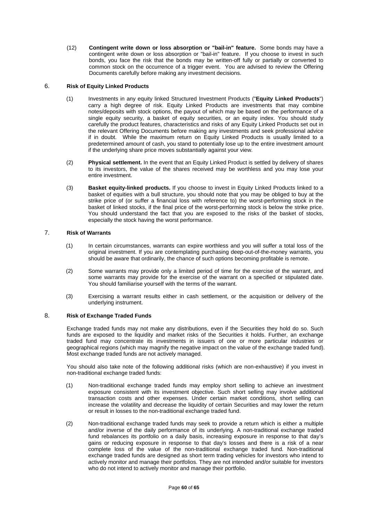(12) **Contingent write down or loss absorption or "bail-in" feature.** Some bonds may have a contingent write down or loss absorption or "bail-in" feature. If you choose to invest in such bonds, you face the risk that the bonds may be written-off fully or partially or converted to common stock on the occurrence of a trigger event. You are advised to review the Offering Documents carefully before making any investment decisions.

## 6. **Risk of Equity Linked Products**

- (1) Investments in any equity linked Structured Investment Products ("**Equity Linked Products**") carry a high degree of risk. Equity Linked Products are investments that may combine notes/deposits with stock options, the payout of which may be based on the performance of a single equity security, a basket of equity securities, or an equity index. You should study carefully the product features, characteristics and risks of any Equity Linked Products set out in the relevant Offering Documents before making any investments and seek professional advice if in doubt. While the maximum return on Equity Linked Products is usually limited to a predetermined amount of cash, you stand to potentially lose up to the entire investment amount if the underlying share price moves substantially against your view.
- (2) **Physical settlement.** In the event that an Equity Linked Product is settled by delivery of shares to its investors, the value of the shares received may be worthless and you may lose your entire investment.
- (3) **Basket equity-linked products.** If you choose to invest in Equity Linked Products linked to a basket of equities with a bull structure, you should note that you may be obliged to buy at the strike price of (or suffer a financial loss with reference to) the worst-performing stock in the basket of linked stocks, if the final price of the worst-performing stock is below the strike price. You should understand the fact that you are exposed to the risks of the basket of stocks, especially the stock having the worst performance.

# 7. **Risk of Warrants**

- (1) In certain circumstances, warrants can expire worthless and you will suffer a total loss of the original investment. If you are contemplating purchasing deep-out-of-the-money warrants, you should be aware that ordinarily, the chance of such options becoming profitable is remote.
- (2) Some warrants may provide only a limited period of time for the exercise of the warrant, and some warrants may provide for the exercise of the warrant on a specified or stipulated date. You should familiarise yourself with the terms of the warrant.
- (3) Exercising a warrant results either in cash settlement, or the acquisition or delivery of the underlying instrument.

#### 8. **Risk of Exchange Traded Funds**

Exchange traded funds may not make any distributions, even if the Securities they hold do so. Such funds are exposed to the liquidity and market risks of the Securities it holds. Further, an exchange traded fund may concentrate its investments in issuers of one or more particular industries or geographical regions (which may magnify the negative impact on the value of the exchange traded fund). Most exchange traded funds are not actively managed.

You should also take note of the following additional risks (which are non-exhaustive) if you invest in non-traditional exchange traded funds:

- (1) Non-traditional exchange traded funds may employ short selling to achieve an investment exposure consistent with its investment objective. Such short selling may involve additional transaction costs and other expenses. Under certain market conditions, short selling can increase the volatility and decrease the liquidity of certain Securities and may lower the return or result in losses to the non-traditional exchange traded fund.
- (2) Non-traditional exchange traded funds may seek to provide a return which is either a multiple and/or inverse of the daily performance of its underlying. A non-traditional exchange traded fund rebalances its portfolio on a daily basis, increasing exposure in response to that day's gains or reducing exposure in response to that day's losses and there is a risk of a near complete loss of the value of the non-traditional exchange traded fund. Non-traditional exchange traded funds are designed as short term trading vehicles for investors who intend to actively monitor and manage their portfolios. They are not intended and/or suitable for investors who do not intend to actively monitor and manage their portfolio.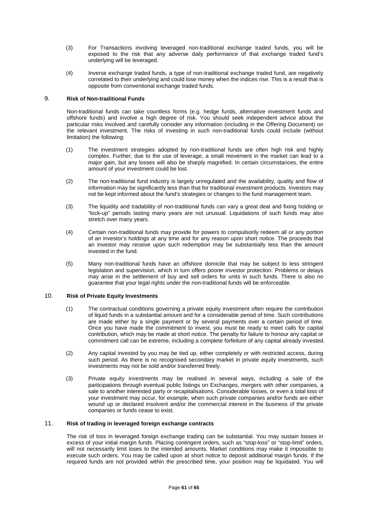- (3) For Transactions involving leveraged non-traditional exchange traded funds, you will be exposed to the risk that any adverse daily performance of that exchange traded fund's underlying will be leveraged.
- (4) Inverse exchange traded funds, a type of non-traditional exchange traded fund, are negatively correlated to their underlying and could lose money when the indices rise. This is a result that is opposite from conventional exchange traded funds.

## 9. **Risk of Non-traditional Funds**

Non-traditional funds can take countless forms (e.g. hedge funds, alternative investment funds and offshore funds) and involve a high degree of risk. You should seek independent advice about the particular risks involved and carefully consider any information (including in the Offering Document) on the relevant investment. The risks of investing in such non-traditional funds could include (without limitation) the following:

- (1) The investment strategies adopted by non-traditional funds are often high risk and highly complex. Further, due to the use of leverage, a small movement in the market can lead to a major gain, but any losses will also be sharply magnified. In certain circumstances, the entire amount of your investment could be lost.
- (2) The non-traditional fund industry is largely unregulated and the availability, quality and flow of information may be significantly less than that for traditional investment products. Investors may not be kept informed about the fund's strategies or changes to the fund management team.
- (3) The liquidity and tradability of non-traditional funds can vary a great deal and fixing holding or "lock-up" periods lasting many years are not unusual. Liquidations of such funds may also stretch over many years.
- (4) Certain non-traditional funds may provide for powers to compulsorily redeem all or any portion of an investor's holdings at any time and for any reason upon short notice. The proceeds that an investor may receive upon such redemption may be substantially less than the amount invested in the fund.
- (5) Many non-traditional funds have an offshore domicile that may be subject to less stringent legislation and supervision, which in turn offers poorer investor protection. Problems or delays may arise in the settlement of buy and sell orders for units in such funds. There is also no guarantee that your legal rights under the non-traditional funds will be enforceable.

#### 10. **Risk of Private Equity Investments**

- (1) The contractual conditions governing a private equity investment often require the contribution of liquid funds in a substantial amount and for a considerable period of time. Such contributions are made either by a single payment or by several payments over a certain period of time. Once you have made the commitment to invest, you must be ready to meet calls for capital contribution, which may be made at short notice. The penalty for failure to honour any capital or commitment call can be extreme, including a complete forfeiture of any capital already invested.
- (2) Any capital invested by you may be tied up, either completely or with restricted access, during such period. As there is no recognised secondary market in private equity investments, such investments may not be sold and/or transferred freely.
- (3) Private equity investments may be realised in several ways, including a sale of the participations through eventual public listings on Exchanges, mergers with other companies, a sale to another interested party or recapitalisations. Considerable losses, or even a total loss of your investment may occur, for example, when such private companies and/or funds are either wound up or declared insolvent and/or the commercial interest in the business of the private companies or funds cease to exist.

# 11. **Risk of trading in leveraged foreign exchange contracts**

The risk of loss in leveraged foreign exchange trading can be substantial. You may sustain losses in excess of your initial margin funds. Placing contingent orders, such as "stop-loss" or "stop-limit" orders, will not necessarily limit loses to the intended amounts. Market conditions may make it impossible to execute such orders. You may be called upon at short notice to deposit additional margin funds. If the required funds are not provided within the prescribed time, your position may be liquidated. You will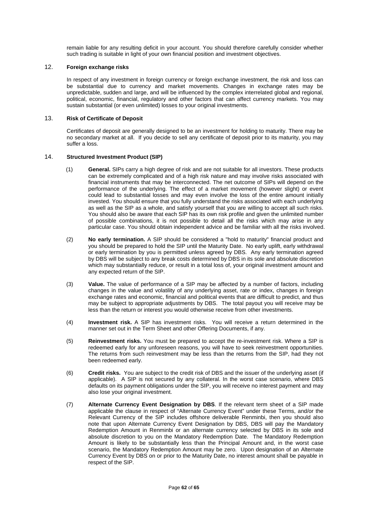remain liable for any resulting deficit in your account. You should therefore carefully consider whether such trading is suitable in light of your own financial position and investment objectives.

## 12. **Foreign exchange risks**

In respect of any investment in foreign currency or foreign exchange investment, the risk and loss can be substantial due to currency and market movements. Changes in exchange rates may be unpredictable, sudden and large, and will be influenced by the complex interrelated global and regional, political, economic, financial, regulatory and other factors that can affect currency markets. You may sustain substantial (or even unlimited) losses to your original investments.

## 13. **Risk of Certificate of Deposit**

Certificates of deposit are generally designed to be an investment for holding to maturity. There may be no secondary market at all. If you decide to sell any certificate of deposit prior to its maturity, you may suffer a loss.

## 14. **Structured Investment Product (SIP)**

- (1) **General.** SIPs carry a high degree of risk and are not suitable for all investors. These products can be extremely complicated and of a high risk nature and may involve risks associated with financial instruments that may be interconnected. The net outcome of SIPs will depend on the performance of the underlying. The effect of a market movement (however slight) or event could lead to substantial losses and may even involve the loss of the entire amount initially invested. You should ensure that you fully understand the risks associated with each underlying as well as the SIP as a whole, and satisfy yourself that you are willing to accept all such risks. You should also be aware that each SIP has its own risk profile and given the unlimited number of possible combinations, it is not possible to detail all the risks which may arise in any particular case. You should obtain independent advice and be familiar with all the risks involved.
- (2) **No early termination.** A SIP should be considered a "hold to maturity" financial product and you should be prepared to hold the SIP until the Maturity Date. No early uplift, early withdrawal or early termination by you is permitted unless agreed by DBS. Any early termination agreed by DBS will be subject to any break costs determined by DBS in its sole and absolute discretion which may substantially reduce, or result in a total loss of, your original investment amount and any expected return of the SIP.
- (3) **Value.** The value of performance of a SIP may be affected by a number of factors, including changes in the value and volatility of any underlying asset, rate or index, changes in foreign exchange rates and economic, financial and political events that are difficult to predict, and thus may be subject to appropriate adjustments by DBS. The total payout you will receive may be less than the return or interest you would otherwise receive from other investments.
- (4) **Investment risk.** A SIP has investment risks. You will receive a return determined in the manner set out in the Term Sheet and other Offering Documents, if any.
- (5) **Reinvestment risks.** You must be prepared to accept the re-investment risk. Where a SIP is redeemed early for any unforeseen reasons, you will have to seek reinvestment opportunities. The returns from such reinvestment may be less than the returns from the SIP, had they not been redeemed early.
- (6) **Credit risks.** You are subject to the credit risk of DBS and the issuer of the underlying asset (if applicable). A SIP is not secured by any collateral. In the worst case scenario, where DBS defaults on its payment obligations under the SIP, you will receive no interest payment and may also lose your original investment.
- (7) **Alternate Currency Event Designation by DBS**. If the relevant term sheet of a SIP made applicable the clause in respect of "Alternate Currency Event" under these Terms, and/or the Relevant Currency of the SIP includes offshore deliverable Renminbi, then you should also note that upon Alternate Currency Event Designation by DBS, DBS will pay the Mandatory Redemption Amount in Renminbi or an alternate currency selected by DBS in its sole and absolute discretion to you on the Mandatory Redemption Date. The Mandatory Redemption Amount is likely to be substantially less than the Principal Amount and, in the worst case scenario, the Mandatory Redemption Amount may be zero. Upon designation of an Alternate Currency Event by DBS on or prior to the Maturity Date, no interest amount shall be payable in respect of the SIP.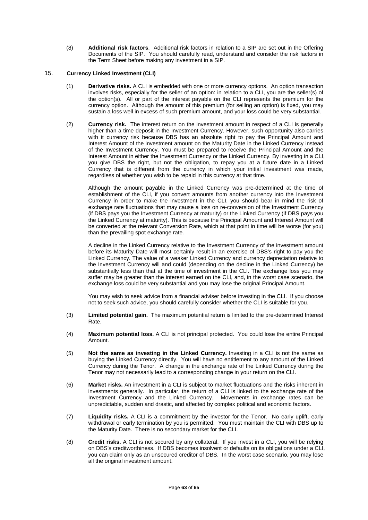(8) **Additional risk factors**. Additional risk factors in relation to a SIP are set out in the Offering Documents of the SIP. You should carefully read, understand and consider the risk factors in the Term Sheet before making any investment in a SIP.

## 15. **Currency Linked Investment (CLI)**

- (1) **Derivative risks.** A CLI is embedded with one or more currency options. An option transaction involves risks, especially for the seller of an option: in relation to a CLI, you are the seller(s) of the option(s). All or part of the interest payable on the CLI represents the premium for the currency option. Although the amount of this premium (for selling an option) is fixed, you may sustain a loss well in excess of such premium amount, and your loss could be very substantial.
- (2) **Currency risk.** The interest return on the investment amount in respect of a CLI is generally higher than a time deposit in the Investment Currency. However, such opportunity also carries with it currency risk because DBS has an absolute right to pay the Principal Amount and Interest Amount of the investment amount on the Maturity Date in the Linked Currency instead of the Investment Currency. You must be prepared to receive the Principal Amount and the Interest Amount in either the Investment Currency or the Linked Currency. By investing in a CLI, you give DBS the right, but not the obligation, to repay you at a future date in a Linked Currency that is different from the currency in which your initial investment was made, regardless of whether you wish to be repaid in this currency at that time.

Although the amount payable in the Linked Currency was pre-determined at the time of establishment of the CLI, if you convert amounts from another currency into the Investment Currency in order to make the investment in the CLI, you should bear in mind the risk of exchange rate fluctuations that may cause a loss on re-conversion of the Investment Currency (if DBS pays you the Investment Currency at maturity) or the Linked Currency (if DBS pays you the Linked Currency at maturity). This is because the Principal Amount and Interest Amount will be converted at the relevant Conversion Rate, which at that point in time will be worse (for you) than the prevailing spot exchange rate.

A decline in the Linked Currency relative to the Investment Currency of the investment amount before its Maturity Date will most certainly result in an exercise of DBS's right to pay you the Linked Currency. The value of a weaker Linked Currency and currency depreciation relative to the Investment Currency will and could (depending on the decline in the Linked Currency) be substantially less than that at the time of investment in the CLI. The exchange loss you may suffer may be greater than the interest earned on the CLI, and, in the worst case scenario, the exchange loss could be very substantial and you may lose the original Principal Amount.

You may wish to seek advice from a financial adviser before investing in the CLI. If you choose not to seek such advice, you should carefully consider whether the CLI is suitable for you.

- (3) **Limited potential gain.** The maximum potential return is limited to the pre-determined Interest Rate.
- (4) **Maximum potential loss.** A CLI is not principal protected. You could lose the entire Principal Amount.
- (5) **Not the same as investing in the Linked Currency.** Investing in a CLI is not the same as buying the Linked Currency directly. You will have no entitlement to any amount of the Linked Currency during the Tenor. A change in the exchange rate of the Linked Currency during the Tenor may not necessarily lead to a corresponding change in your return on the CLI.
- (6) **Market risks.** An investment in a CLI is subject to market fluctuations and the risks inherent in investments generally. In particular, the return of a CLI is linked to the exchange rate of the Investment Currency and the Linked Currency. Movements in exchange rates can be unpredictable, sudden and drastic, and affected by complex political and economic factors.
- (7) **Liquidity risks.** A CLI is a commitment by the investor for the Tenor. No early uplift, early withdrawal or early termination by you is permitted. You must maintain the CLI with DBS up to the Maturity Date. There is no secondary market for the CLI.
- (8) **Credit risks.** A CLI is not secured by any collateral. If you invest in a CLI, you will be relying on DBS's creditworthiness. If DBS becomes insolvent or defaults on its obligations under a CLI, you can claim only as an unsecured creditor of DBS. In the worst case scenario, you may lose all the original investment amount.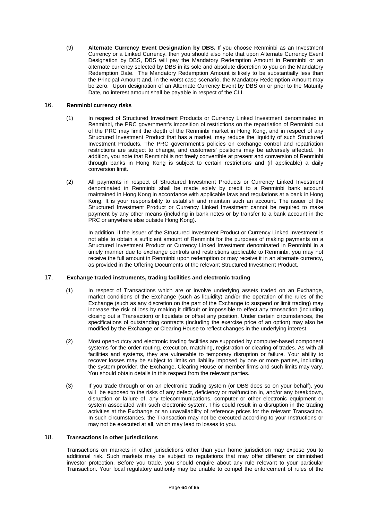(9) **Alternate Currency Event Designation by DBS.** If you choose Renminbi as an Investment Currency or a Linked Currency, then you should also note that upon Alternate Currency Event Designation by DBS, DBS will pay the Mandatory Redemption Amount in Renminbi or an alternate currency selected by DBS in its sole and absolute discretion to you on the Mandatory Redemption Date. The Mandatory Redemption Amount is likely to be substantially less than the Principal Amount and, in the worst case scenario, the Mandatory Redemption Amount may be zero. Upon designation of an Alternate Currency Event by DBS on or prior to the Maturity Date, no interest amount shall be payable in respect of the CLI.

## 16. **Renminbi currency risks**

- (1) In respect of Structured Investment Products or Currency Linked Investment denominated in Renminbi, the PRC government's imposition of restrictions on the repatriation of Renminbi out of the PRC may limit the depth of the Renminbi market in Hong Kong, and in respect of any Structured Investment Product that has a market, may reduce the liquidity of such Structured Investment Products. The PRC government's policies on exchange control and repatriation restrictions are subject to change, and customers' positions may be adversely affected. In addition, you note that Renminbi is not freely convertible at present and conversion of Renminbi through banks in Hong Kong is subject to certain restrictions and (if applicable) a daily conversion limit.
- (2) All payments in respect of Structured Investment Products or Currency Linked Investment denominated in Renminbi shall be made solely by credit to a Renminbi bank account maintained in Hong Kong in accordance with applicable laws and regulations at a bank in Hong Kong. It is your responsibility to establish and maintain such an account. The issuer of the Structured Investment Product or Currency Linked Investment cannot be required to make payment by any other means (including in bank notes or by transfer to a bank account in the PRC or anywhere else outside Hong Kong).

In addition, if the issuer of the Structured Investment Product or Currency Linked Investment is not able to obtain a sufficient amount of Renminbi for the purposes of making payments on a Structured Investment Product or Currency Linked Investment denominated in Renminbi in a timely manner due to exchange controls and restrictions applicable to Renminbi, you may not receive the full amount in Renminbi upon redemption or may receive it in an alternate currency, as provided in the Offering Documents of the relevant Structured Investment Product.

#### 17. **Exchange traded instruments, trading facilities and electronic trading**

- (1) In respect of Transactions which are or involve underlying assets traded on an Exchange, market conditions of the Exchange (such as liquidity) and/or the operation of the rules of the Exchange (such as any discretion on the part of the Exchange to suspend or limit trading) may increase the risk of loss by making it difficult or impossible to effect any transaction (including closing out a Transaction) or liquidate or offset any position. Under certain circumstances, the specifications of outstanding contracts (including the exercise price of an option) may also be modified by the Exchange or Clearing House to reflect changes in the underlying interest.
- (2) Most open-outcry and electronic trading facilities are supported by computer-based component systems for the order-routing, execution, matching, registration or clearing of trades. As with all facilities and systems, they are vulnerable to temporary disruption or failure. Your ability to recover losses may be subject to limits on liability imposed by one or more parties, including the system provider, the Exchange, Clearing House or member firms and such limits may vary. You should obtain details in this respect from the relevant parties.
- (3) If you trade through or on an electronic trading system (or DBS does so on your behalf), you will be exposed to the risks of any defect, deficiency or malfunction in, and/or any breakdown, disruption or failure of, any telecommunications, computer or other electronic equipment or system associated with such electronic system. This could result in a disruption in the trading activities at the Exchange or an unavailability of reference prices for the relevant Transaction. In such circumstances, the Transaction may not be executed according to your Instructions or may not be executed at all, which may lead to losses to you.

#### 18. **Transactions in other jurisdictions**

Transactions on markets in other jurisdictions other than your home jurisdiction may expose you to additional risk. Such markets may be subject to regulations that may offer different or diminished investor protection. Before you trade, you should enquire about any rule relevant to your particular Transaction. Your local regulatory authority may be unable to compel the enforcement of rules of the